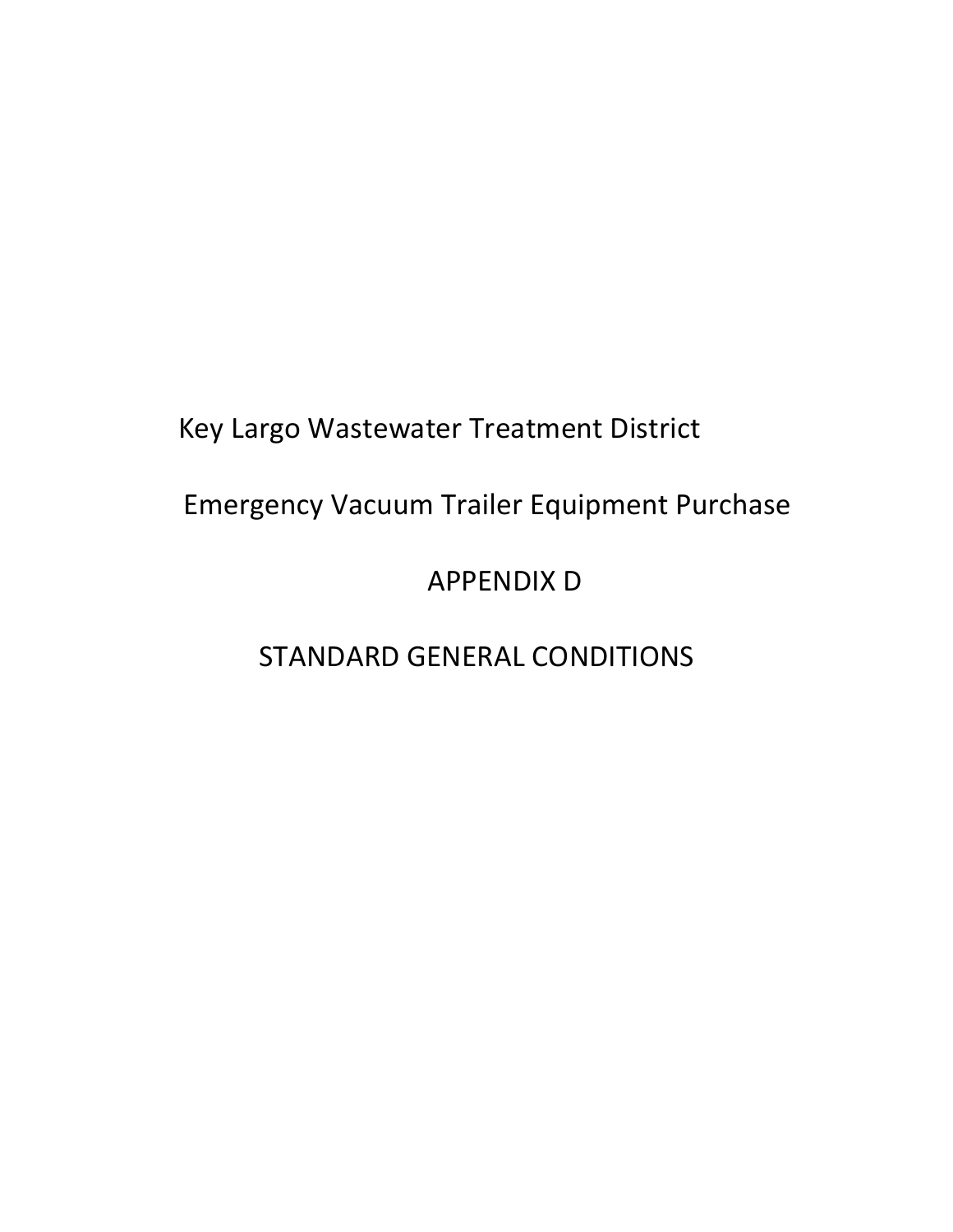# Key Largo Wastewater Treatment District

# Emergency Vacuum Trailer Equipment Purchase

# APPENDIX D

# STANDARD GENERAL CONDITIONS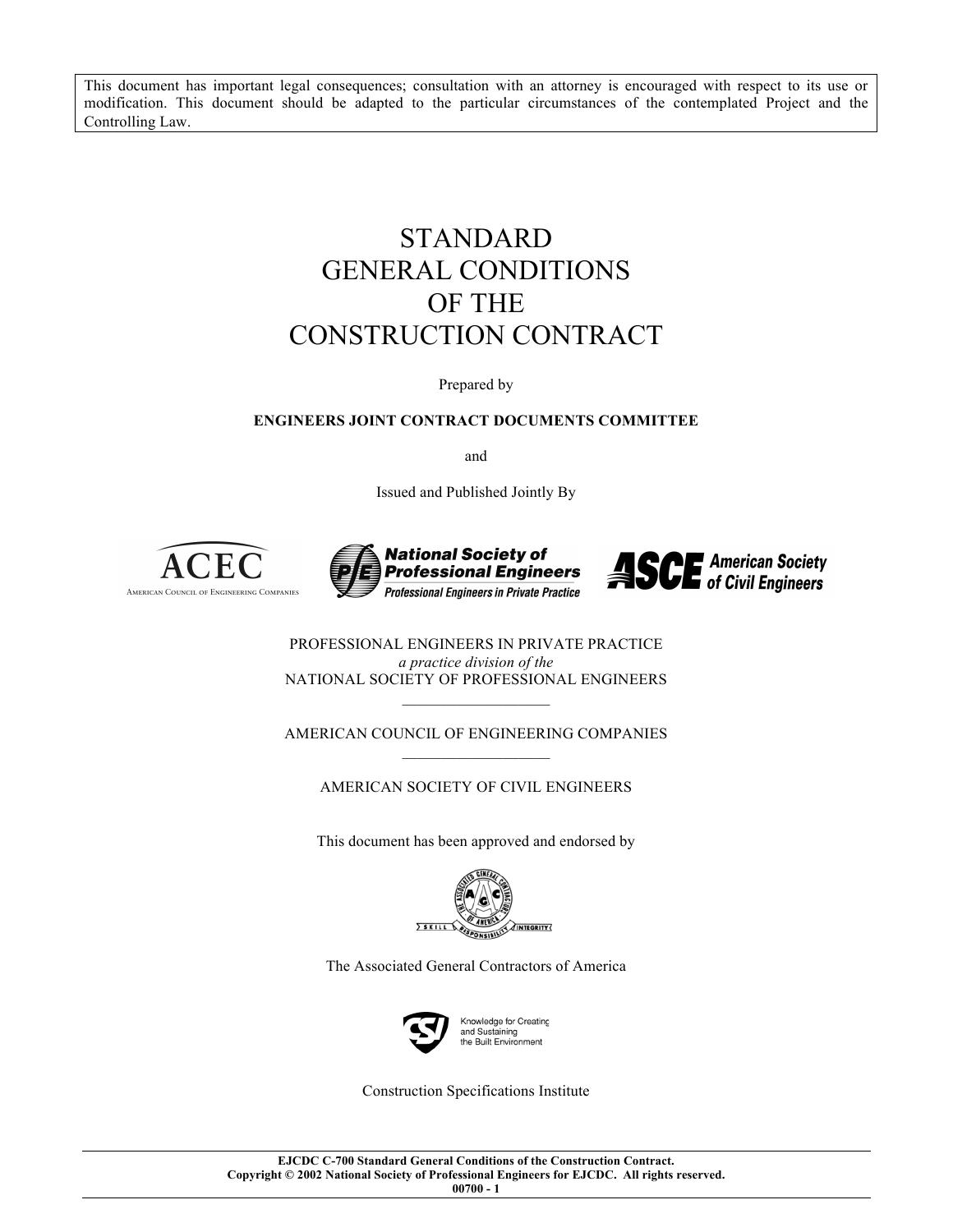This document has important legal consequences; consultation with an attorney is encouraged with respect to its use or modification. This document should be adapted to the particular circumstances of the contemplated Project and the Controlling Law.

# STANDARD GENERAL CONDITIONS OF THE CONSTRUCTION CONTRACT

Prepared by

# **ENGINEERS JOINT CONTRACT DOCUMENTS COMMITTEE**

and

Issued and Published Jointly By





PROFESSIONAL ENGINEERS IN PRIVATE PRACTICE *a practice division of the* NATIONAL SOCIETY OF PROFESSIONAL ENGINEERS

AMERICAN COUNCIL OF ENGINEERING COMPANIES  $\mathcal{L}_\text{max}$ 

 $\frac{1}{2}$  ,  $\frac{1}{2}$  ,  $\frac{1}{2}$  ,  $\frac{1}{2}$  ,  $\frac{1}{2}$  ,  $\frac{1}{2}$  ,  $\frac{1}{2}$  ,  $\frac{1}{2}$  ,  $\frac{1}{2}$  ,  $\frac{1}{2}$ 

AMERICAN SOCIETY OF CIVIL ENGINEERS

This document has been approved and endorsed by



The Associated General Contractors of America



Knowledge for Creating and Sustaining the Built Environment

Construction Specifications Institute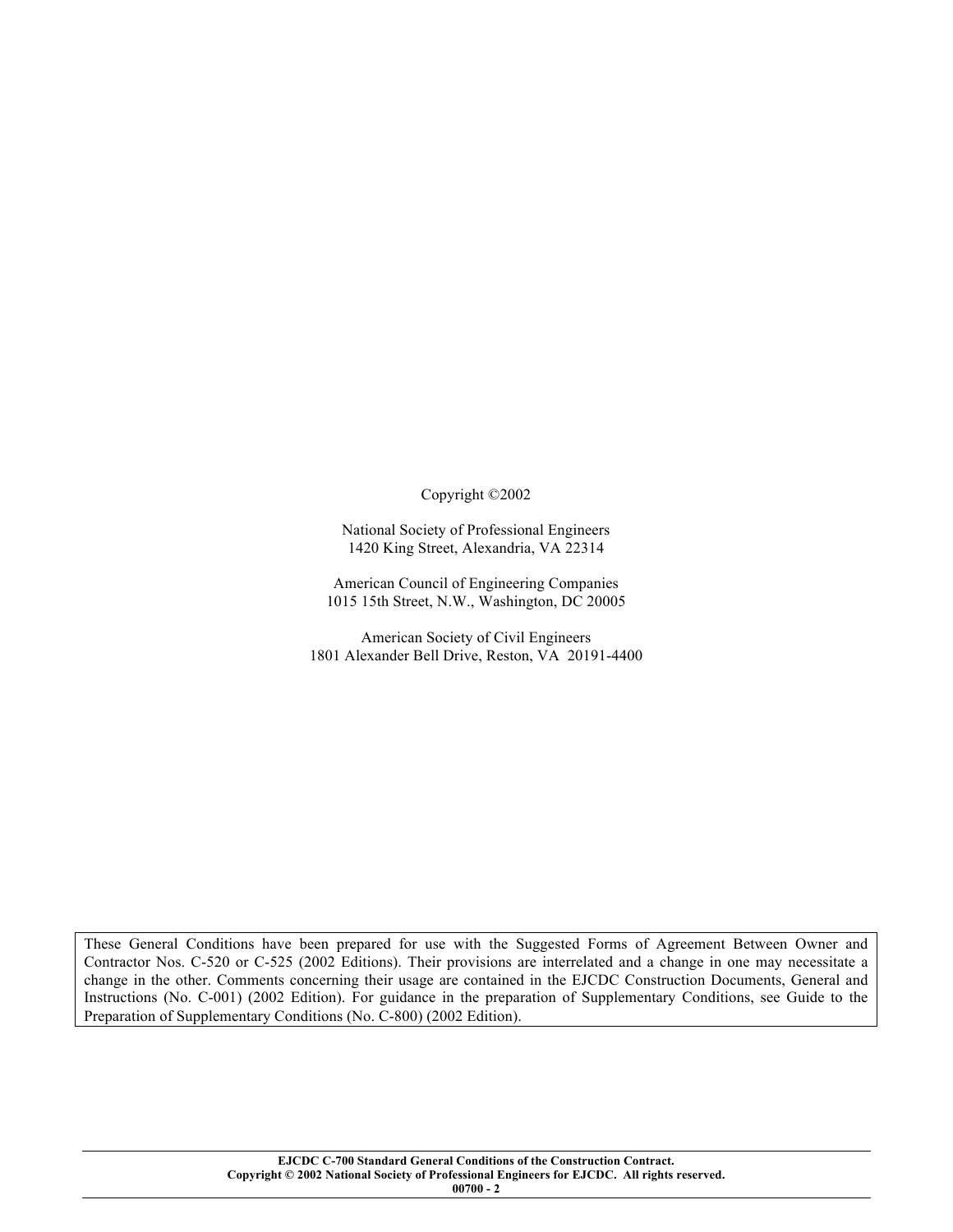Copyright ©2002

National Society of Professional Engineers 1420 King Street, Alexandria, VA 22314

American Council of Engineering Companies 1015 15th Street, N.W., Washington, DC 20005

American Society of Civil Engineers 1801 Alexander Bell Drive, Reston, VA 20191-4400

These General Conditions have been prepared for use with the Suggested Forms of Agreement Between Owner and Contractor Nos. C-520 or C-525 (2002 Editions). Their provisions are interrelated and a change in one may necessitate a change in the other. Comments concerning their usage are contained in the EJCDC Construction Documents, General and Instructions (No. C-001) (2002 Edition). For guidance in the preparation of Supplementary Conditions, see Guide to the Preparation of Supplementary Conditions (No. C-800) (2002 Edition).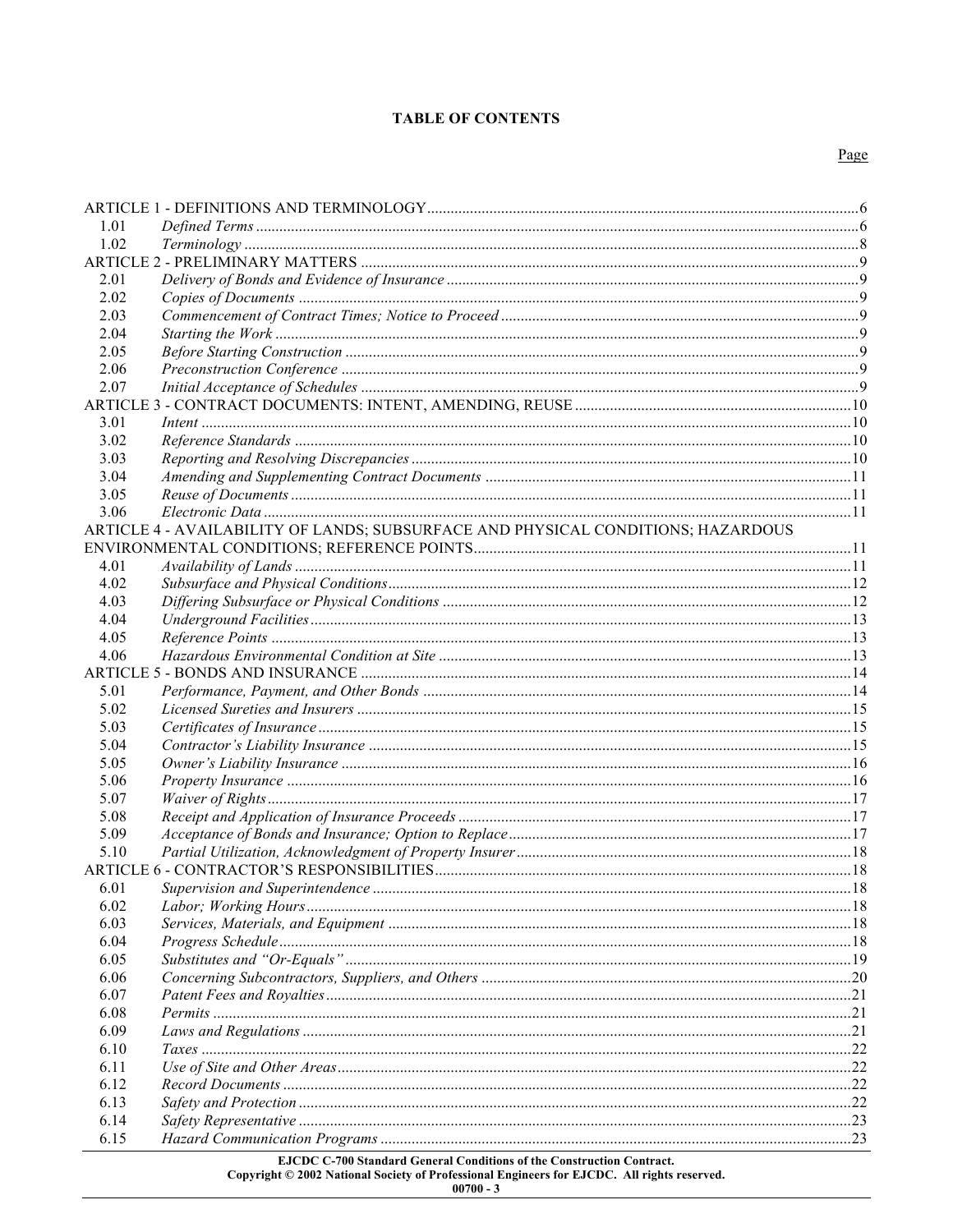#### **TABLE OF CONTENTS**

| 1.01 |                                                                                  |     |
|------|----------------------------------------------------------------------------------|-----|
| 1.02 |                                                                                  |     |
|      |                                                                                  |     |
| 2.01 |                                                                                  |     |
| 2.02 |                                                                                  |     |
| 2.03 |                                                                                  |     |
| 2.04 |                                                                                  |     |
| 2.05 |                                                                                  |     |
| 2.06 |                                                                                  |     |
| 2.07 |                                                                                  |     |
|      |                                                                                  |     |
| 3.01 |                                                                                  |     |
| 3.02 |                                                                                  |     |
| 3.03 |                                                                                  |     |
| 3.04 |                                                                                  |     |
| 3.05 |                                                                                  |     |
| 3.06 |                                                                                  |     |
|      | ARTICLE 4 - AVAILABILITY OF LANDS; SUBSURFACE AND PHYSICAL CONDITIONS; HAZARDOUS |     |
|      |                                                                                  |     |
| 4.01 |                                                                                  |     |
| 4.02 |                                                                                  |     |
| 4.03 |                                                                                  |     |
| 4.04 |                                                                                  |     |
| 4.05 |                                                                                  |     |
| 4.06 |                                                                                  |     |
|      |                                                                                  |     |
| 5.01 |                                                                                  |     |
| 5.02 |                                                                                  |     |
| 5.03 |                                                                                  |     |
| 5.04 |                                                                                  |     |
| 5.05 |                                                                                  |     |
| 5.06 |                                                                                  |     |
| 5.07 |                                                                                  |     |
| 5.08 |                                                                                  |     |
| 5.09 |                                                                                  |     |
| 5.10 |                                                                                  |     |
|      |                                                                                  |     |
| 6.01 |                                                                                  |     |
| 6.02 |                                                                                  |     |
| 6.03 |                                                                                  |     |
| 6.04 |                                                                                  |     |
| 6.05 |                                                                                  |     |
| 6.06 |                                                                                  |     |
| 6.07 |                                                                                  |     |
| 6.08 |                                                                                  | 21  |
| 6.09 |                                                                                  | 21  |
| 6.10 |                                                                                  |     |
| 6.11 |                                                                                  | .22 |
| 6.12 |                                                                                  | 22  |
| 6.13 |                                                                                  |     |
| 6.14 |                                                                                  |     |
| 6.15 |                                                                                  |     |
|      |                                                                                  |     |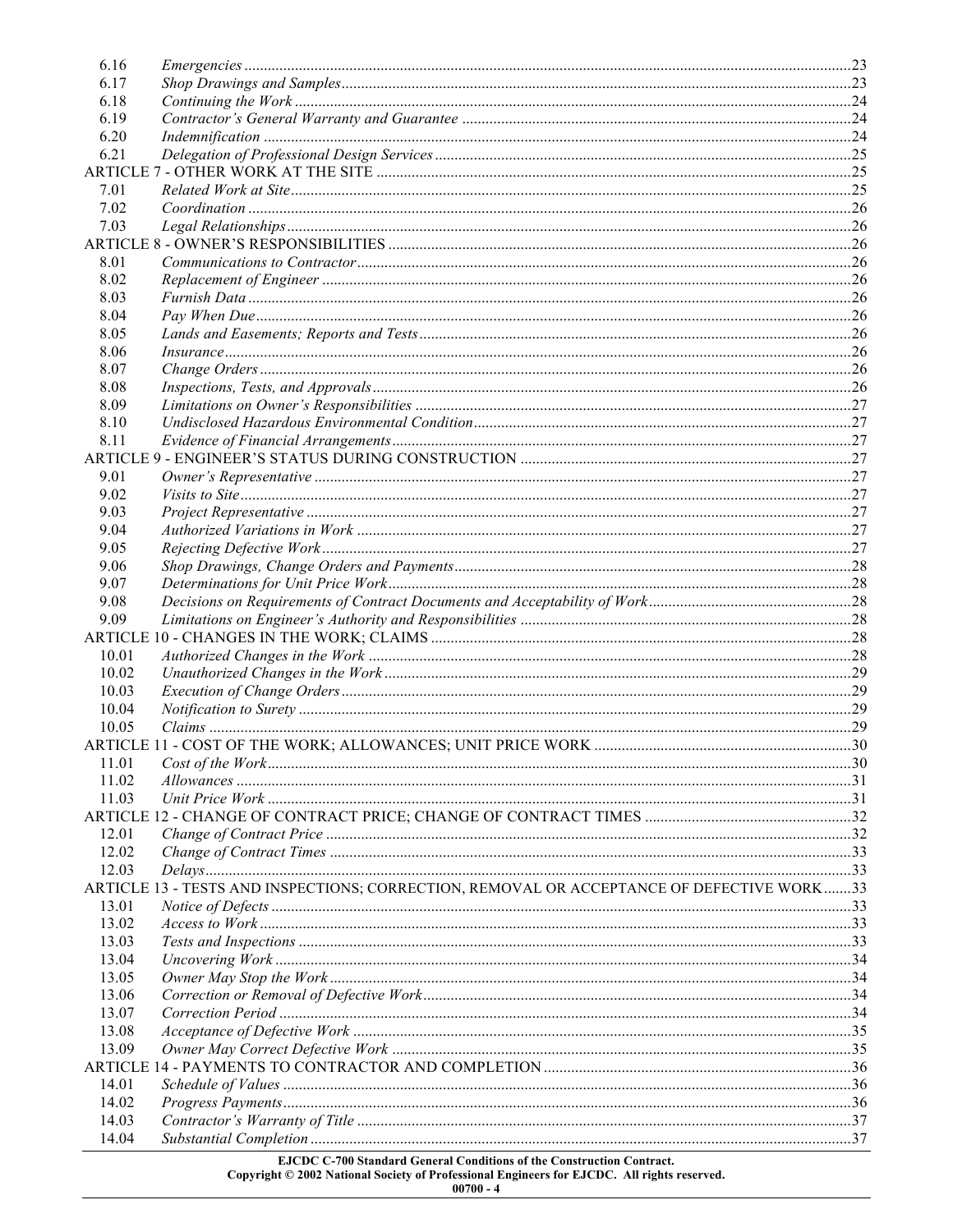| 6.16           |                                                                                           |  |
|----------------|-------------------------------------------------------------------------------------------|--|
| 6.17           |                                                                                           |  |
| 6.18           |                                                                                           |  |
| 6.19           |                                                                                           |  |
| 6.20           |                                                                                           |  |
| 6.21           |                                                                                           |  |
|                |                                                                                           |  |
| 7.01           |                                                                                           |  |
| 7.02           |                                                                                           |  |
| 7.03           |                                                                                           |  |
|                |                                                                                           |  |
| 8.01           |                                                                                           |  |
| 8.02           |                                                                                           |  |
| 8.03           |                                                                                           |  |
| 8.04           |                                                                                           |  |
| 8.05           |                                                                                           |  |
| 8.06           |                                                                                           |  |
| 8.07           |                                                                                           |  |
| 8.08           |                                                                                           |  |
| 8.09           |                                                                                           |  |
| 8.10           |                                                                                           |  |
| 8.11           |                                                                                           |  |
|                |                                                                                           |  |
| 9.01           |                                                                                           |  |
| 9.02           |                                                                                           |  |
| 9.03           |                                                                                           |  |
| 9.04           |                                                                                           |  |
| 9.05           |                                                                                           |  |
| 9.06           |                                                                                           |  |
| 9.07           |                                                                                           |  |
| 9.08           |                                                                                           |  |
| 9.09           |                                                                                           |  |
|                |                                                                                           |  |
| 10.01          |                                                                                           |  |
| 10.02          |                                                                                           |  |
| 10.03          |                                                                                           |  |
| 10.04          |                                                                                           |  |
| 10.05          |                                                                                           |  |
|                |                                                                                           |  |
| 11.01          |                                                                                           |  |
| 11.02          |                                                                                           |  |
| 11.03          |                                                                                           |  |
|                |                                                                                           |  |
| 12.01          |                                                                                           |  |
| 12.02          |                                                                                           |  |
| 12.03          |                                                                                           |  |
|                | ARTICLE 13 - TESTS AND INSPECTIONS; CORRECTION, REMOVAL OR ACCEPTANCE OF DEFECTIVE WORK33 |  |
| 13.01          |                                                                                           |  |
| 13.02          | Access to Work 33                                                                         |  |
| 13.03          |                                                                                           |  |
| 13.04          |                                                                                           |  |
| 13.05          |                                                                                           |  |
| 13.06          |                                                                                           |  |
| 13.07          |                                                                                           |  |
| 13.08          |                                                                                           |  |
| 13.09          |                                                                                           |  |
|                |                                                                                           |  |
| 14.01          |                                                                                           |  |
| 14.02          |                                                                                           |  |
| 14.03<br>14.04 |                                                                                           |  |
|                |                                                                                           |  |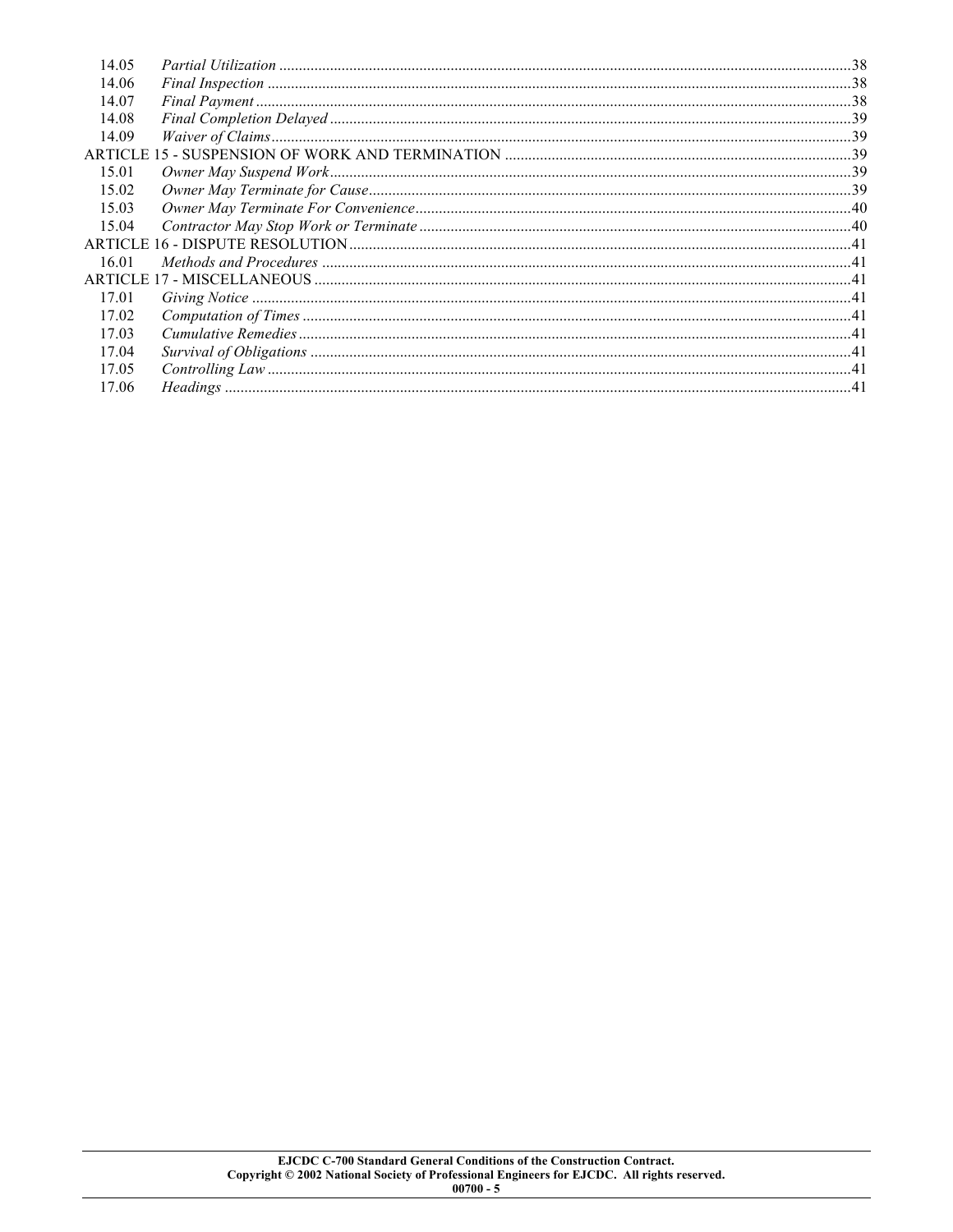| 14.05 |                                                                                                                                                                                                                                                                                                                                                                                                                                                                                                                |  |
|-------|----------------------------------------------------------------------------------------------------------------------------------------------------------------------------------------------------------------------------------------------------------------------------------------------------------------------------------------------------------------------------------------------------------------------------------------------------------------------------------------------------------------|--|
| 14.06 |                                                                                                                                                                                                                                                                                                                                                                                                                                                                                                                |  |
| 14.07 |                                                                                                                                                                                                                                                                                                                                                                                                                                                                                                                |  |
| 14.08 |                                                                                                                                                                                                                                                                                                                                                                                                                                                                                                                |  |
| 14.09 |                                                                                                                                                                                                                                                                                                                                                                                                                                                                                                                |  |
|       |                                                                                                                                                                                                                                                                                                                                                                                                                                                                                                                |  |
| 15.01 |                                                                                                                                                                                                                                                                                                                                                                                                                                                                                                                |  |
| 15.02 |                                                                                                                                                                                                                                                                                                                                                                                                                                                                                                                |  |
| 15.03 |                                                                                                                                                                                                                                                                                                                                                                                                                                                                                                                |  |
| 15.04 |                                                                                                                                                                                                                                                                                                                                                                                                                                                                                                                |  |
|       |                                                                                                                                                                                                                                                                                                                                                                                                                                                                                                                |  |
| 16.01 |                                                                                                                                                                                                                                                                                                                                                                                                                                                                                                                |  |
|       |                                                                                                                                                                                                                                                                                                                                                                                                                                                                                                                |  |
| 17.01 |                                                                                                                                                                                                                                                                                                                                                                                                                                                                                                                |  |
| 17.02 |                                                                                                                                                                                                                                                                                                                                                                                                                                                                                                                |  |
| 17.03 |                                                                                                                                                                                                                                                                                                                                                                                                                                                                                                                |  |
| 17.04 |                                                                                                                                                                                                                                                                                                                                                                                                                                                                                                                |  |
| 17.05 |                                                                                                                                                                                                                                                                                                                                                                                                                                                                                                                |  |
| 17.06 | $\begin{minipage}{0.43\linewidth} Controlling Law \end{minipage} \begin{minipage}{0.43\linewidth} A1 \end{minipage} \begin{minipage}{0.43\linewidth} A2 \end{minipage} \begin{minipage}{0.43\linewidth} A3 \end{minipage} \begin{minipage}{0.43\linewidth} A4 \end{minipage} \begin{minipage}{0.43\linewidth} A5 \end{minipage} \begin{minipage}{0.43\linewidth} A6 \end{minipage} \begin{minipage}{0.43\linewidth} A7 \end{minipage} \begin{minipage}{0.43\linewidth} A8 \end{minipage} \begin{minipage}{0.4$ |  |
|       |                                                                                                                                                                                                                                                                                                                                                                                                                                                                                                                |  |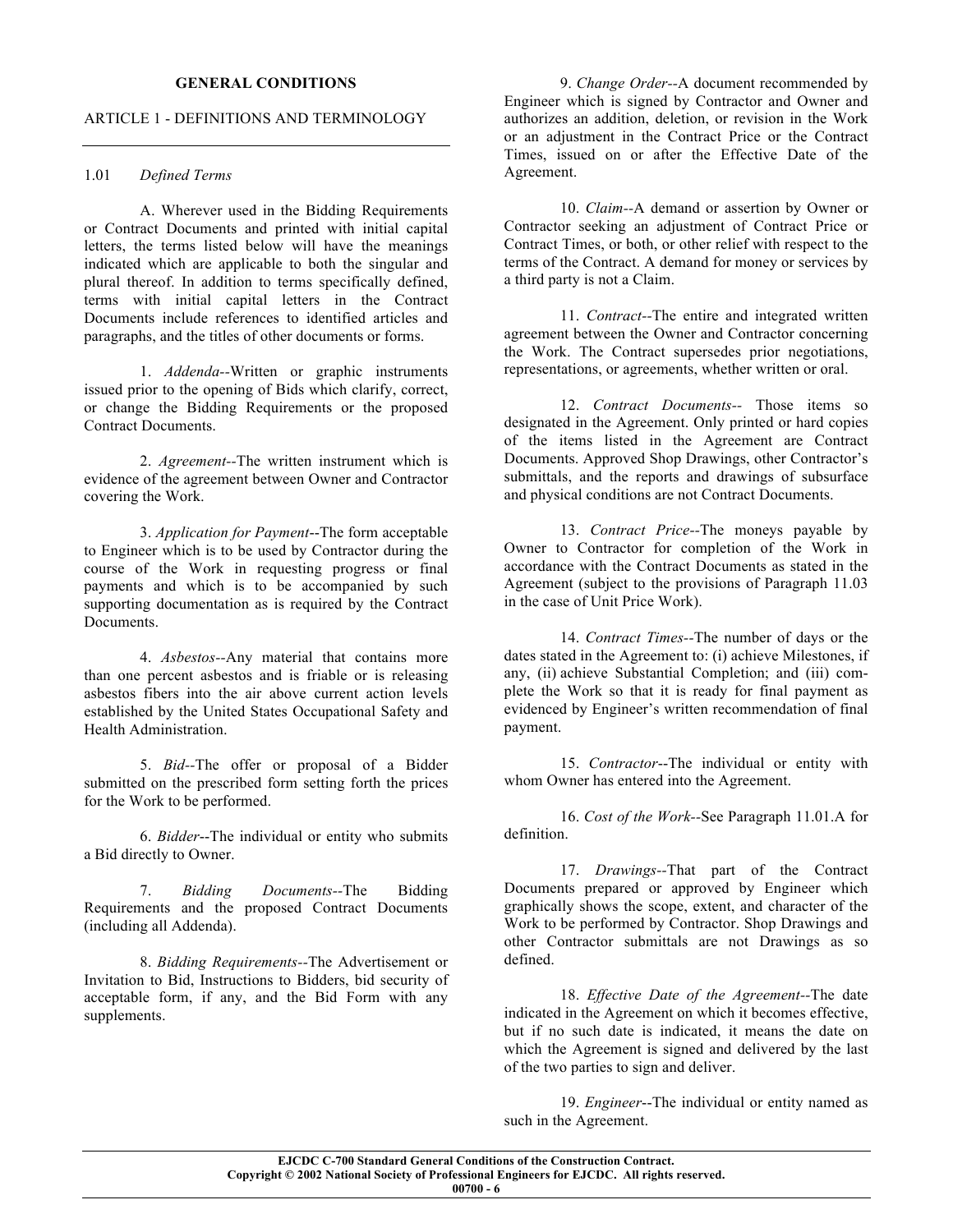#### **GENERAL CONDITIONS**

#### ARTICLE 1 - DEFINITIONS AND TERMINOLOGY

#### 1.01 *Defined Terms*

A. Wherever used in the Bidding Requirements or Contract Documents and printed with initial capital letters, the terms listed below will have the meanings indicated which are applicable to both the singular and plural thereof. In addition to terms specifically defined, terms with initial capital letters in the Contract Documents include references to identified articles and paragraphs, and the titles of other documents or forms.

1. *Addenda--*Written or graphic instruments issued prior to the opening of Bids which clarify, correct, or change the Bidding Requirements or the proposed Contract Documents.

2. *Agreement--*The written instrument which is evidence of the agreement between Owner and Contractor covering the Work.

3. *Application for Payment*--The form acceptable to Engineer which is to be used by Contractor during the course of the Work in requesting progress or final payments and which is to be accompanied by such supporting documentation as is required by the Contract Documents.

4. *Asbestos--*Any material that contains more than one percent asbestos and is friable or is releasing asbestos fibers into the air above current action levels established by the United States Occupational Safety and Health Administration.

5. *Bid--*The offer or proposal of a Bidder submitted on the prescribed form setting forth the prices for the Work to be performed.

6. *Bidder*--The individual or entity who submits a Bid directly to Owner.

7. *Bidding Documents--*The Bidding Requirements and the proposed Contract Documents (including all Addenda).

8. *Bidding Requirements--*The Advertisement or Invitation to Bid, Instructions to Bidders, bid security of acceptable form, if any, and the Bid Form with any supplements.

9. *Change Order--*A document recommended by Engineer which is signed by Contractor and Owner and authorizes an addition, deletion, or revision in the Work or an adjustment in the Contract Price or the Contract Times, issued on or after the Effective Date of the Agreement.

10. *Claim--*A demand or assertion by Owner or Contractor seeking an adjustment of Contract Price or Contract Times, or both, or other relief with respect to the terms of the Contract. A demand for money or services by a third party is not a Claim.

11. *Contract--*The entire and integrated written agreement between the Owner and Contractor concerning the Work. The Contract supersedes prior negotiations, representations, or agreements, whether written or oral.

12. *Contract Documents--* Those items so designated in the Agreement. Only printed or hard copies of the items listed in the Agreement are Contract Documents. Approved Shop Drawings, other Contractor's submittals, and the reports and drawings of subsurface and physical conditions are not Contract Documents.

13. *Contract Price--*The moneys payable by Owner to Contractor for completion of the Work in accordance with the Contract Documents as stated in the Agreement (subject to the provisions of Paragraph 11.03 in the case of Unit Price Work).

14. *Contract Times--*The number of days or the dates stated in the Agreement to: (i) achieve Milestones, if any, (ii) achieve Substantial Completion; and (iii) complete the Work so that it is ready for final payment as evidenced by Engineer's written recommendation of final payment.

15. *Contractor*--The individual or entity with whom Owner has entered into the Agreement.

16. *Cost of the Work--*See Paragraph 11.01.A for definition.

17. *Drawings--*That part of the Contract Documents prepared or approved by Engineer which graphically shows the scope, extent, and character of the Work to be performed by Contractor. Shop Drawings and other Contractor submittals are not Drawings as so defined.

18. *Effective Date of the Agreement--*The date indicated in the Agreement on which it becomes effective, but if no such date is indicated, it means the date on which the Agreement is signed and delivered by the last of the two parties to sign and deliver.

19. *Engineer*--The individual or entity named as such in the Agreement.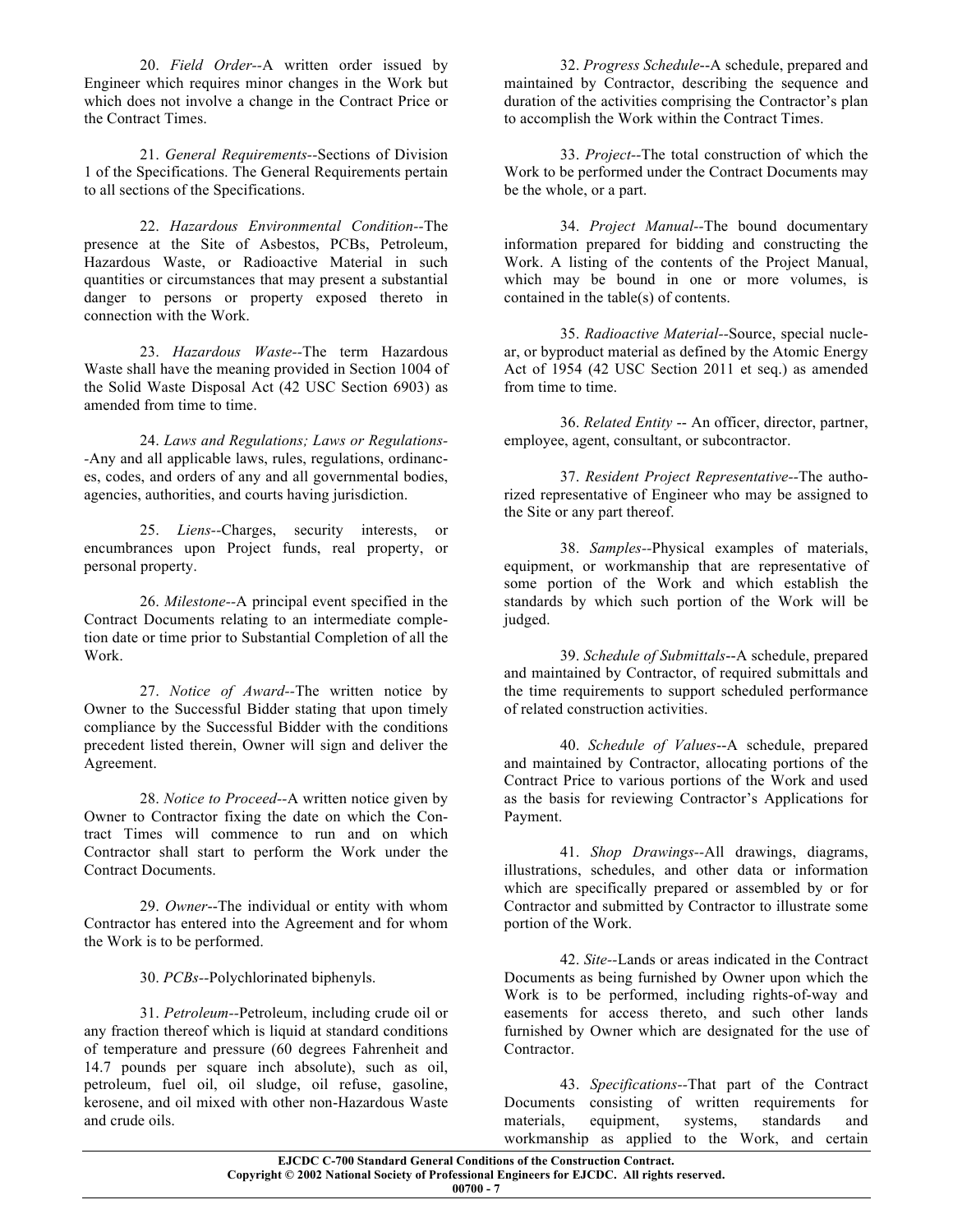20. *Field Order--*A written order issued by Engineer which requires minor changes in the Work but which does not involve a change in the Contract Price or the Contract Times.

21. *General Requirements--*Sections of Division 1 of the Specifications. The General Requirements pertain to all sections of the Specifications.

22. *Hazardous Environmental Condition--*The presence at the Site of Asbestos, PCBs, Petroleum, Hazardous Waste, or Radioactive Material in such quantities or circumstances that may present a substantial danger to persons or property exposed thereto in connection with the Work.

23. *Hazardous Waste--*The term Hazardous Waste shall have the meaning provided in Section 1004 of the Solid Waste Disposal Act (42 USC Section 6903) as amended from time to time.

24. *Laws and Regulations; Laws or Regulations- -*Any and all applicable laws, rules, regulations, ordinances, codes, and orders of any and all governmental bodies, agencies, authorities, and courts having jurisdiction.

25. *Liens--*Charges, security interests, or encumbrances upon Project funds, real property, or personal property.

26. *Milestone--*A principal event specified in the Contract Documents relating to an intermediate completion date or time prior to Substantial Completion of all the Work.

27. *Notice of Award--*The written notice by Owner to the Successful Bidder stating that upon timely compliance by the Successful Bidder with the conditions precedent listed therein, Owner will sign and deliver the Agreement.

28. *Notice to Proceed--*A written notice given by Owner to Contractor fixing the date on which the Contract Times will commence to run and on which Contractor shall start to perform the Work under the Contract Documents.

29. *Owner*--The individual or entity with whom Contractor has entered into the Agreement and for whom the Work is to be performed.

30. *PCBs--*Polychlorinated biphenyls.

31. *Petroleum--*Petroleum, including crude oil or any fraction thereof which is liquid at standard conditions of temperature and pressure (60 degrees Fahrenheit and 14.7 pounds per square inch absolute), such as oil, petroleum, fuel oil, oil sludge, oil refuse, gasoline, kerosene, and oil mixed with other non-Hazardous Waste and crude oils.

32. *Progress Schedule*--A schedule, prepared and maintained by Contractor, describing the sequence and duration of the activities comprising the Contractor's plan to accomplish the Work within the Contract Times.

33. *Project--*The total construction of which the Work to be performed under the Contract Documents may be the whole, or a part.

34. *Project Manual--*The bound documentary information prepared for bidding and constructing the Work. A listing of the contents of the Project Manual, which may be bound in one or more volumes, is contained in the table(s) of contents.

35. *Radioactive Material--*Source, special nuclear, or byproduct material as defined by the Atomic Energy Act of 1954 (42 USC Section 2011 et seq.) as amended from time to time.

36. *Related Entity* -- An officer, director, partner, employee, agent, consultant, or subcontractor.

37. *Resident Project Representative--*The authorized representative of Engineer who may be assigned to the Site or any part thereof.

38. *Samples--*Physical examples of materials, equipment, or workmanship that are representative of some portion of the Work and which establish the standards by which such portion of the Work will be judged.

39. *Schedule of Submittals*--A schedule, prepared and maintained by Contractor, of required submittals and the time requirements to support scheduled performance of related construction activities.

40. *Schedule of Values*--A schedule, prepared and maintained by Contractor, allocating portions of the Contract Price to various portions of the Work and used as the basis for reviewing Contractor's Applications for Payment.

41. *Shop Drawings--*All drawings, diagrams, illustrations, schedules, and other data or information which are specifically prepared or assembled by or for Contractor and submitted by Contractor to illustrate some portion of the Work.

42. *Site--*Lands or areas indicated in the Contract Documents as being furnished by Owner upon which the Work is to be performed, including rights-of-way and easements for access thereto, and such other lands furnished by Owner which are designated for the use of Contractor.

43. *Specifications--*That part of the Contract Documents consisting of written requirements for materials, equipment, systems, standards and workmanship as applied to the Work, and certain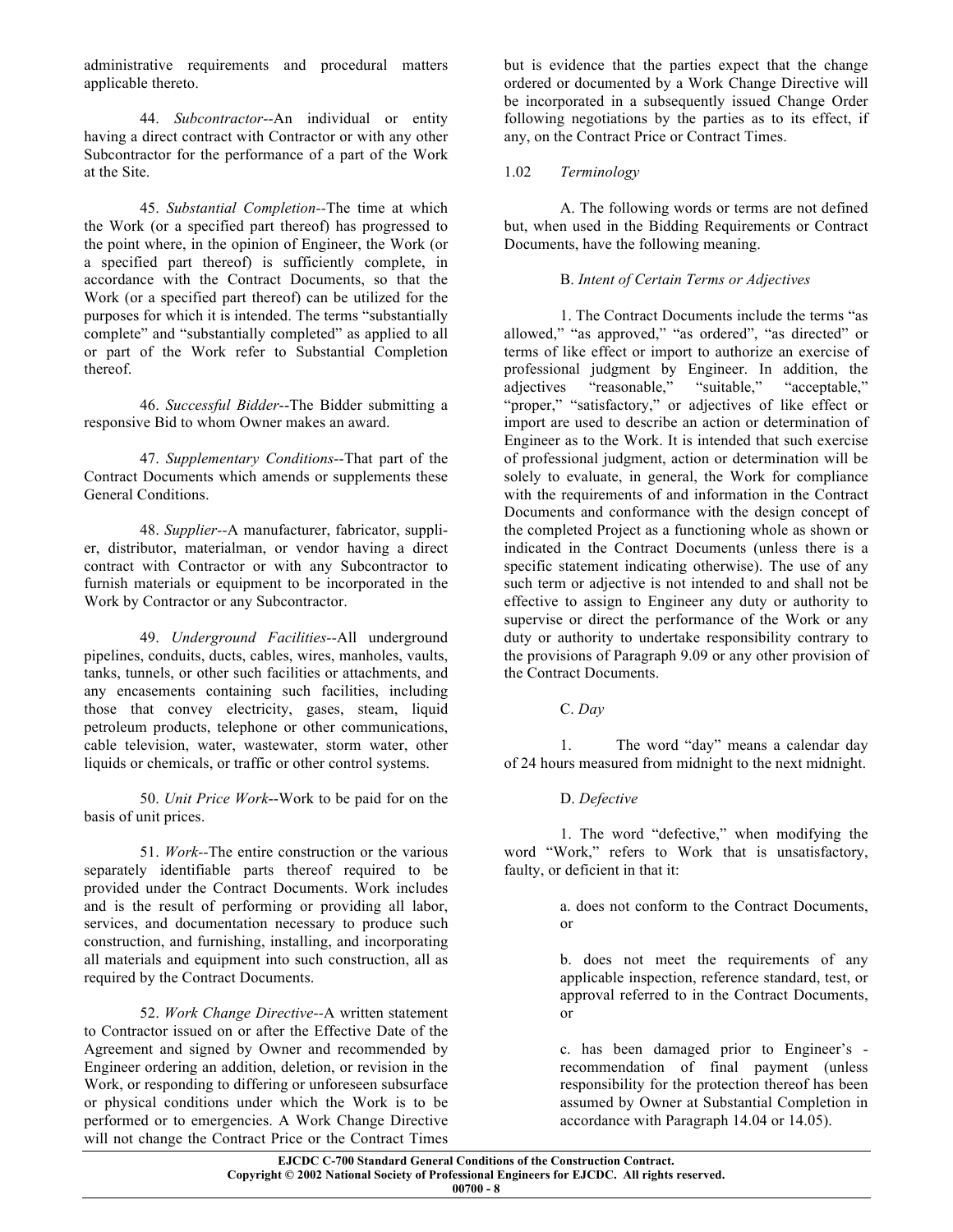administrative requirements and procedural matters applicable thereto.

44. *Subcontractor--*An individual or entity having a direct contract with Contractor or with any other Subcontractor for the performance of a part of the Work at the Site.

45. *Substantial Completion--*The time at which the Work (or a specified part thereof) has progressed to the point where, in the opinion of Engineer, the Work (or a specified part thereof) is sufficiently complete, in accordance with the Contract Documents, so that the Work (or a specified part thereof) can be utilized for the purposes for which it is intended. The terms "substantially complete" and "substantially completed" as applied to all or part of the Work refer to Substantial Completion thereof.

46. *Successful Bidder*--The Bidder submitting a responsive Bid to whom Owner makes an award.

47. *Supplementary Conditions--*That part of the Contract Documents which amends or supplements these General Conditions.

48. *Supplier--*A manufacturer, fabricator, supplier, distributor, materialman, or vendor having a direct contract with Contractor or with any Subcontractor to furnish materials or equipment to be incorporated in the Work by Contractor or any Subcontractor.

49. *Underground Facilities--*All underground pipelines, conduits, ducts, cables, wires, manholes, vaults, tanks, tunnels, or other such facilities or attachments, and any encasements containing such facilities, including those that convey electricity, gases, steam, liquid petroleum products, telephone or other communications, cable television, water, wastewater, storm water, other liquids or chemicals, or traffic or other control systems.

50. *Unit Price Work*--Work to be paid for on the basis of unit prices.

51. *Work--*The entire construction or the various separately identifiable parts thereof required to be provided under the Contract Documents. Work includes and is the result of performing or providing all labor, services, and documentation necessary to produce such construction, and furnishing, installing, and incorporating all materials and equipment into such construction, all as required by the Contract Documents.

52. *Work Change Directive--*A written statement to Contractor issued on or after the Effective Date of the Agreement and signed by Owner and recommended by Engineer ordering an addition, deletion, or revision in the Work, or responding to differing or unforeseen subsurface or physical conditions under which the Work is to be performed or to emergencies. A Work Change Directive will not change the Contract Price or the Contract Times

but is evidence that the parties expect that the change ordered or documented by a Work Change Directive will be incorporated in a subsequently issued Change Order following negotiations by the parties as to its effect, if any, on the Contract Price or Contract Times.

## 1.02 *Terminology*

A. The following words or terms are not defined but, when used in the Bidding Requirements or Contract Documents, have the following meaning.

## B. *Intent of Certain Terms or Adjectives*

1. The Contract Documents include the terms "as allowed," "as approved," "as ordered", "as directed" or terms of like effect or import to authorize an exercise of professional judgment by Engineer. In addition, the adjectives "reasonable," "suitable," "acceptable,"  $adjectives$  "reasonable," "proper," "satisfactory," or adjectives of like effect or import are used to describe an action or determination of Engineer as to the Work. It is intended that such exercise of professional judgment, action or determination will be solely to evaluate, in general, the Work for compliance with the requirements of and information in the Contract Documents and conformance with the design concept of the completed Project as a functioning whole as shown or indicated in the Contract Documents (unless there is a specific statement indicating otherwise). The use of any such term or adjective is not intended to and shall not be effective to assign to Engineer any duty or authority to supervise or direct the performance of the Work or any duty or authority to undertake responsibility contrary to the provisions of Paragraph 9.09 or any other provision of the Contract Documents.

C. *Day*

1. The word "day" means a calendar day of 24 hours measured from midnight to the next midnight.

D. *Defective*

1. The word "defective," when modifying the word "Work," refers to Work that is unsatisfactory, faulty, or deficient in that it:

> a. does not conform to the Contract Documents, or

> b. does not meet the requirements of any applicable inspection, reference standard, test, or approval referred to in the Contract Documents, or

> c. has been damaged prior to Engineer's recommendation of final payment (unless responsibility for the protection thereof has been assumed by Owner at Substantial Completion in accordance with Paragraph 14.04 or 14.05).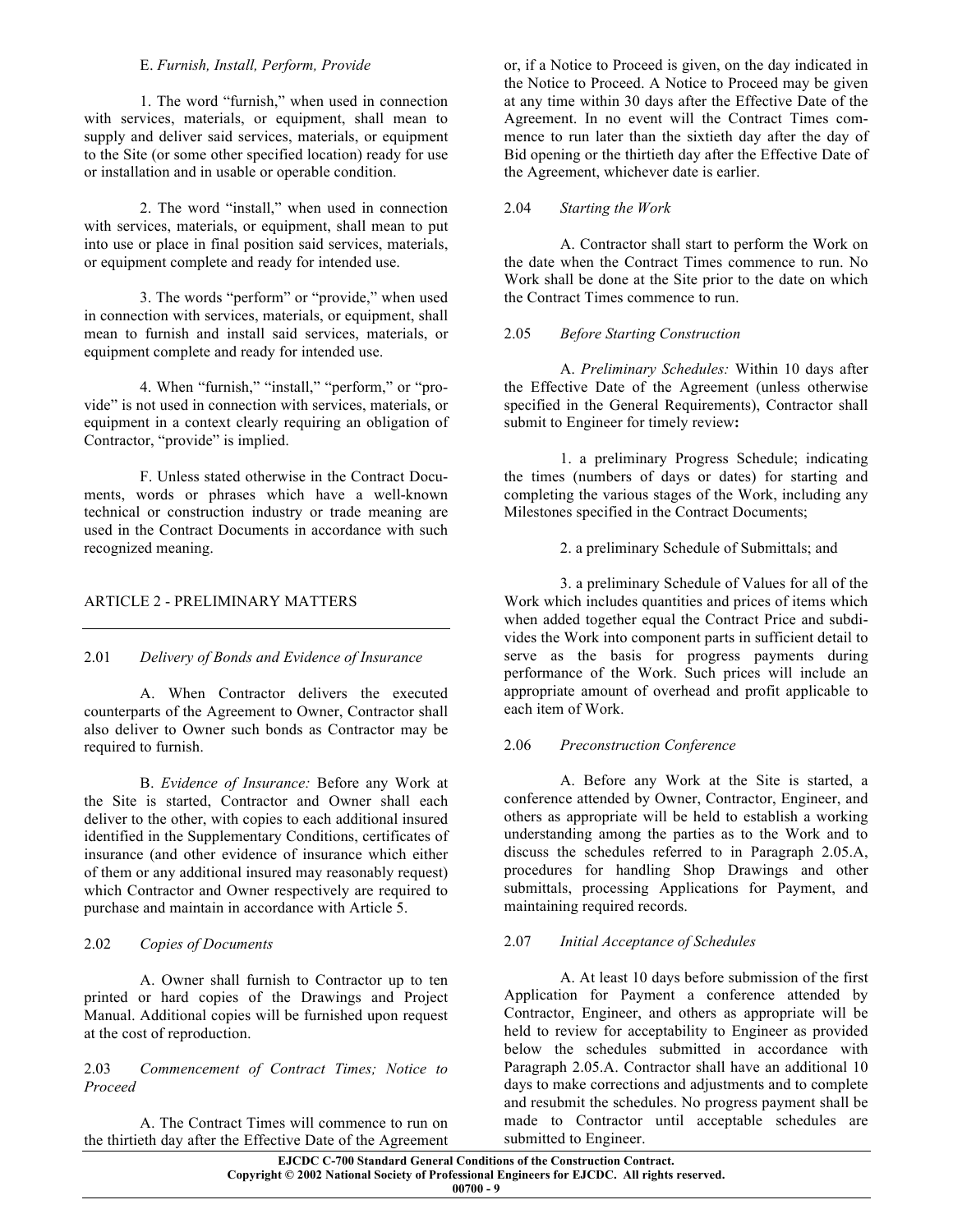#### E. *Furnish, Install, Perform, Provide*

1. The word "furnish," when used in connection with services, materials, or equipment, shall mean to supply and deliver said services, materials, or equipment to the Site (or some other specified location) ready for use or installation and in usable or operable condition.

2. The word "install," when used in connection with services, materials, or equipment, shall mean to put into use or place in final position said services, materials, or equipment complete and ready for intended use.

3. The words "perform" or "provide," when used in connection with services, materials, or equipment, shall mean to furnish and install said services, materials, or equipment complete and ready for intended use.

4. When "furnish," "install," "perform," or "provide" is not used in connection with services, materials, or equipment in a context clearly requiring an obligation of Contractor, "provide" is implied.

F. Unless stated otherwise in the Contract Documents, words or phrases which have a well-known technical or construction industry or trade meaning are used in the Contract Documents in accordance with such recognized meaning.

#### ARTICLE 2 - PRELIMINARY MATTERS

#### 2.01 *Delivery of Bonds and Evidence of Insurance*

A. When Contractor delivers the executed counterparts of the Agreement to Owner, Contractor shall also deliver to Owner such bonds as Contractor may be required to furnish.

B. *Evidence of Insurance:* Before any Work at the Site is started, Contractor and Owner shall each deliver to the other, with copies to each additional insured identified in the Supplementary Conditions, certificates of insurance (and other evidence of insurance which either of them or any additional insured may reasonably request) which Contractor and Owner respectively are required to purchase and maintain in accordance with Article 5.

#### 2.02 *Copies of Documents*

A. Owner shall furnish to Contractor up to ten printed or hard copies of the Drawings and Project Manual. Additional copies will be furnished upon request at the cost of reproduction.

2.03 *Commencement of Contract Times; Notice to Proceed*

A. The Contract Times will commence to run on the thirtieth day after the Effective Date of the Agreement or, if a Notice to Proceed is given, on the day indicated in the Notice to Proceed. A Notice to Proceed may be given at any time within 30 days after the Effective Date of the Agreement. In no event will the Contract Times commence to run later than the sixtieth day after the day of Bid opening or the thirtieth day after the Effective Date of the Agreement, whichever date is earlier.

#### 2.04 *Starting the Work*

A. Contractor shall start to perform the Work on the date when the Contract Times commence to run. No Work shall be done at the Site prior to the date on which the Contract Times commence to run.

#### 2.05 *Before Starting Construction*

A. *Preliminary Schedules:* Within 10 days after the Effective Date of the Agreement (unless otherwise specified in the General Requirements), Contractor shall submit to Engineer for timely review**:**

1. a preliminary Progress Schedule; indicating the times (numbers of days or dates) for starting and completing the various stages of the Work, including any Milestones specified in the Contract Documents;

2. a preliminary Schedule of Submittals; and

3. a preliminary Schedule of Values for all of the Work which includes quantities and prices of items which when added together equal the Contract Price and subdivides the Work into component parts in sufficient detail to serve as the basis for progress payments during performance of the Work. Such prices will include an appropriate amount of overhead and profit applicable to each item of Work.

#### 2.06 *Preconstruction Conference*

A. Before any Work at the Site is started, a conference attended by Owner, Contractor, Engineer, and others as appropriate will be held to establish a working understanding among the parties as to the Work and to discuss the schedules referred to in Paragraph 2.05.A, procedures for handling Shop Drawings and other submittals, processing Applications for Payment, and maintaining required records.

#### 2.07 *Initial Acceptance of Schedules*

A. At least 10 days before submission of the first Application for Payment a conference attended by Contractor, Engineer, and others as appropriate will be held to review for acceptability to Engineer as provided below the schedules submitted in accordance with Paragraph 2.05.A. Contractor shall have an additional 10 days to make corrections and adjustments and to complete and resubmit the schedules. No progress payment shall be made to Contractor until acceptable schedules are submitted to Engineer.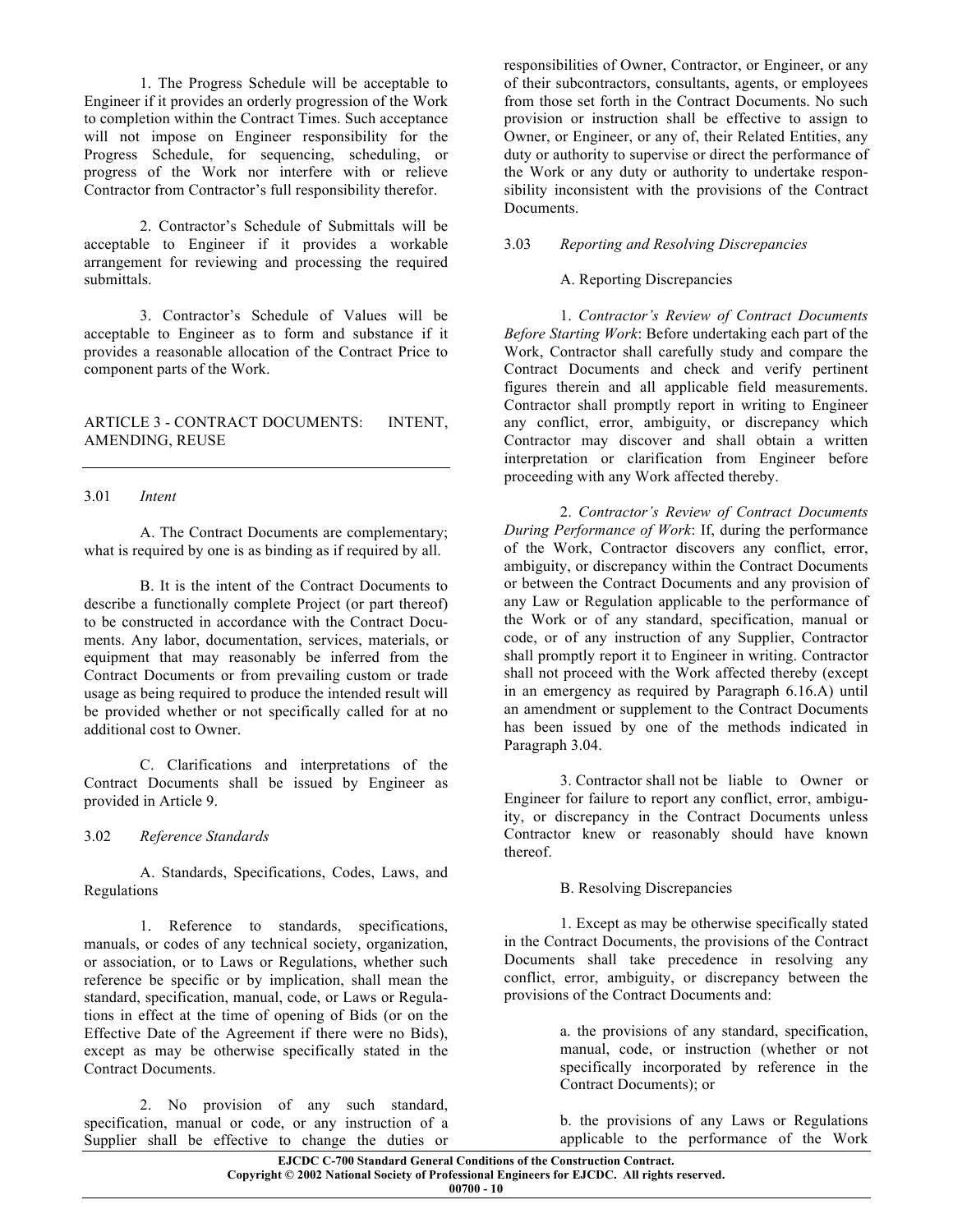1. The Progress Schedule will be acceptable to Engineer if it provides an orderly progression of the Work to completion within the Contract Times. Such acceptance will not impose on Engineer responsibility for the Progress Schedule, for sequencing, scheduling, or progress of the Work nor interfere with or relieve Contractor from Contractor's full responsibility therefor.

2. Contractor's Schedule of Submittals will be acceptable to Engineer if it provides a workable arrangement for reviewing and processing the required submittals.

3. Contractor's Schedule of Values will be acceptable to Engineer as to form and substance if it provides a reasonable allocation of the Contract Price to component parts of the Work.

#### ARTICLE 3 - CONTRACT DOCUMENTS: INTENT, AMENDING, REUSE

3.01 *Intent*

A. The Contract Documents are complementary; what is required by one is as binding as if required by all.

B. It is the intent of the Contract Documents to describe a functionally complete Project (or part thereof) to be constructed in accordance with the Contract Documents. Any labor, documentation, services, materials, or equipment that may reasonably be inferred from the Contract Documents or from prevailing custom or trade usage as being required to produce the intended result will be provided whether or not specifically called for at no additional cost to Owner.

C. Clarifications and interpretations of the Contract Documents shall be issued by Engineer as provided in Article 9.

3.02 *Reference Standards*

A. Standards, Specifications, Codes, Laws, and Regulations

1. Reference to standards, specifications, manuals, or codes of any technical society, organization, or association, or to Laws or Regulations, whether such reference be specific or by implication, shall mean the standard, specification, manual, code, or Laws or Regulations in effect at the time of opening of Bids (or on the Effective Date of the Agreement if there were no Bids), except as may be otherwise specifically stated in the Contract Documents.

2. No provision of any such standard, specification, manual or code, or any instruction of a Supplier shall be effective to change the duties or responsibilities of Owner, Contractor, or Engineer, or any of their subcontractors, consultants, agents, or employees from those set forth in the Contract Documents. No such provision or instruction shall be effective to assign to Owner, or Engineer, or any of, their Related Entities, any duty or authority to supervise or direct the performance of the Work or any duty or authority to undertake responsibility inconsistent with the provisions of the Contract Documents.

#### 3.03 *Reporting and Resolving Discrepancies*

#### A. Reporting Discrepancies

1. *Contractor's Review of Contract Documents Before Starting Work*: Before undertaking each part of the Work, Contractor shall carefully study and compare the Contract Documents and check and verify pertinent figures therein and all applicable field measurements. Contractor shall promptly report in writing to Engineer any conflict, error, ambiguity, or discrepancy which Contractor may discover and shall obtain a written interpretation or clarification from Engineer before proceeding with any Work affected thereby.

2. *Contractor's Review of Contract Documents During Performance of Work*: If, during the performance of the Work, Contractor discovers any conflict, error, ambiguity, or discrepancy within the Contract Documents or between the Contract Documents and any provision of any Law or Regulation applicable to the performance of the Work or of any standard, specification, manual or code, or of any instruction of any Supplier, Contractor shall promptly report it to Engineer in writing. Contractor shall not proceed with the Work affected thereby (except in an emergency as required by Paragraph 6.16.A) until an amendment or supplement to the Contract Documents has been issued by one of the methods indicated in Paragraph 3.04.

3. Contractor shall not be liable to Owner or Engineer for failure to report any conflict, error, ambiguity, or discrepancy in the Contract Documents unless Contractor knew or reasonably should have known thereof.

B. Resolving Discrepancies

1. Except as may be otherwise specifically stated in the Contract Documents, the provisions of the Contract Documents shall take precedence in resolving any conflict, error, ambiguity, or discrepancy between the provisions of the Contract Documents and:

> a. the provisions of any standard, specification, manual, code, or instruction (whether or not specifically incorporated by reference in the Contract Documents); or

> b. the provisions of any Laws or Regulations applicable to the performance of the Work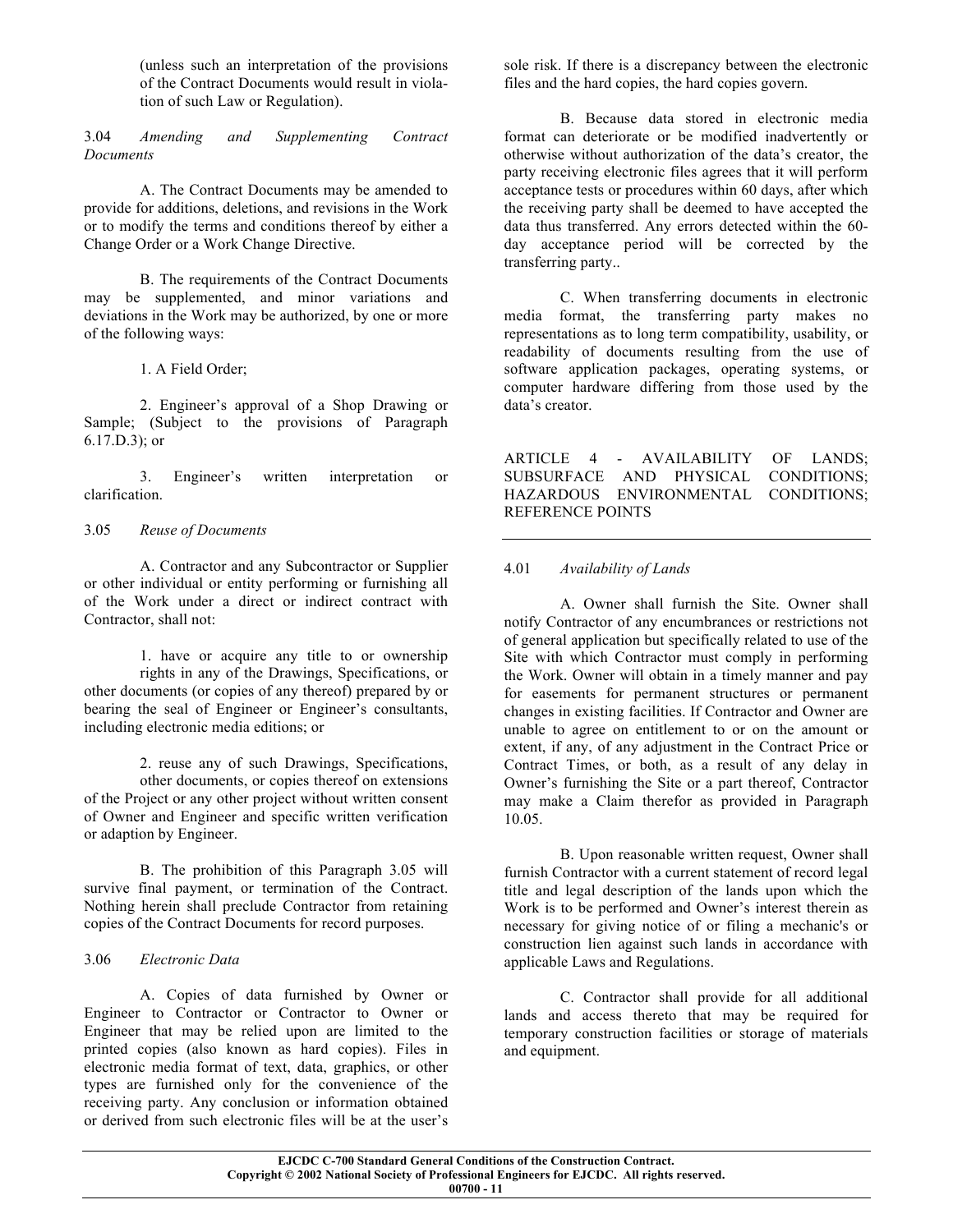(unless such an interpretation of the provisions of the Contract Documents would result in violation of such Law or Regulation).

3.04 *Amending and Supplementing Contract Documents*

A. The Contract Documents may be amended to provide for additions, deletions, and revisions in the Work or to modify the terms and conditions thereof by either a Change Order or a Work Change Directive.

B. The requirements of the Contract Documents may be supplemented, and minor variations and deviations in the Work may be authorized, by one or more of the following ways:

1. A Field Order;

2. Engineer's approval of a Shop Drawing or Sample; (Subject to the provisions of Paragraph 6.17.D.3); or

3. Engineer's written interpretation or clarification.

3.05 *Reuse of Documents*

A. Contractor and any Subcontractor or Supplier or other individual or entity performing or furnishing all of the Work under a direct or indirect contract with Contractor, shall not:

1. have or acquire any title to or ownership rights in any of the Drawings, Specifications, or other documents (or copies of any thereof) prepared by or bearing the seal of Engineer or Engineer's consultants, including electronic media editions; or

2. reuse any of such Drawings, Specifications, other documents, or copies thereof on extensions of the Project or any other project without written consent of Owner and Engineer and specific written verification or adaption by Engineer.

B. The prohibition of this Paragraph 3.05 will survive final payment, or termination of the Contract. Nothing herein shall preclude Contractor from retaining copies of the Contract Documents for record purposes.

### 3.06 *Electronic Data*

A. Copies of data furnished by Owner or Engineer to Contractor or Contractor to Owner or Engineer that may be relied upon are limited to the printed copies (also known as hard copies). Files in electronic media format of text, data, graphics, or other types are furnished only for the convenience of the receiving party. Any conclusion or information obtained or derived from such electronic files will be at the user's

sole risk. If there is a discrepancy between the electronic files and the hard copies, the hard copies govern.

B. Because data stored in electronic media format can deteriorate or be modified inadvertently or otherwise without authorization of the data's creator, the party receiving electronic files agrees that it will perform acceptance tests or procedures within 60 days, after which the receiving party shall be deemed to have accepted the data thus transferred. Any errors detected within the 60 day acceptance period will be corrected by the transferring party..

C. When transferring documents in electronic media format, the transferring party makes no representations as to long term compatibility, usability, or readability of documents resulting from the use of software application packages, operating systems, or computer hardware differing from those used by the data's creator.

ARTICLE 4 - AVAILABILITY OF LANDS; SUBSURFACE AND PHYSICAL CONDITIONS; HAZARDOUS ENVIRONMENTAL CONDITIONS; REFERENCE POINTS

# 4.01 *Availability of Lands*

A. Owner shall furnish the Site. Owner shall notify Contractor of any encumbrances or restrictions not of general application but specifically related to use of the Site with which Contractor must comply in performing the Work. Owner will obtain in a timely manner and pay for easements for permanent structures or permanent changes in existing facilities. If Contractor and Owner are unable to agree on entitlement to or on the amount or extent, if any, of any adjustment in the Contract Price or Contract Times, or both, as a result of any delay in Owner's furnishing the Site or a part thereof, Contractor may make a Claim therefor as provided in Paragraph 10.05.

B. Upon reasonable written request, Owner shall furnish Contractor with a current statement of record legal title and legal description of the lands upon which the Work is to be performed and Owner's interest therein as necessary for giving notice of or filing a mechanic's or construction lien against such lands in accordance with applicable Laws and Regulations.

C. Contractor shall provide for all additional lands and access thereto that may be required for temporary construction facilities or storage of materials and equipment.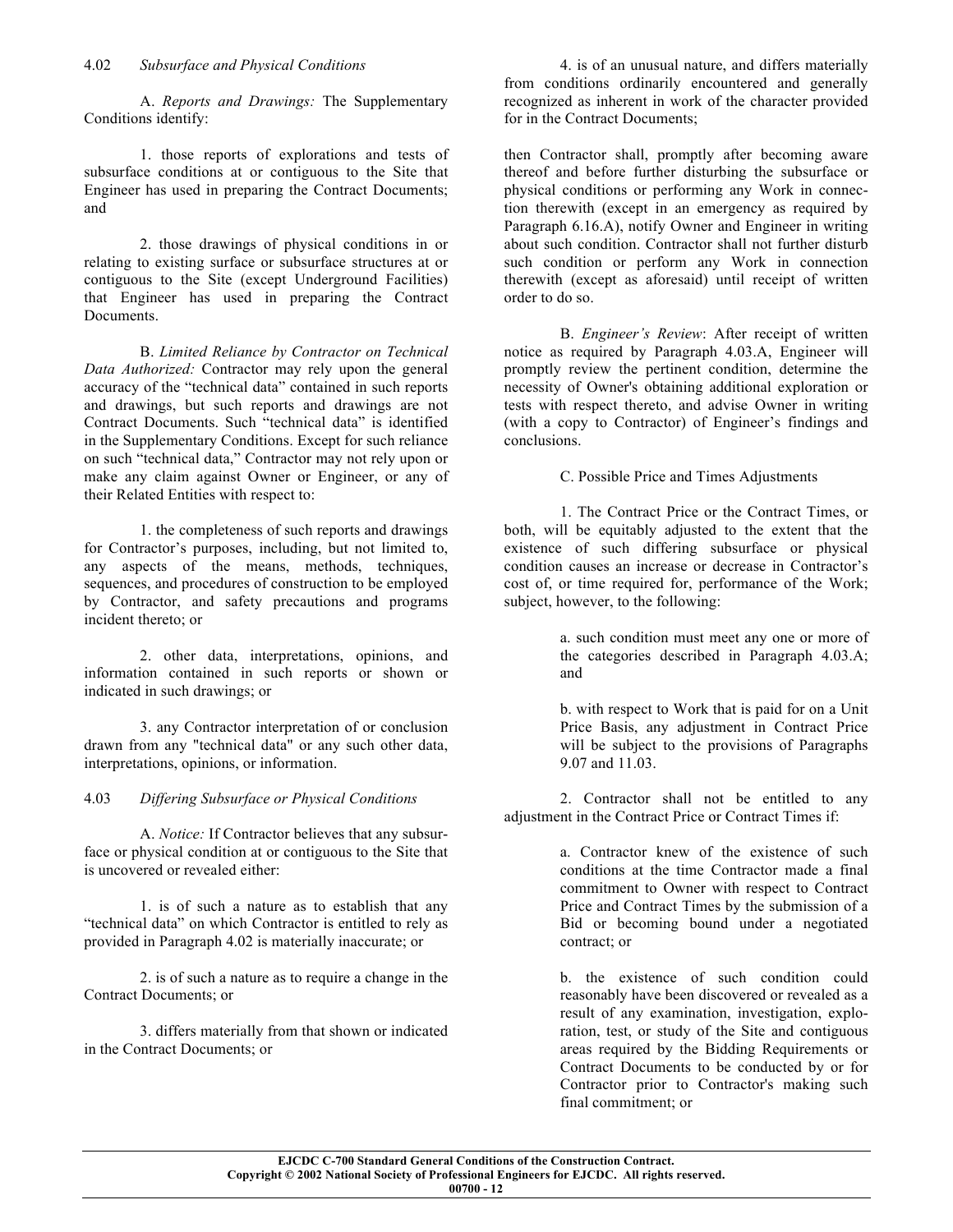A. *Reports and Drawings:* The Supplementary Conditions identify:

1. those reports of explorations and tests of subsurface conditions at or contiguous to the Site that Engineer has used in preparing the Contract Documents; and

2. those drawings of physical conditions in or relating to existing surface or subsurface structures at or contiguous to the Site (except Underground Facilities) that Engineer has used in preparing the Contract Documents.

B. *Limited Reliance by Contractor on Technical Data Authorized:* Contractor may rely upon the general accuracy of the "technical data" contained in such reports and drawings, but such reports and drawings are not Contract Documents. Such "technical data" is identified in the Supplementary Conditions. Except for such reliance on such "technical data," Contractor may not rely upon or make any claim against Owner or Engineer, or any of their Related Entities with respect to:

1. the completeness of such reports and drawings for Contractor's purposes, including, but not limited to, any aspects of the means, methods, techniques, sequences, and procedures of construction to be employed by Contractor, and safety precautions and programs incident thereto; or

2. other data, interpretations, opinions, and information contained in such reports or shown or indicated in such drawings; or

3. any Contractor interpretation of or conclusion drawn from any "technical data" or any such other data, interpretations, opinions, or information.

4.03 *Differing Subsurface or Physical Conditions*

A. *Notice:* If Contractor believes that any subsurface or physical condition at or contiguous to the Site that is uncovered or revealed either:

1. is of such a nature as to establish that any "technical data" on which Contractor is entitled to rely as provided in Paragraph 4.02 is materially inaccurate; or

2. is of such a nature as to require a change in the Contract Documents; or

3. differs materially from that shown or indicated in the Contract Documents; or

4. is of an unusual nature, and differs materially from conditions ordinarily encountered and generally recognized as inherent in work of the character provided for in the Contract Documents;

then Contractor shall, promptly after becoming aware thereof and before further disturbing the subsurface or physical conditions or performing any Work in connection therewith (except in an emergency as required by Paragraph 6.16.A), notify Owner and Engineer in writing about such condition. Contractor shall not further disturb such condition or perform any Work in connection therewith (except as aforesaid) until receipt of written order to do so.

B. *Engineer's Review*: After receipt of written notice as required by Paragraph 4.03.A, Engineer will promptly review the pertinent condition, determine the necessity of Owner's obtaining additional exploration or tests with respect thereto, and advise Owner in writing (with a copy to Contractor) of Engineer's findings and conclusions.

C. Possible Price and Times Adjustments

1. The Contract Price or the Contract Times, or both, will be equitably adjusted to the extent that the existence of such differing subsurface or physical condition causes an increase or decrease in Contractor's cost of, or time required for, performance of the Work; subject, however, to the following:

> a. such condition must meet any one or more of the categories described in Paragraph 4.03.A; and

> b. with respect to Work that is paid for on a Unit Price Basis, any adjustment in Contract Price will be subject to the provisions of Paragraphs 9.07 and 11.03.

2. Contractor shall not be entitled to any adjustment in the Contract Price or Contract Times if:

> a. Contractor knew of the existence of such conditions at the time Contractor made a final commitment to Owner with respect to Contract Price and Contract Times by the submission of a Bid or becoming bound under a negotiated contract; or

> b. the existence of such condition could reasonably have been discovered or revealed as a result of any examination, investigation, exploration, test, or study of the Site and contiguous areas required by the Bidding Requirements or Contract Documents to be conducted by or for Contractor prior to Contractor's making such final commitment; or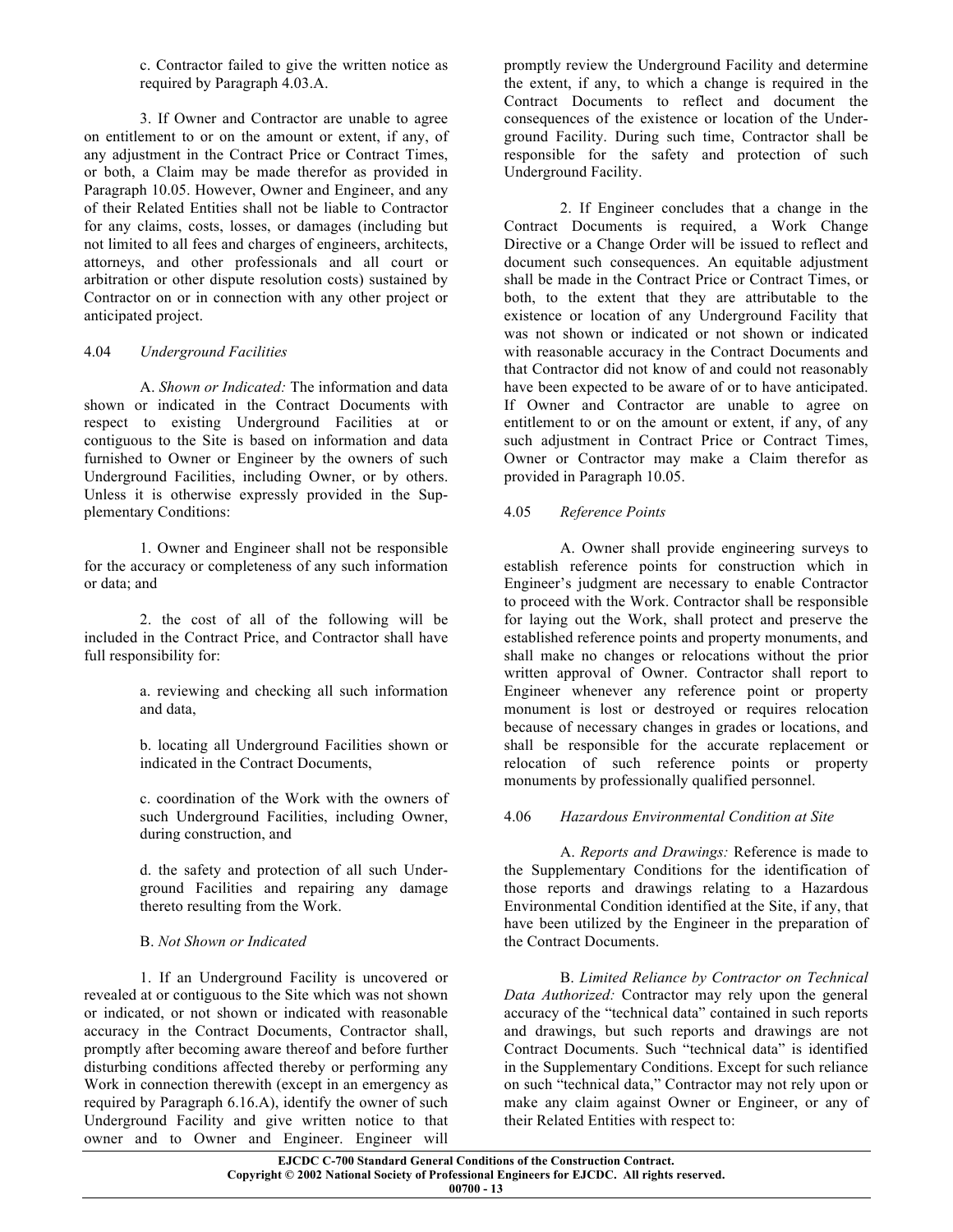c. Contractor failed to give the written notice as required by Paragraph 4.03.A.

3. If Owner and Contractor are unable to agree on entitlement to or on the amount or extent, if any, of any adjustment in the Contract Price or Contract Times, or both, a Claim may be made therefor as provided in Paragraph 10.05. However, Owner and Engineer, and any of their Related Entities shall not be liable to Contractor for any claims, costs, losses, or damages (including but not limited to all fees and charges of engineers, architects, attorneys, and other professionals and all court or arbitration or other dispute resolution costs) sustained by Contractor on or in connection with any other project or anticipated project.

#### 4.04 *Underground Facilities*

A. *Shown or Indicated:* The information and data shown or indicated in the Contract Documents with respect to existing Underground Facilities at or contiguous to the Site is based on information and data furnished to Owner or Engineer by the owners of such Underground Facilities, including Owner, or by others. Unless it is otherwise expressly provided in the Supplementary Conditions:

1. Owner and Engineer shall not be responsible for the accuracy or completeness of any such information or data; and

2. the cost of all of the following will be included in the Contract Price, and Contractor shall have full responsibility for:

> a. reviewing and checking all such information and data,

> b. locating all Underground Facilities shown or indicated in the Contract Documents,

c. coordination of the Work with the owners of such Underground Facilities, including Owner, during construction, and

d. the safety and protection of all such Underground Facilities and repairing any damage thereto resulting from the Work.

#### B. *Not Shown or Indicated*

1. If an Underground Facility is uncovered or revealed at or contiguous to the Site which was not shown or indicated, or not shown or indicated with reasonable accuracy in the Contract Documents, Contractor shall, promptly after becoming aware thereof and before further disturbing conditions affected thereby or performing any Work in connection therewith (except in an emergency as required by Paragraph 6.16.A), identify the owner of such Underground Facility and give written notice to that owner and to Owner and Engineer. Engineer will

promptly review the Underground Facility and determine the extent, if any, to which a change is required in the Contract Documents to reflect and document the consequences of the existence or location of the Underground Facility. During such time, Contractor shall be responsible for the safety and protection of such Underground Facility.

2. If Engineer concludes that a change in the Contract Documents is required, a Work Change Directive or a Change Order will be issued to reflect and document such consequences. An equitable adjustment shall be made in the Contract Price or Contract Times, or both, to the extent that they are attributable to the existence or location of any Underground Facility that was not shown or indicated or not shown or indicated with reasonable accuracy in the Contract Documents and that Contractor did not know of and could not reasonably have been expected to be aware of or to have anticipated. If Owner and Contractor are unable to agree on entitlement to or on the amount or extent, if any, of any such adjustment in Contract Price or Contract Times, Owner or Contractor may make a Claim therefor as provided in Paragraph 10.05.

# 4.05 *Reference Points*

A. Owner shall provide engineering surveys to establish reference points for construction which in Engineer's judgment are necessary to enable Contractor to proceed with the Work. Contractor shall be responsible for laying out the Work, shall protect and preserve the established reference points and property monuments, and shall make no changes or relocations without the prior written approval of Owner. Contractor shall report to Engineer whenever any reference point or property monument is lost or destroyed or requires relocation because of necessary changes in grades or locations, and shall be responsible for the accurate replacement or relocation of such reference points or property monuments by professionally qualified personnel.

#### 4.06 *Hazardous Environmental Condition at Site*

A. *Reports and Drawings:* Reference is made to the Supplementary Conditions for the identification of those reports and drawings relating to a Hazardous Environmental Condition identified at the Site, if any, that have been utilized by the Engineer in the preparation of the Contract Documents.

B. *Limited Reliance by Contractor on Technical Data Authorized:* Contractor may rely upon the general accuracy of the "technical data" contained in such reports and drawings, but such reports and drawings are not Contract Documents. Such "technical data" is identified in the Supplementary Conditions. Except for such reliance on such "technical data," Contractor may not rely upon or make any claim against Owner or Engineer, or any of their Related Entities with respect to: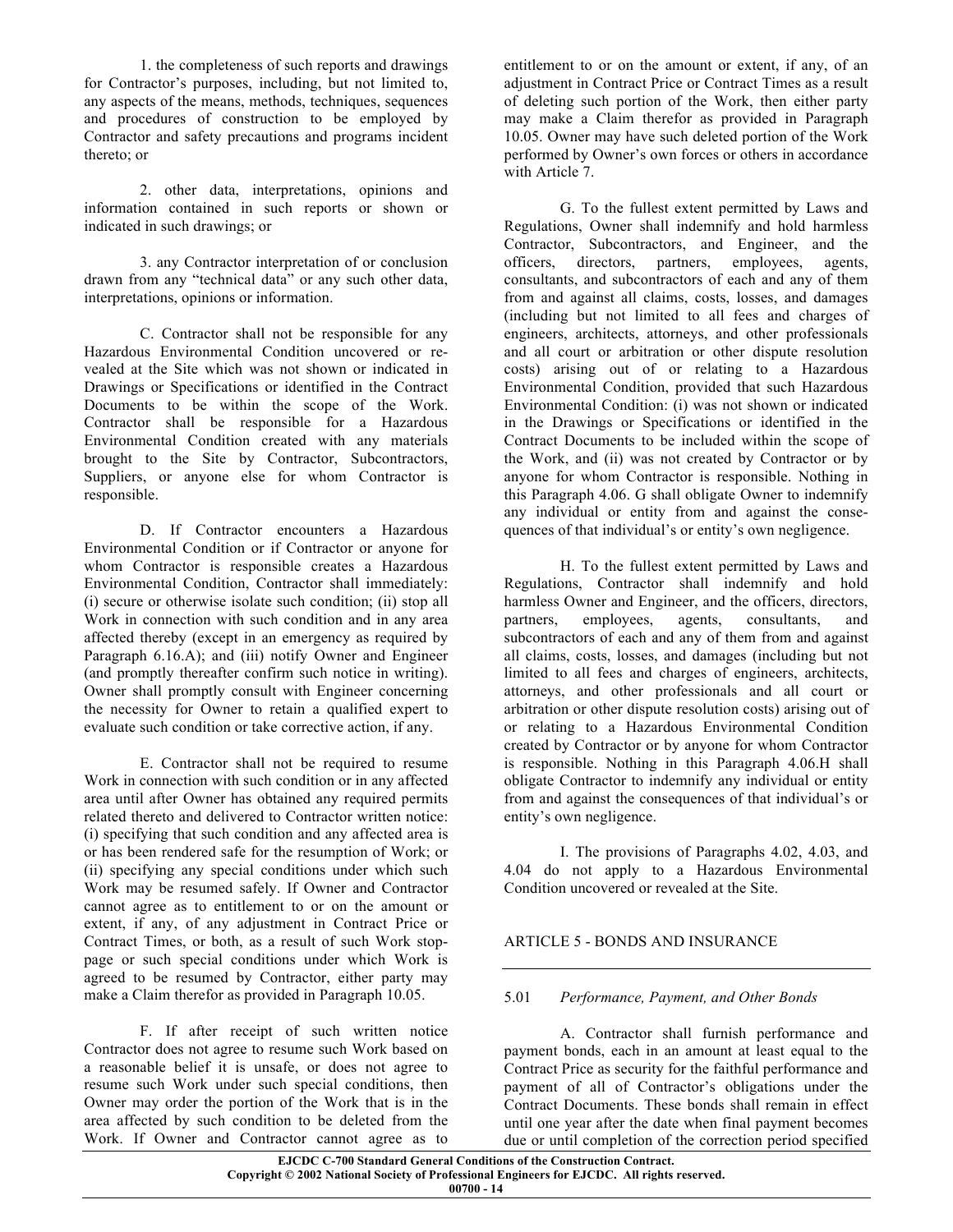1. the completeness of such reports and drawings for Contractor's purposes, including, but not limited to, any aspects of the means, methods, techniques, sequences and procedures of construction to be employed by Contractor and safety precautions and programs incident thereto; or

2. other data, interpretations, opinions and information contained in such reports or shown or indicated in such drawings; or

3. any Contractor interpretation of or conclusion drawn from any "technical data" or any such other data, interpretations, opinions or information.

C. Contractor shall not be responsible for any Hazardous Environmental Condition uncovered or revealed at the Site which was not shown or indicated in Drawings or Specifications or identified in the Contract Documents to be within the scope of the Work. Contractor shall be responsible for a Hazardous Environmental Condition created with any materials brought to the Site by Contractor, Subcontractors, Suppliers, or anyone else for whom Contractor is responsible.

D. If Contractor encounters a Hazardous Environmental Condition or if Contractor or anyone for whom Contractor is responsible creates a Hazardous Environmental Condition, Contractor shall immediately: (i) secure or otherwise isolate such condition; (ii) stop all Work in connection with such condition and in any area affected thereby (except in an emergency as required by Paragraph 6.16.A); and (iii) notify Owner and Engineer (and promptly thereafter confirm such notice in writing). Owner shall promptly consult with Engineer concerning the necessity for Owner to retain a qualified expert to evaluate such condition or take corrective action, if any.

E. Contractor shall not be required to resume Work in connection with such condition or in any affected area until after Owner has obtained any required permits related thereto and delivered to Contractor written notice: (i) specifying that such condition and any affected area is or has been rendered safe for the resumption of Work; or (ii) specifying any special conditions under which such Work may be resumed safely. If Owner and Contractor cannot agree as to entitlement to or on the amount or extent, if any, of any adjustment in Contract Price or Contract Times, or both, as a result of such Work stoppage or such special conditions under which Work is agreed to be resumed by Contractor, either party may make a Claim therefor as provided in Paragraph 10.05.

F. If after receipt of such written notice Contractor does not agree to resume such Work based on a reasonable belief it is unsafe, or does not agree to resume such Work under such special conditions, then Owner may order the portion of the Work that is in the area affected by such condition to be deleted from the Work. If Owner and Contractor cannot agree as to

entitlement to or on the amount or extent, if any, of an adjustment in Contract Price or Contract Times as a result of deleting such portion of the Work, then either party may make a Claim therefor as provided in Paragraph 10.05. Owner may have such deleted portion of the Work performed by Owner's own forces or others in accordance with Article 7.

G. To the fullest extent permitted by Laws and Regulations, Owner shall indemnify and hold harmless Contractor, Subcontractors, and Engineer, and the officers, directors, partners, employees, agents, consultants, and subcontractors of each and any of them from and against all claims, costs, losses, and damages (including but not limited to all fees and charges of engineers, architects, attorneys, and other professionals and all court or arbitration or other dispute resolution costs) arising out of or relating to a Hazardous Environmental Condition, provided that such Hazardous Environmental Condition: (i) was not shown or indicated in the Drawings or Specifications or identified in the Contract Documents to be included within the scope of the Work, and (ii) was not created by Contractor or by anyone for whom Contractor is responsible. Nothing in this Paragraph 4.06. G shall obligate Owner to indemnify any individual or entity from and against the consequences of that individual's or entity's own negligence.

H. To the fullest extent permitted by Laws and Regulations, Contractor shall indemnify and hold harmless Owner and Engineer, and the officers, directors, partners, employees, agents, consultants, and subcontractors of each and any of them from and against all claims, costs, losses, and damages (including but not limited to all fees and charges of engineers, architects, attorneys, and other professionals and all court or arbitration or other dispute resolution costs) arising out of or relating to a Hazardous Environmental Condition created by Contractor or by anyone for whom Contractor is responsible. Nothing in this Paragraph 4.06.H shall obligate Contractor to indemnify any individual or entity from and against the consequences of that individual's or entity's own negligence.

I. The provisions of Paragraphs 4.02, 4.03, and 4.04 do not apply to a Hazardous Environmental Condition uncovered or revealed at the Site.

#### ARTICLE 5 - BONDS AND INSURANCE

#### 5.01 *Performance, Payment, and Other Bonds*

A. Contractor shall furnish performance and payment bonds, each in an amount at least equal to the Contract Price as security for the faithful performance and payment of all of Contractor's obligations under the Contract Documents. These bonds shall remain in effect until one year after the date when final payment becomes due or until completion of the correction period specified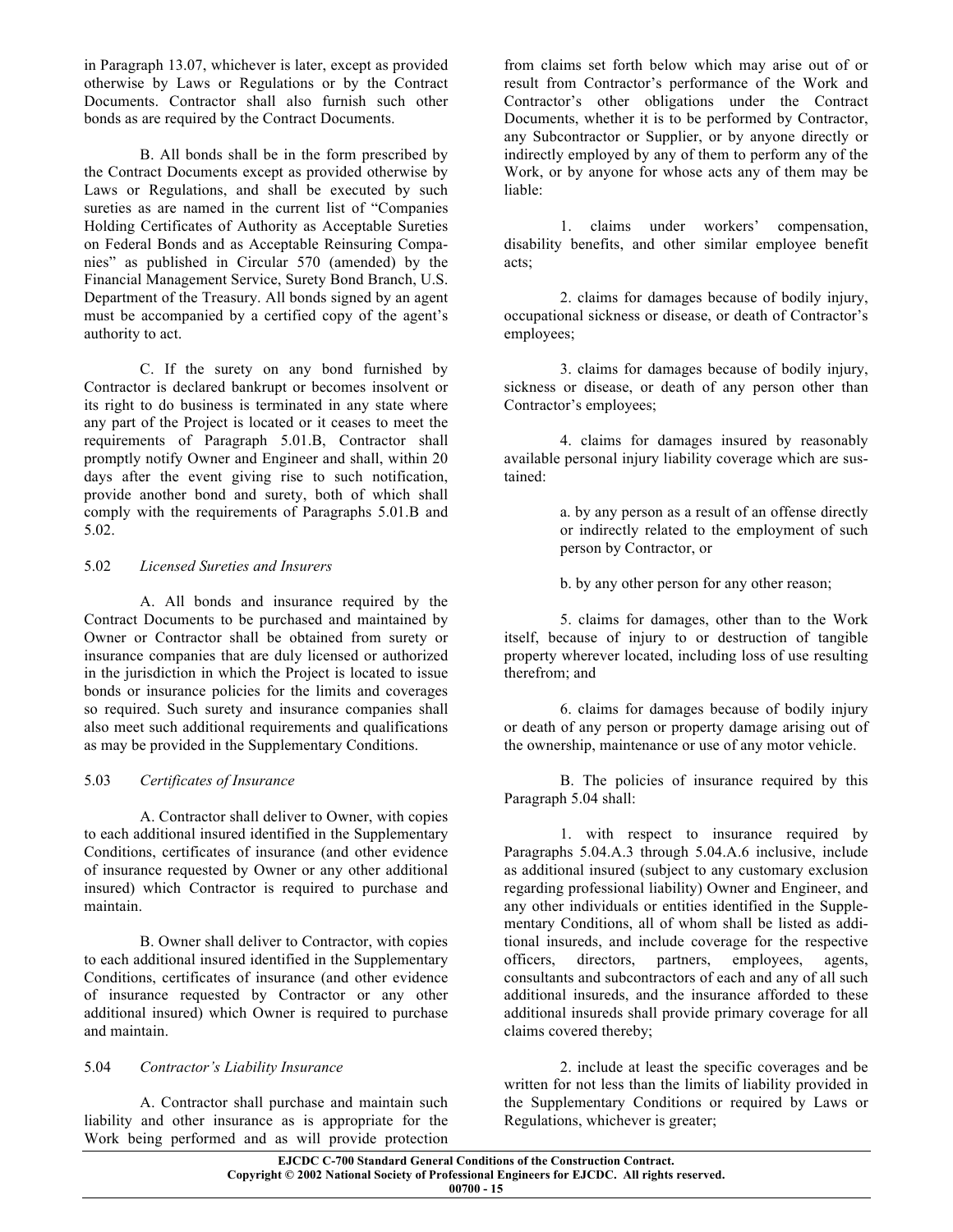in Paragraph 13.07, whichever is later, except as provided otherwise by Laws or Regulations or by the Contract Documents. Contractor shall also furnish such other bonds as are required by the Contract Documents.

B. All bonds shall be in the form prescribed by the Contract Documents except as provided otherwise by Laws or Regulations, and shall be executed by such sureties as are named in the current list of "Companies Holding Certificates of Authority as Acceptable Sureties on Federal Bonds and as Acceptable Reinsuring Companies" as published in Circular 570 (amended) by the Financial Management Service, Surety Bond Branch, U.S. Department of the Treasury. All bonds signed by an agent must be accompanied by a certified copy of the agent's authority to act.

C. If the surety on any bond furnished by Contractor is declared bankrupt or becomes insolvent or its right to do business is terminated in any state where any part of the Project is located or it ceases to meet the requirements of Paragraph 5.01.B, Contractor shall promptly notify Owner and Engineer and shall, within 20 days after the event giving rise to such notification, provide another bond and surety, both of which shall comply with the requirements of Paragraphs 5.01.B and 5.02.

#### 5.02 *Licensed Sureties and Insurers*

A. All bonds and insurance required by the Contract Documents to be purchased and maintained by Owner or Contractor shall be obtained from surety or insurance companies that are duly licensed or authorized in the jurisdiction in which the Project is located to issue bonds or insurance policies for the limits and coverages so required. Such surety and insurance companies shall also meet such additional requirements and qualifications as may be provided in the Supplementary Conditions.

#### 5.03 *Certificates of Insurance*

A. Contractor shall deliver to Owner, with copies to each additional insured identified in the Supplementary Conditions, certificates of insurance (and other evidence of insurance requested by Owner or any other additional insured) which Contractor is required to purchase and maintain.

B. Owner shall deliver to Contractor, with copies to each additional insured identified in the Supplementary Conditions, certificates of insurance (and other evidence of insurance requested by Contractor or any other additional insured) which Owner is required to purchase and maintain.

#### 5.04 *Contractor's Liability Insurance*

A. Contractor shall purchase and maintain such liability and other insurance as is appropriate for the Work being performed and as will provide protection from claims set forth below which may arise out of or result from Contractor's performance of the Work and Contractor's other obligations under the Contract Documents, whether it is to be performed by Contractor, any Subcontractor or Supplier, or by anyone directly or indirectly employed by any of them to perform any of the Work, or by anyone for whose acts any of them may be liable:

1. claims under workers' compensation, disability benefits, and other similar employee benefit acts;

2. claims for damages because of bodily injury, occupational sickness or disease, or death of Contractor's employees;

3. claims for damages because of bodily injury, sickness or disease, or death of any person other than Contractor's employees;

4. claims for damages insured by reasonably available personal injury liability coverage which are sustained:

> a. by any person as a result of an offense directly or indirectly related to the employment of such person by Contractor, or

b. by any other person for any other reason;

5. claims for damages, other than to the Work itself, because of injury to or destruction of tangible property wherever located, including loss of use resulting therefrom; and

6. claims for damages because of bodily injury or death of any person or property damage arising out of the ownership, maintenance or use of any motor vehicle.

B. The policies of insurance required by this Paragraph 5.04 shall:

1. with respect to insurance required by Paragraphs 5.04.A.3 through 5.04.A.6 inclusive, include as additional insured (subject to any customary exclusion regarding professional liability) Owner and Engineer, and any other individuals or entities identified in the Supplementary Conditions, all of whom shall be listed as additional insureds, and include coverage for the respective officers, directors, partners, employees, agents, consultants and subcontractors of each and any of all such additional insureds, and the insurance afforded to these additional insureds shall provide primary coverage for all claims covered thereby;

2. include at least the specific coverages and be written for not less than the limits of liability provided in the Supplementary Conditions or required by Laws or Regulations, whichever is greater;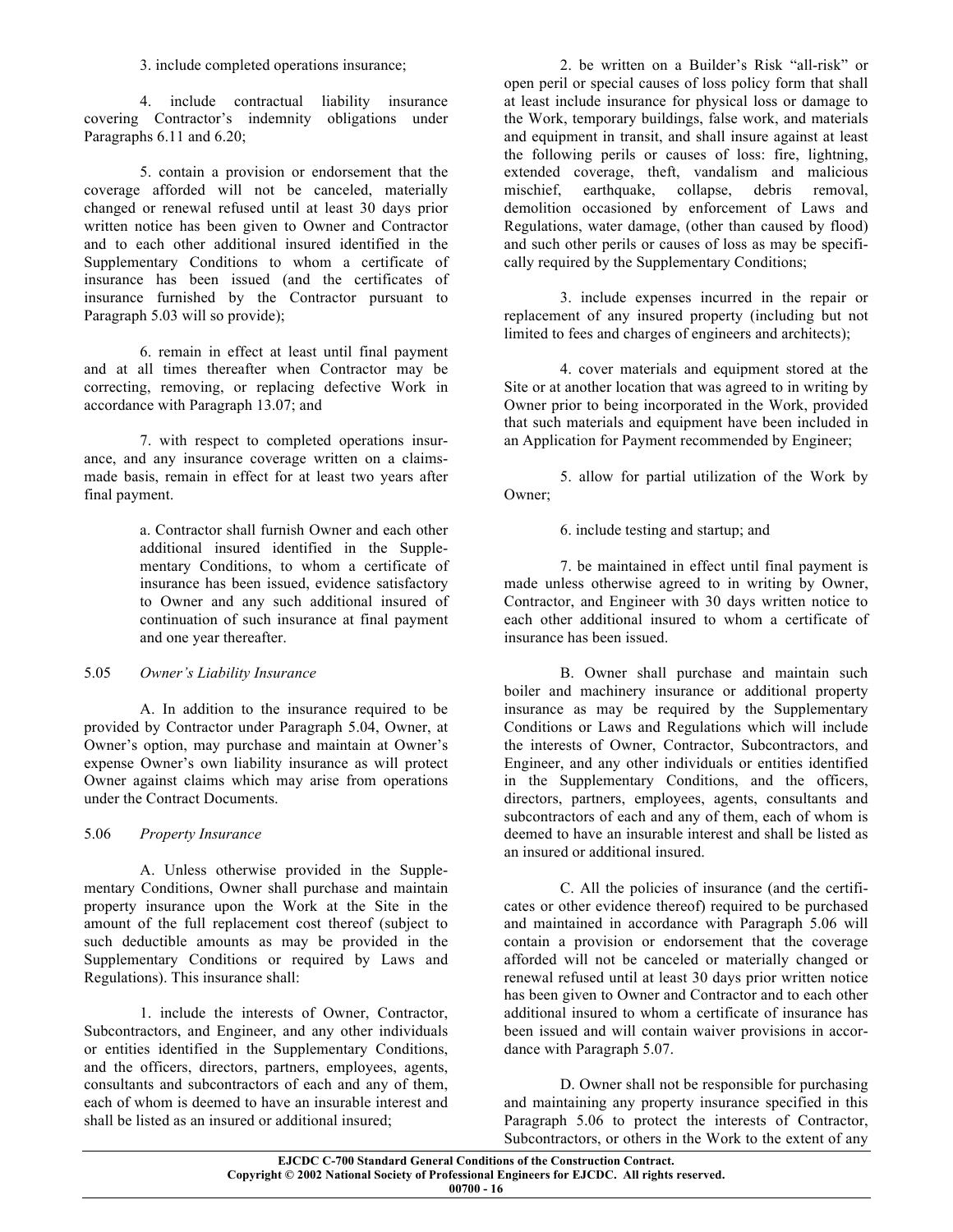3. include completed operations insurance;

4. include contractual liability insurance covering Contractor's indemnity obligations under Paragraphs 6.11 and 6.20;

5. contain a provision or endorsement that the coverage afforded will not be canceled, materially changed or renewal refused until at least 30 days prior written notice has been given to Owner and Contractor and to each other additional insured identified in the Supplementary Conditions to whom a certificate of insurance has been issued (and the certificates of insurance furnished by the Contractor pursuant to Paragraph 5.03 will so provide);

6. remain in effect at least until final payment and at all times thereafter when Contractor may be correcting, removing, or replacing defective Work in accordance with Paragraph 13.07; and

7. with respect to completed operations insurance, and any insurance coverage written on a claimsmade basis, remain in effect for at least two years after final payment.

> a. Contractor shall furnish Owner and each other additional insured identified in the Supplementary Conditions, to whom a certificate of insurance has been issued, evidence satisfactory to Owner and any such additional insured of continuation of such insurance at final payment and one year thereafter.

#### 5.05 *Owner's Liability Insurance*

A. In addition to the insurance required to be provided by Contractor under Paragraph 5.04, Owner, at Owner's option, may purchase and maintain at Owner's expense Owner's own liability insurance as will protect Owner against claims which may arise from operations under the Contract Documents.

5.06 *Property Insurance*

A. Unless otherwise provided in the Supplementary Conditions, Owner shall purchase and maintain property insurance upon the Work at the Site in the amount of the full replacement cost thereof (subject to such deductible amounts as may be provided in the Supplementary Conditions or required by Laws and Regulations). This insurance shall:

1. include the interests of Owner, Contractor, Subcontractors, and Engineer, and any other individuals or entities identified in the Supplementary Conditions, and the officers, directors, partners, employees, agents, consultants and subcontractors of each and any of them, each of whom is deemed to have an insurable interest and shall be listed as an insured or additional insured;

2. be written on a Builder's Risk "all-risk" or open peril or special causes of loss policy form that shall at least include insurance for physical loss or damage to the Work, temporary buildings, false work, and materials and equipment in transit, and shall insure against at least the following perils or causes of loss: fire, lightning, extended coverage, theft, vandalism and malicious mischief, earthquake, collapse, debris removal, demolition occasioned by enforcement of Laws and Regulations, water damage, (other than caused by flood) and such other perils or causes of loss as may be specifically required by the Supplementary Conditions;

3. include expenses incurred in the repair or replacement of any insured property (including but not limited to fees and charges of engineers and architects);

4. cover materials and equipment stored at the Site or at another location that was agreed to in writing by Owner prior to being incorporated in the Work, provided that such materials and equipment have been included in an Application for Payment recommended by Engineer;

5. allow for partial utilization of the Work by Owner;

6. include testing and startup; and

7. be maintained in effect until final payment is made unless otherwise agreed to in writing by Owner, Contractor, and Engineer with 30 days written notice to each other additional insured to whom a certificate of insurance has been issued.

B. Owner shall purchase and maintain such boiler and machinery insurance or additional property insurance as may be required by the Supplementary Conditions or Laws and Regulations which will include the interests of Owner, Contractor, Subcontractors, and Engineer, and any other individuals or entities identified in the Supplementary Conditions, and the officers, directors, partners, employees, agents, consultants and subcontractors of each and any of them, each of whom is deemed to have an insurable interest and shall be listed as an insured or additional insured.

C. All the policies of insurance (and the certificates or other evidence thereof) required to be purchased and maintained in accordance with Paragraph 5.06 will contain a provision or endorsement that the coverage afforded will not be canceled or materially changed or renewal refused until at least 30 days prior written notice has been given to Owner and Contractor and to each other additional insured to whom a certificate of insurance has been issued and will contain waiver provisions in accordance with Paragraph 5.07.

D. Owner shall not be responsible for purchasing and maintaining any property insurance specified in this Paragraph 5.06 to protect the interests of Contractor, Subcontractors, or others in the Work to the extent of any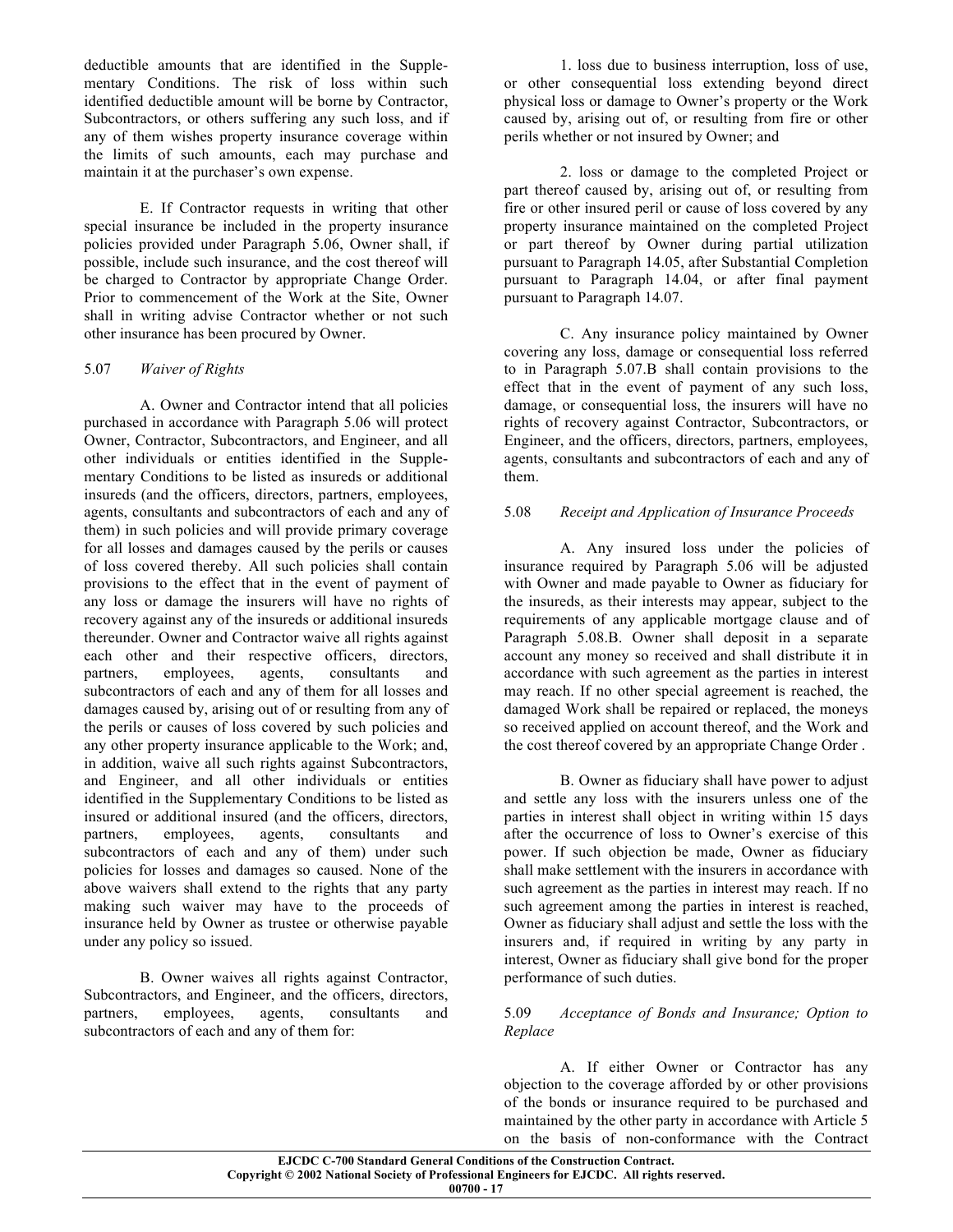deductible amounts that are identified in the Supplementary Conditions. The risk of loss within such identified deductible amount will be borne by Contractor, Subcontractors, or others suffering any such loss, and if any of them wishes property insurance coverage within the limits of such amounts, each may purchase and maintain it at the purchaser's own expense.

E. If Contractor requests in writing that other special insurance be included in the property insurance policies provided under Paragraph 5.06, Owner shall, if possible, include such insurance, and the cost thereof will be charged to Contractor by appropriate Change Order. Prior to commencement of the Work at the Site, Owner shall in writing advise Contractor whether or not such other insurance has been procured by Owner.

#### 5.07 *Waiver of Rights*

A. Owner and Contractor intend that all policies purchased in accordance with Paragraph 5.06 will protect Owner, Contractor, Subcontractors, and Engineer, and all other individuals or entities identified in the Supplementary Conditions to be listed as insureds or additional insureds (and the officers, directors, partners, employees, agents, consultants and subcontractors of each and any of them) in such policies and will provide primary coverage for all losses and damages caused by the perils or causes of loss covered thereby. All such policies shall contain provisions to the effect that in the event of payment of any loss or damage the insurers will have no rights of recovery against any of the insureds or additional insureds thereunder. Owner and Contractor waive all rights against each other and their respective officers, directors, partners, employees, agents, consultants and subcontractors of each and any of them for all losses and damages caused by, arising out of or resulting from any of the perils or causes of loss covered by such policies and any other property insurance applicable to the Work; and, in addition, waive all such rights against Subcontractors, and Engineer, and all other individuals or entities identified in the Supplementary Conditions to be listed as insured or additional insured (and the officers, directors, partners, employees, agents, consultants and subcontractors of each and any of them) under such policies for losses and damages so caused. None of the above waivers shall extend to the rights that any party making such waiver may have to the proceeds of insurance held by Owner as trustee or otherwise payable under any policy so issued.

B. Owner waives all rights against Contractor, Subcontractors, and Engineer, and the officers, directors, partners, employees, agents, consultants and subcontractors of each and any of them for:

1. loss due to business interruption, loss of use, or other consequential loss extending beyond direct physical loss or damage to Owner's property or the Work caused by, arising out of, or resulting from fire or other perils whether or not insured by Owner; and

2. loss or damage to the completed Project or part thereof caused by, arising out of, or resulting from fire or other insured peril or cause of loss covered by any property insurance maintained on the completed Project or part thereof by Owner during partial utilization pursuant to Paragraph 14.05, after Substantial Completion pursuant to Paragraph 14.04, or after final payment pursuant to Paragraph 14.07.

C. Any insurance policy maintained by Owner covering any loss, damage or consequential loss referred to in Paragraph 5.07.B shall contain provisions to the effect that in the event of payment of any such loss, damage, or consequential loss, the insurers will have no rights of recovery against Contractor, Subcontractors, or Engineer, and the officers, directors, partners, employees, agents, consultants and subcontractors of each and any of them.

#### 5.08 *Receipt and Application of Insurance Proceeds*

A. Any insured loss under the policies of insurance required by Paragraph 5.06 will be adjusted with Owner and made payable to Owner as fiduciary for the insureds, as their interests may appear, subject to the requirements of any applicable mortgage clause and of Paragraph 5.08.B. Owner shall deposit in a separate account any money so received and shall distribute it in accordance with such agreement as the parties in interest may reach. If no other special agreement is reached, the damaged Work shall be repaired or replaced, the moneys so received applied on account thereof, and the Work and the cost thereof covered by an appropriate Change Order .

B. Owner as fiduciary shall have power to adjust and settle any loss with the insurers unless one of the parties in interest shall object in writing within 15 days after the occurrence of loss to Owner's exercise of this power. If such objection be made, Owner as fiduciary shall make settlement with the insurers in accordance with such agreement as the parties in interest may reach. If no such agreement among the parties in interest is reached, Owner as fiduciary shall adjust and settle the loss with the insurers and, if required in writing by any party in interest, Owner as fiduciary shall give bond for the proper performance of such duties.

#### 5.09 *Acceptance of Bonds and Insurance; Option to Replace*

A. If either Owner or Contractor has any objection to the coverage afforded by or other provisions of the bonds or insurance required to be purchased and maintained by the other party in accordance with Article 5 on the basis of non-conformance with the Contract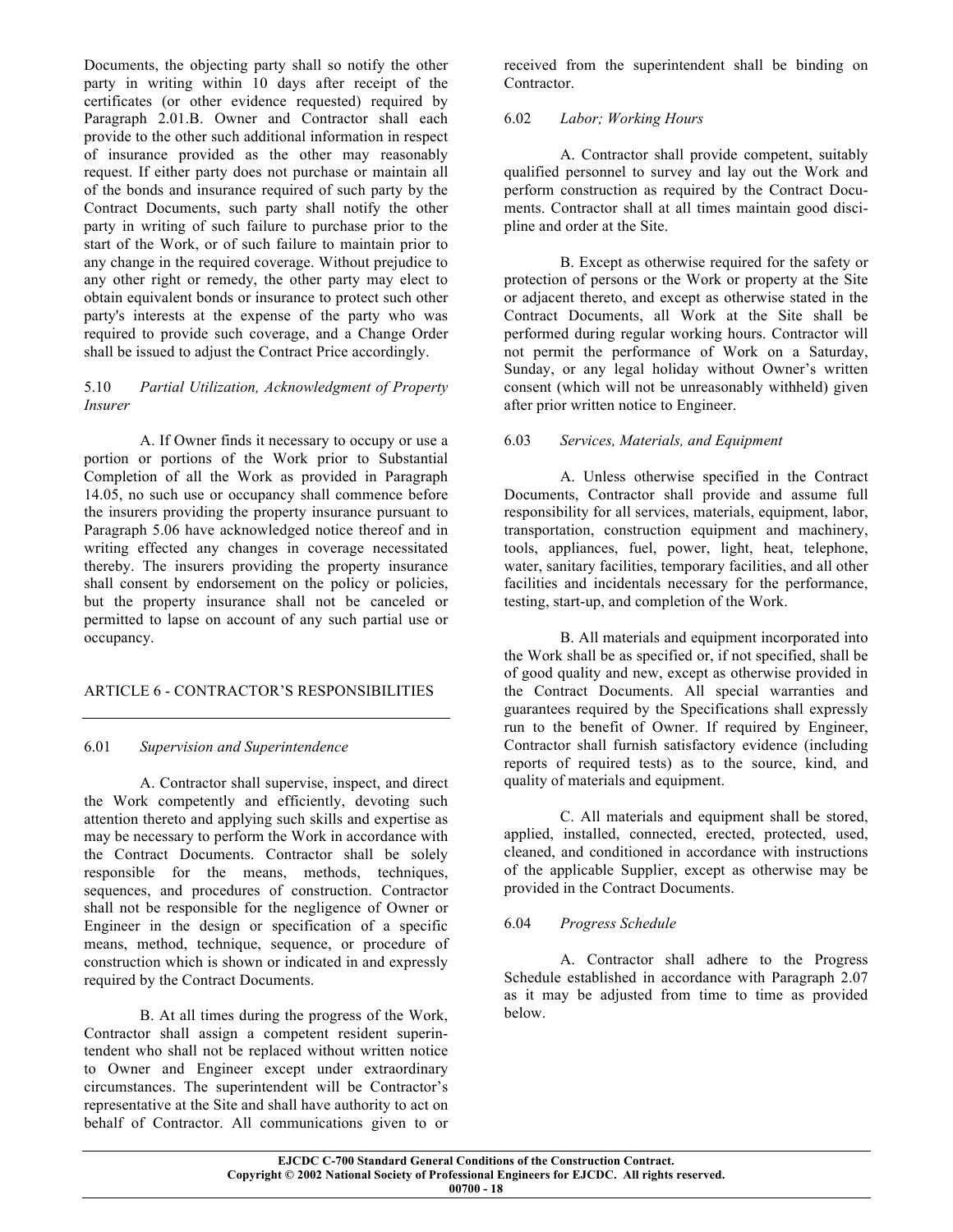Documents, the objecting party shall so notify the other party in writing within 10 days after receipt of the certificates (or other evidence requested) required by Paragraph 2.01.B. Owner and Contractor shall each provide to the other such additional information in respect of insurance provided as the other may reasonably request. If either party does not purchase or maintain all of the bonds and insurance required of such party by the Contract Documents, such party shall notify the other party in writing of such failure to purchase prior to the start of the Work, or of such failure to maintain prior to any change in the required coverage. Without prejudice to any other right or remedy, the other party may elect to obtain equivalent bonds or insurance to protect such other party's interests at the expense of the party who was required to provide such coverage, and a Change Order shall be issued to adjust the Contract Price accordingly.

#### 5.10 *Partial Utilization, Acknowledgment of Property Insurer*

A. If Owner finds it necessary to occupy or use a portion or portions of the Work prior to Substantial Completion of all the Work as provided in Paragraph 14.05, no such use or occupancy shall commence before the insurers providing the property insurance pursuant to Paragraph 5.06 have acknowledged notice thereof and in writing effected any changes in coverage necessitated thereby. The insurers providing the property insurance shall consent by endorsement on the policy or policies, but the property insurance shall not be canceled or permitted to lapse on account of any such partial use or occupancy.

#### ARTICLE 6 - CONTRACTOR'S RESPONSIBILITIES

#### 6.01 *Supervision and Superintendence*

A. Contractor shall supervise, inspect, and direct the Work competently and efficiently, devoting such attention thereto and applying such skills and expertise as may be necessary to perform the Work in accordance with the Contract Documents. Contractor shall be solely responsible for the means, methods, techniques, sequences, and procedures of construction. Contractor shall not be responsible for the negligence of Owner or Engineer in the design or specification of a specific means, method, technique, sequence, or procedure of construction which is shown or indicated in and expressly required by the Contract Documents.

B. At all times during the progress of the Work, Contractor shall assign a competent resident superintendent who shall not be replaced without written notice to Owner and Engineer except under extraordinary circumstances. The superintendent will be Contractor's representative at the Site and shall have authority to act on behalf of Contractor. All communications given to or

received from the superintendent shall be binding on Contractor.

#### 6.02 *Labor; Working Hours*

A. Contractor shall provide competent, suitably qualified personnel to survey and lay out the Work and perform construction as required by the Contract Documents. Contractor shall at all times maintain good discipline and order at the Site.

B. Except as otherwise required for the safety or protection of persons or the Work or property at the Site or adjacent thereto, and except as otherwise stated in the Contract Documents, all Work at the Site shall be performed during regular working hours. Contractor will not permit the performance of Work on a Saturday, Sunday, or any legal holiday without Owner's written consent (which will not be unreasonably withheld) given after prior written notice to Engineer.

#### 6.03 *Services, Materials, and Equipment*

A. Unless otherwise specified in the Contract Documents, Contractor shall provide and assume full responsibility for all services, materials, equipment, labor, transportation, construction equipment and machinery, tools, appliances, fuel, power, light, heat, telephone, water, sanitary facilities, temporary facilities, and all other facilities and incidentals necessary for the performance, testing, start-up, and completion of the Work.

B. All materials and equipment incorporated into the Work shall be as specified or, if not specified, shall be of good quality and new, except as otherwise provided in the Contract Documents. All special warranties and guarantees required by the Specifications shall expressly run to the benefit of Owner. If required by Engineer, Contractor shall furnish satisfactory evidence (including reports of required tests) as to the source, kind, and quality of materials and equipment.

C. All materials and equipment shall be stored, applied, installed, connected, erected, protected, used, cleaned, and conditioned in accordance with instructions of the applicable Supplier, except as otherwise may be provided in the Contract Documents.

#### 6.04 *Progress Schedule*

A. Contractor shall adhere to the Progress Schedule established in accordance with Paragraph 2.07 as it may be adjusted from time to time as provided below.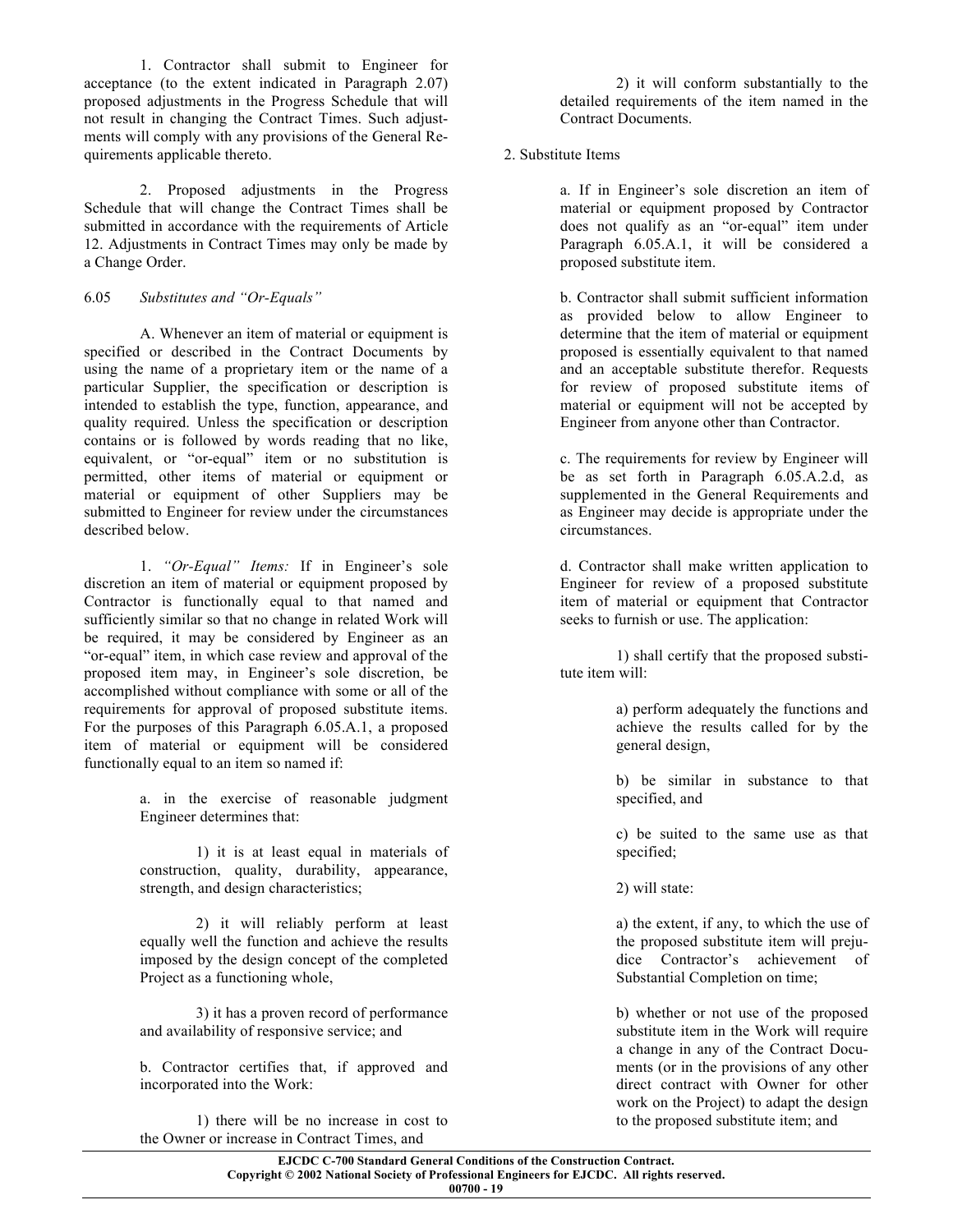1. Contractor shall submit to Engineer for acceptance (to the extent indicated in Paragraph 2.07) proposed adjustments in the Progress Schedule that will not result in changing the Contract Times. Such adjustments will comply with any provisions of the General Requirements applicable thereto.

2. Proposed adjustments in the Progress Schedule that will change the Contract Times shall be submitted in accordance with the requirements of Article 12. Adjustments in Contract Times may only be made by a Change Order.

6.05 *Substitutes and "Or-Equals"*

A. Whenever an item of material or equipment is specified or described in the Contract Documents by using the name of a proprietary item or the name of a particular Supplier, the specification or description is intended to establish the type, function, appearance, and quality required. Unless the specification or description contains or is followed by words reading that no like, equivalent, or "or-equal" item or no substitution is permitted, other items of material or equipment or material or equipment of other Suppliers may be submitted to Engineer for review under the circumstances described below.

1. *"Or-Equal" Items:* If in Engineer's sole discretion an item of material or equipment proposed by Contractor is functionally equal to that named and sufficiently similar so that no change in related Work will be required, it may be considered by Engineer as an "or-equal" item, in which case review and approval of the proposed item may, in Engineer's sole discretion, be accomplished without compliance with some or all of the requirements for approval of proposed substitute items. For the purposes of this Paragraph 6.05.A.1, a proposed item of material or equipment will be considered functionally equal to an item so named if:

> a. in the exercise of reasonable judgment Engineer determines that:

> 1) it is at least equal in materials of construction, quality, durability, appearance, strength, and design characteristics;

> 2) it will reliably perform at least equally well the function and achieve the results imposed by the design concept of the completed Project as a functioning whole,

3) it has a proven record of performance and availability of responsive service; and

b. Contractor certifies that, if approved and incorporated into the Work:

1) there will be no increase in cost to the Owner or increase in Contract Times, and

2) it will conform substantially to the detailed requirements of the item named in the Contract Documents.

## 2. Substitute Items

a. If in Engineer's sole discretion an item of material or equipment proposed by Contractor does not qualify as an "or-equal" item under Paragraph 6.05.A.1, it will be considered a proposed substitute item.

b. Contractor shall submit sufficient information as provided below to allow Engineer to determine that the item of material or equipment proposed is essentially equivalent to that named and an acceptable substitute therefor. Requests for review of proposed substitute items of material or equipment will not be accepted by Engineer from anyone other than Contractor.

c. The requirements for review by Engineer will be as set forth in Paragraph 6.05.A.2.d, as supplemented in the General Requirements and as Engineer may decide is appropriate under the circumstances.

d. Contractor shall make written application to Engineer for review of a proposed substitute item of material or equipment that Contractor seeks to furnish or use. The application:

1) shall certify that the proposed substitute item will:

> a) perform adequately the functions and achieve the results called for by the general design,

> b) be similar in substance to that specified, and

> c) be suited to the same use as that specified;

2) will state:

a) the extent, if any, to which the use of the proposed substitute item will prejudice Contractor's achievement of Substantial Completion on time;

b) whether or not use of the proposed substitute item in the Work will require a change in any of the Contract Documents (or in the provisions of any other direct contract with Owner for other work on the Project) to adapt the design to the proposed substitute item; and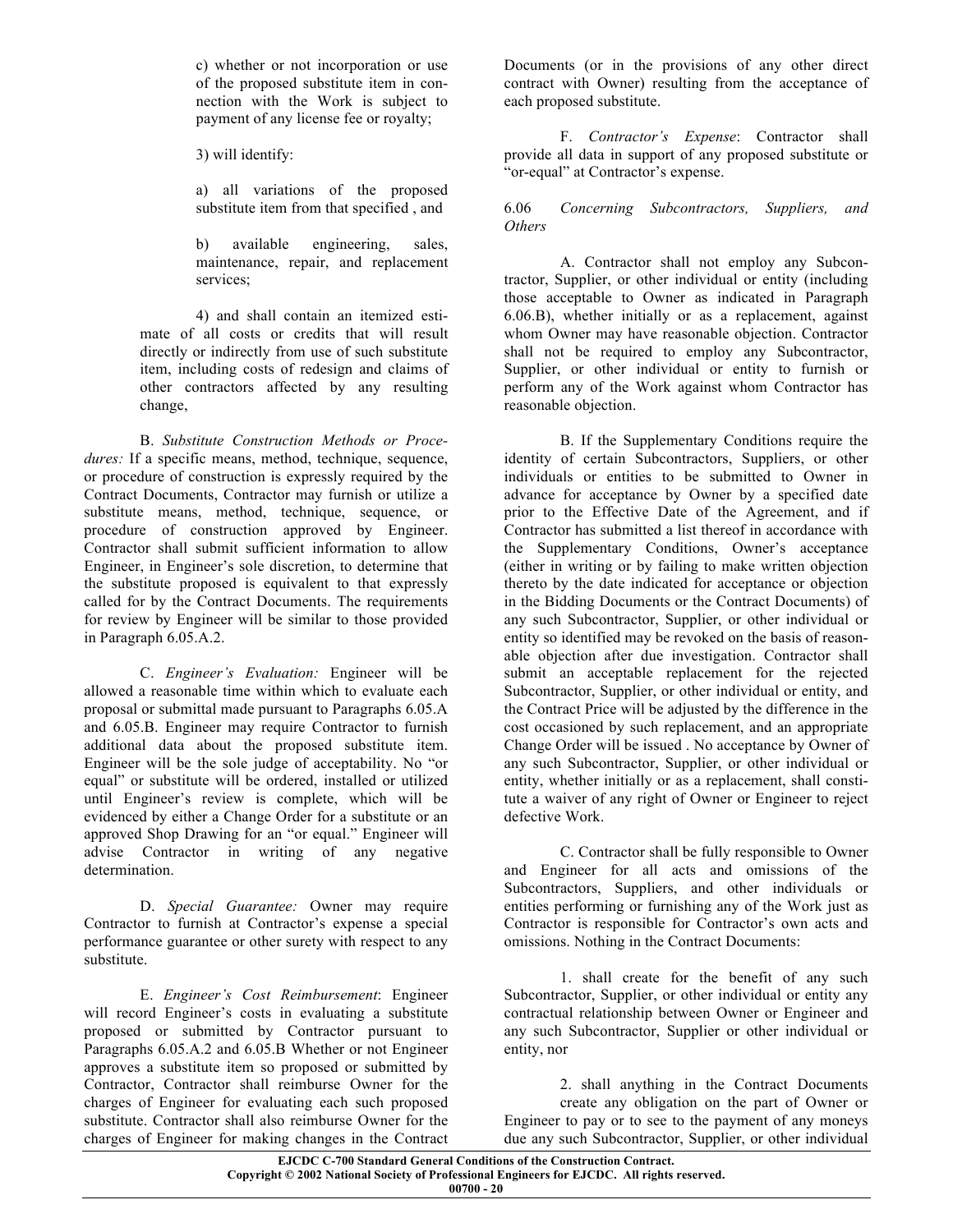c) whether or not incorporation or use of the proposed substitute item in connection with the Work is subject to payment of any license fee or royalty;

3) will identify:

a) all variations of the proposed substitute item from that specified , and

b) available engineering, sales, maintenance, repair, and replacement services;

4) and shall contain an itemized estimate of all costs or credits that will result directly or indirectly from use of such substitute item, including costs of redesign and claims of other contractors affected by any resulting change,

B. *Substitute Construction Methods or Procedures:* If a specific means, method, technique, sequence, or procedure of construction is expressly required by the Contract Documents, Contractor may furnish or utilize a substitute means, method, technique, sequence, or procedure of construction approved by Engineer. Contractor shall submit sufficient information to allow Engineer, in Engineer's sole discretion, to determine that the substitute proposed is equivalent to that expressly called for by the Contract Documents. The requirements for review by Engineer will be similar to those provided in Paragraph 6.05.A.2.

C. *Engineer's Evaluation:* Engineer will be allowed a reasonable time within which to evaluate each proposal or submittal made pursuant to Paragraphs 6.05.A and 6.05.B. Engineer may require Contractor to furnish additional data about the proposed substitute item. Engineer will be the sole judge of acceptability. No "or equal" or substitute will be ordered, installed or utilized until Engineer's review is complete, which will be evidenced by either a Change Order for a substitute or an approved Shop Drawing for an "or equal." Engineer will advise Contractor in writing of any negative determination.

D. *Special Guarantee:* Owner may require Contractor to furnish at Contractor's expense a special performance guarantee or other surety with respect to any substitute.

E. *Engineer's Cost Reimbursement*: Engineer will record Engineer's costs in evaluating a substitute proposed or submitted by Contractor pursuant to Paragraphs 6.05.A.2 and 6.05.B Whether or not Engineer approves a substitute item so proposed or submitted by Contractor, Contractor shall reimburse Owner for the charges of Engineer for evaluating each such proposed substitute. Contractor shall also reimburse Owner for the charges of Engineer for making changes in the Contract

Documents (or in the provisions of any other direct contract with Owner) resulting from the acceptance of each proposed substitute.

F. *Contractor's Expense*: Contractor shall provide all data in support of any proposed substitute or "or-equal" at Contractor's expense.

6.06 *Concerning Subcontractors, Suppliers, and Others*

A. Contractor shall not employ any Subcontractor, Supplier, or other individual or entity (including those acceptable to Owner as indicated in Paragraph 6.06.B), whether initially or as a replacement, against whom Owner may have reasonable objection. Contractor shall not be required to employ any Subcontractor, Supplier, or other individual or entity to furnish or perform any of the Work against whom Contractor has reasonable objection.

B. If the Supplementary Conditions require the identity of certain Subcontractors, Suppliers, or other individuals or entities to be submitted to Owner in advance for acceptance by Owner by a specified date prior to the Effective Date of the Agreement, and if Contractor has submitted a list thereof in accordance with the Supplementary Conditions, Owner's acceptance (either in writing or by failing to make written objection thereto by the date indicated for acceptance or objection in the Bidding Documents or the Contract Documents) of any such Subcontractor, Supplier, or other individual or entity so identified may be revoked on the basis of reasonable objection after due investigation. Contractor shall submit an acceptable replacement for the rejected Subcontractor, Supplier, or other individual or entity, and the Contract Price will be adjusted by the difference in the cost occasioned by such replacement, and an appropriate Change Order will be issued . No acceptance by Owner of any such Subcontractor, Supplier, or other individual or entity, whether initially or as a replacement, shall constitute a waiver of any right of Owner or Engineer to reject defective Work.

C. Contractor shall be fully responsible to Owner and Engineer for all acts and omissions of the Subcontractors, Suppliers, and other individuals or entities performing or furnishing any of the Work just as Contractor is responsible for Contractor's own acts and omissions. Nothing in the Contract Documents:

1. shall create for the benefit of any such Subcontractor, Supplier, or other individual or entity any contractual relationship between Owner or Engineer and any such Subcontractor, Supplier or other individual or entity, nor

2. shall anything in the Contract Documents create any obligation on the part of Owner or Engineer to pay or to see to the payment of any moneys due any such Subcontractor, Supplier, or other individual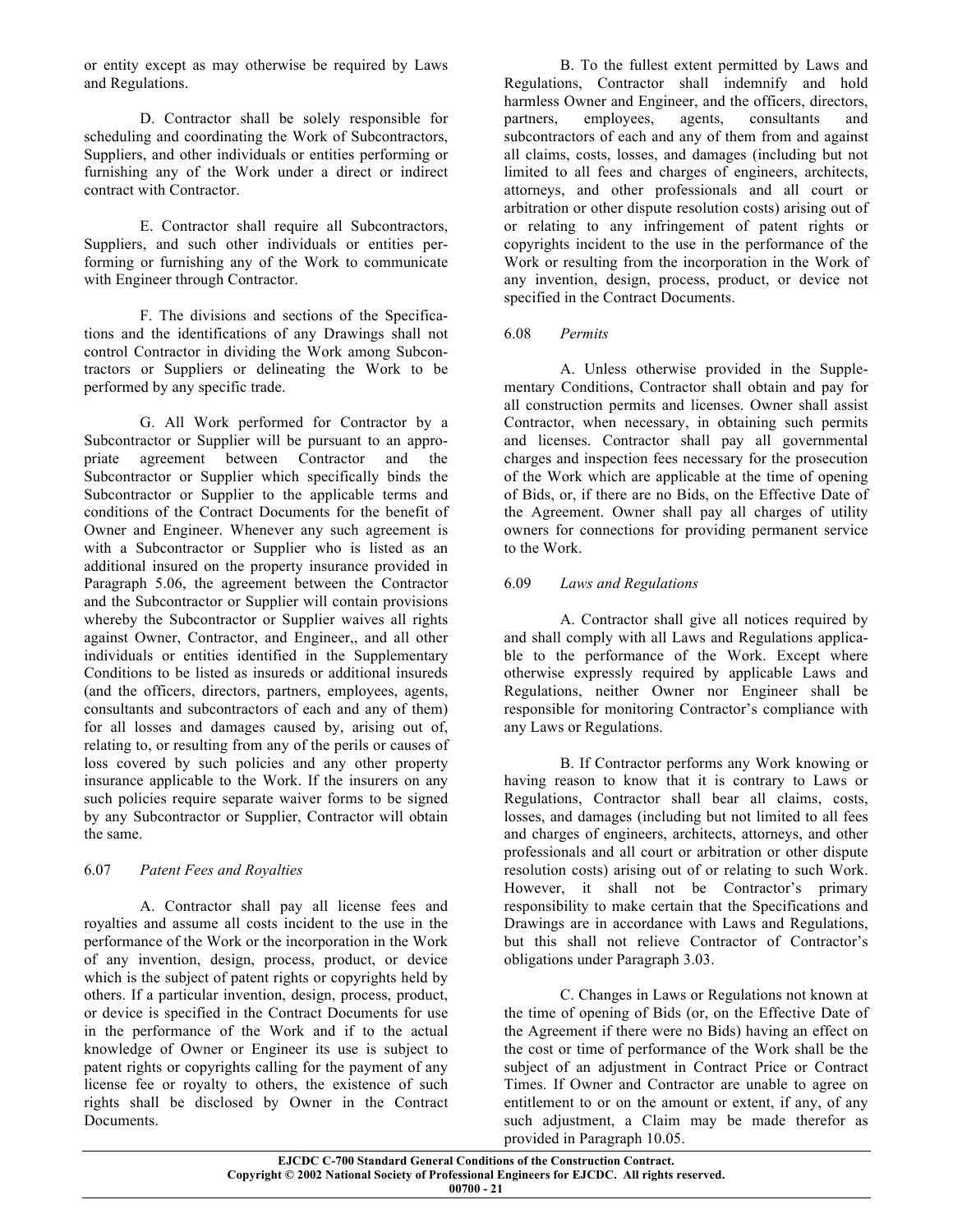or entity except as may otherwise be required by Laws and Regulations.

D. Contractor shall be solely responsible for scheduling and coordinating the Work of Subcontractors, Suppliers, and other individuals or entities performing or furnishing any of the Work under a direct or indirect contract with Contractor.

E. Contractor shall require all Subcontractors, Suppliers, and such other individuals or entities performing or furnishing any of the Work to communicate with Engineer through Contractor.

F. The divisions and sections of the Specifications and the identifications of any Drawings shall not control Contractor in dividing the Work among Subcontractors or Suppliers or delineating the Work to be performed by any specific trade.

G. All Work performed for Contractor by a Subcontractor or Supplier will be pursuant to an appropriate agreement between Contractor and the Subcontractor or Supplier which specifically binds the Subcontractor or Supplier to the applicable terms and conditions of the Contract Documents for the benefit of Owner and Engineer. Whenever any such agreement is with a Subcontractor or Supplier who is listed as an additional insured on the property insurance provided in Paragraph 5.06, the agreement between the Contractor and the Subcontractor or Supplier will contain provisions whereby the Subcontractor or Supplier waives all rights against Owner, Contractor, and Engineer,, and all other individuals or entities identified in the Supplementary Conditions to be listed as insureds or additional insureds (and the officers, directors, partners, employees, agents, consultants and subcontractors of each and any of them) for all losses and damages caused by, arising out of, relating to, or resulting from any of the perils or causes of loss covered by such policies and any other property insurance applicable to the Work. If the insurers on any such policies require separate waiver forms to be signed by any Subcontractor or Supplier, Contractor will obtain the same.

#### 6.07 *Patent Fees and Royalties*

A. Contractor shall pay all license fees and royalties and assume all costs incident to the use in the performance of the Work or the incorporation in the Work of any invention, design, process, product, or device which is the subject of patent rights or copyrights held by others. If a particular invention, design, process, product, or device is specified in the Contract Documents for use in the performance of the Work and if to the actual knowledge of Owner or Engineer its use is subject to patent rights or copyrights calling for the payment of any license fee or royalty to others, the existence of such rights shall be disclosed by Owner in the Contract Documents.

B. To the fullest extent permitted by Laws and Regulations, Contractor shall indemnify and hold harmless Owner and Engineer, and the officers, directors, partners, employees, agents, consultants and subcontractors of each and any of them from and against all claims, costs, losses, and damages (including but not limited to all fees and charges of engineers, architects, attorneys, and other professionals and all court or arbitration or other dispute resolution costs) arising out of or relating to any infringement of patent rights or copyrights incident to the use in the performance of the Work or resulting from the incorporation in the Work of any invention, design, process, product, or device not specified in the Contract Documents.

# 6.08 *Permits*

A. Unless otherwise provided in the Supplementary Conditions, Contractor shall obtain and pay for all construction permits and licenses. Owner shall assist Contractor, when necessary, in obtaining such permits and licenses. Contractor shall pay all governmental charges and inspection fees necessary for the prosecution of the Work which are applicable at the time of opening of Bids, or, if there are no Bids, on the Effective Date of the Agreement. Owner shall pay all charges of utility owners for connections for providing permanent service to the Work.

# 6.09 *Laws and Regulations*

A. Contractor shall give all notices required by and shall comply with all Laws and Regulations applicable to the performance of the Work. Except where otherwise expressly required by applicable Laws and Regulations, neither Owner nor Engineer shall be responsible for monitoring Contractor's compliance with any Laws or Regulations.

B. If Contractor performs any Work knowing or having reason to know that it is contrary to Laws or Regulations, Contractor shall bear all claims, costs, losses, and damages (including but not limited to all fees and charges of engineers, architects, attorneys, and other professionals and all court or arbitration or other dispute resolution costs) arising out of or relating to such Work. However, it shall not be Contractor's primary responsibility to make certain that the Specifications and Drawings are in accordance with Laws and Regulations, but this shall not relieve Contractor of Contractor's obligations under Paragraph 3.03.

C. Changes in Laws or Regulations not known at the time of opening of Bids (or, on the Effective Date of the Agreement if there were no Bids) having an effect on the cost or time of performance of the Work shall be the subject of an adjustment in Contract Price or Contract Times. If Owner and Contractor are unable to agree on entitlement to or on the amount or extent, if any, of any such adjustment, a Claim may be made therefor as provided in Paragraph 10.05.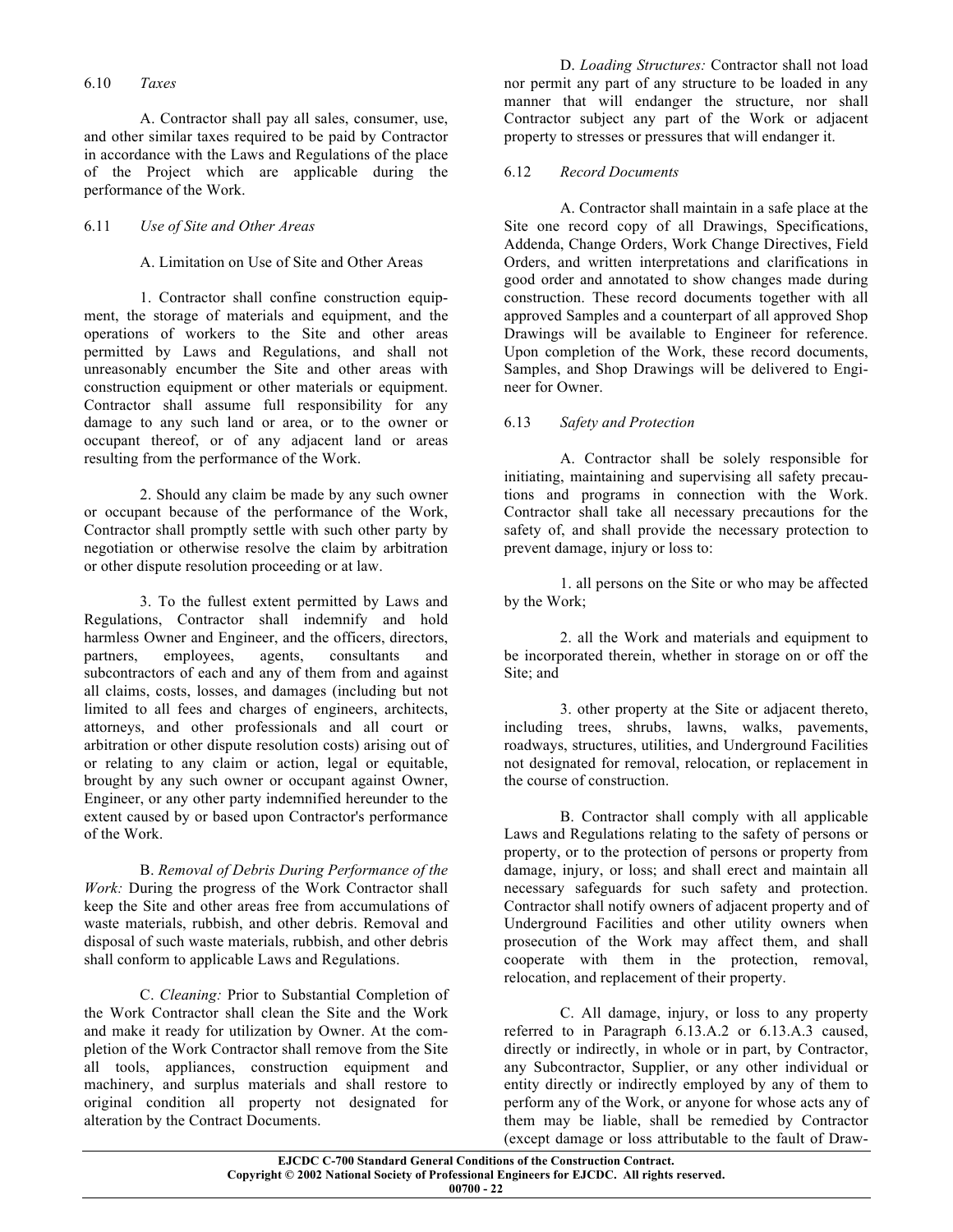6.10 *Taxes*

A. Contractor shall pay all sales, consumer, use, and other similar taxes required to be paid by Contractor in accordance with the Laws and Regulations of the place of the Project which are applicable during the performance of the Work.

#### 6.11 *Use of Site and Other Areas*

#### A. Limitation on Use of Site and Other Areas

1. Contractor shall confine construction equipment, the storage of materials and equipment, and the operations of workers to the Site and other areas permitted by Laws and Regulations, and shall not unreasonably encumber the Site and other areas with construction equipment or other materials or equipment. Contractor shall assume full responsibility for any damage to any such land or area, or to the owner or occupant thereof, or of any adjacent land or areas resulting from the performance of the Work.

2. Should any claim be made by any such owner or occupant because of the performance of the Work, Contractor shall promptly settle with such other party by negotiation or otherwise resolve the claim by arbitration or other dispute resolution proceeding or at law.

3. To the fullest extent permitted by Laws and Regulations, Contractor shall indemnify and hold harmless Owner and Engineer, and the officers, directors, partners, employees, agents, consultants and subcontractors of each and any of them from and against all claims, costs, losses, and damages (including but not limited to all fees and charges of engineers, architects, attorneys, and other professionals and all court or arbitration or other dispute resolution costs) arising out of or relating to any claim or action, legal or equitable, brought by any such owner or occupant against Owner, Engineer, or any other party indemnified hereunder to the extent caused by or based upon Contractor's performance of the Work.

B. *Removal of Debris During Performance of the Work:* During the progress of the Work Contractor shall keep the Site and other areas free from accumulations of waste materials, rubbish, and other debris. Removal and disposal of such waste materials, rubbish, and other debris shall conform to applicable Laws and Regulations.

C. *Cleaning:* Prior to Substantial Completion of the Work Contractor shall clean the Site and the Work and make it ready for utilization by Owner. At the completion of the Work Contractor shall remove from the Site all tools, appliances, construction equipment and machinery, and surplus materials and shall restore to original condition all property not designated for alteration by the Contract Documents.

D. *Loading Structures:* Contractor shall not load nor permit any part of any structure to be loaded in any manner that will endanger the structure, nor shall Contractor subject any part of the Work or adjacent property to stresses or pressures that will endanger it.

#### 6.12 *Record Documents*

A. Contractor shall maintain in a safe place at the Site one record copy of all Drawings, Specifications, Addenda, Change Orders, Work Change Directives, Field Orders, and written interpretations and clarifications in good order and annotated to show changes made during construction. These record documents together with all approved Samples and a counterpart of all approved Shop Drawings will be available to Engineer for reference. Upon completion of the Work, these record documents, Samples, and Shop Drawings will be delivered to Engineer for Owner.

#### 6.13 *Safety and Protection*

A. Contractor shall be solely responsible for initiating, maintaining and supervising all safety precautions and programs in connection with the Work. Contractor shall take all necessary precautions for the safety of, and shall provide the necessary protection to prevent damage, injury or loss to:

1. all persons on the Site or who may be affected by the Work;

2. all the Work and materials and equipment to be incorporated therein, whether in storage on or off the Site; and

3. other property at the Site or adjacent thereto, including trees, shrubs, lawns, walks, pavements, roadways, structures, utilities, and Underground Facilities not designated for removal, relocation, or replacement in the course of construction.

B. Contractor shall comply with all applicable Laws and Regulations relating to the safety of persons or property, or to the protection of persons or property from damage, injury, or loss; and shall erect and maintain all necessary safeguards for such safety and protection. Contractor shall notify owners of adjacent property and of Underground Facilities and other utility owners when prosecution of the Work may affect them, and shall cooperate with them in the protection, removal, relocation, and replacement of their property.

C. All damage, injury, or loss to any property referred to in Paragraph 6.13.A.2 or 6.13.A.3 caused, directly or indirectly, in whole or in part, by Contractor, any Subcontractor, Supplier, or any other individual or entity directly or indirectly employed by any of them to perform any of the Work, or anyone for whose acts any of them may be liable, shall be remedied by Contractor (except damage or loss attributable to the fault of Draw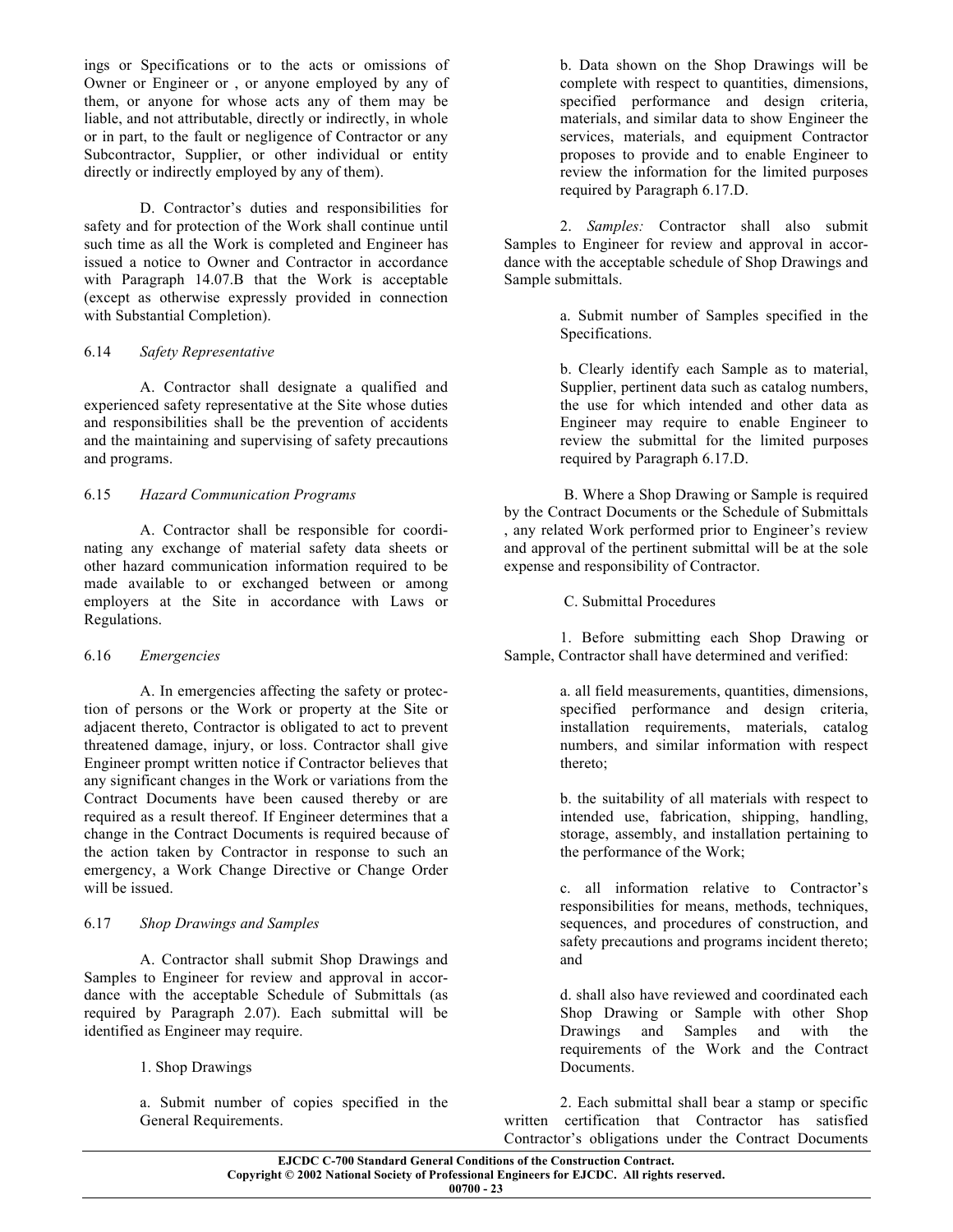ings or Specifications or to the acts or omissions of Owner or Engineer or , or anyone employed by any of them, or anyone for whose acts any of them may be liable, and not attributable, directly or indirectly, in whole or in part, to the fault or negligence of Contractor or any Subcontractor, Supplier, or other individual or entity directly or indirectly employed by any of them).

D. Contractor's duties and responsibilities for safety and for protection of the Work shall continue until such time as all the Work is completed and Engineer has issued a notice to Owner and Contractor in accordance with Paragraph 14.07.B that the Work is acceptable (except as otherwise expressly provided in connection with Substantial Completion).

#### 6.14 *Safety Representative*

A. Contractor shall designate a qualified and experienced safety representative at the Site whose duties and responsibilities shall be the prevention of accidents and the maintaining and supervising of safety precautions and programs.

#### 6.15 *Hazard Communication Programs*

A. Contractor shall be responsible for coordinating any exchange of material safety data sheets or other hazard communication information required to be made available to or exchanged between or among employers at the Site in accordance with Laws or Regulations.

#### 6.16 *Emergencies*

A. In emergencies affecting the safety or protection of persons or the Work or property at the Site or adjacent thereto, Contractor is obligated to act to prevent threatened damage, injury, or loss. Contractor shall give Engineer prompt written notice if Contractor believes that any significant changes in the Work or variations from the Contract Documents have been caused thereby or are required as a result thereof. If Engineer determines that a change in the Contract Documents is required because of the action taken by Contractor in response to such an emergency, a Work Change Directive or Change Order will be issued.

#### 6.17 *Shop Drawings and Samples*

A. Contractor shall submit Shop Drawings and Samples to Engineer for review and approval in accordance with the acceptable Schedule of Submittals (as required by Paragraph 2.07). Each submittal will be identified as Engineer may require.

1. Shop Drawings

a. Submit number of copies specified in the General Requirements.

b. Data shown on the Shop Drawings will be complete with respect to quantities, dimensions, specified performance and design criteria, materials, and similar data to show Engineer the services, materials, and equipment Contractor proposes to provide and to enable Engineer to review the information for the limited purposes required by Paragraph 6.17.D.

2. *Samples:* Contractor shall also submit Samples to Engineer for review and approval in accordance with the acceptable schedule of Shop Drawings and Sample submittals.

> a. Submit number of Samples specified in the Specifications.

> b. Clearly identify each Sample as to material, Supplier, pertinent data such as catalog numbers, the use for which intended and other data as Engineer may require to enable Engineer to review the submittal for the limited purposes required by Paragraph 6.17.D.

B. Where a Shop Drawing or Sample is required by the Contract Documents or the Schedule of Submittals , any related Work performed prior to Engineer's review and approval of the pertinent submittal will be at the sole expense and responsibility of Contractor.

C. Submittal Procedures

1. Before submitting each Shop Drawing or Sample, Contractor shall have determined and verified:

> a. all field measurements, quantities, dimensions, specified performance and design criteria, installation requirements, materials, catalog numbers, and similar information with respect thereto;

> b. the suitability of all materials with respect to intended use, fabrication, shipping, handling, storage, assembly, and installation pertaining to the performance of the Work;

> c. all information relative to Contractor's responsibilities for means, methods, techniques, sequences, and procedures of construction, and safety precautions and programs incident thereto; and

> d. shall also have reviewed and coordinated each Shop Drawing or Sample with other Shop Drawings and Samples and with the requirements of the Work and the Contract Documents.

2. Each submittal shall bear a stamp or specific written certification that Contractor has satisfied Contractor's obligations under the Contract Documents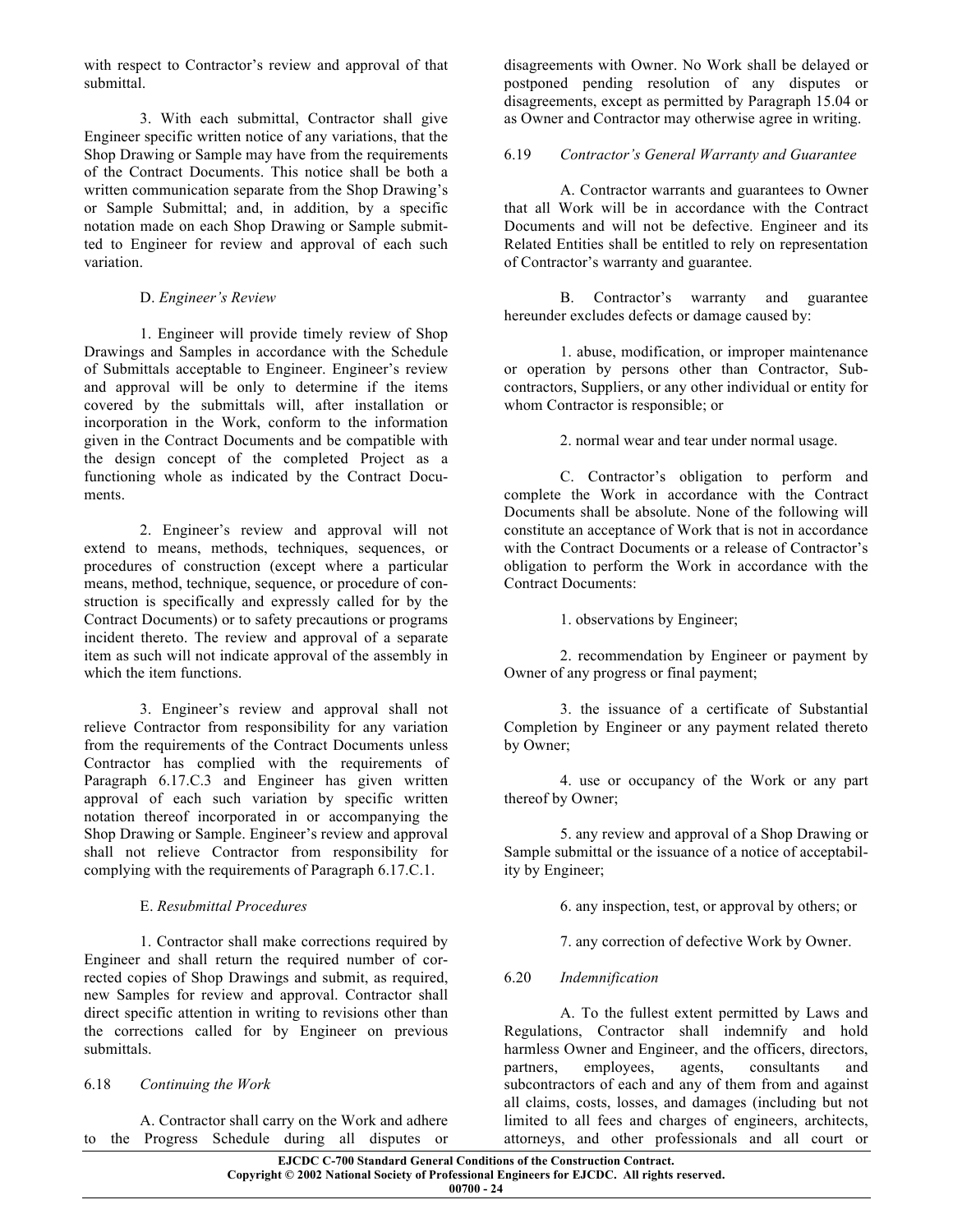with respect to Contractor's review and approval of that submittal.

3. With each submittal, Contractor shall give Engineer specific written notice of any variations, that the Shop Drawing or Sample may have from the requirements of the Contract Documents. This notice shall be both a written communication separate from the Shop Drawing's or Sample Submittal; and, in addition, by a specific notation made on each Shop Drawing or Sample submitted to Engineer for review and approval of each such variation.

D. *Engineer's Review*

1. Engineer will provide timely review of Shop Drawings and Samples in accordance with the Schedule of Submittals acceptable to Engineer. Engineer's review and approval will be only to determine if the items covered by the submittals will, after installation or incorporation in the Work, conform to the information given in the Contract Documents and be compatible with the design concept of the completed Project as a functioning whole as indicated by the Contract Documents.

2. Engineer's review and approval will not extend to means, methods, techniques, sequences, or procedures of construction (except where a particular means, method, technique, sequence, or procedure of construction is specifically and expressly called for by the Contract Documents) or to safety precautions or programs incident thereto. The review and approval of a separate item as such will not indicate approval of the assembly in which the item functions.

3. Engineer's review and approval shall not relieve Contractor from responsibility for any variation from the requirements of the Contract Documents unless Contractor has complied with the requirements of Paragraph 6.17.C.3 and Engineer has given written approval of each such variation by specific written notation thereof incorporated in or accompanying the Shop Drawing or Sample. Engineer's review and approval shall not relieve Contractor from responsibility for complying with the requirements of Paragraph 6.17.C.1.

E. *Resubmittal Procedures*

1. Contractor shall make corrections required by Engineer and shall return the required number of corrected copies of Shop Drawings and submit, as required, new Samples for review and approval. Contractor shall direct specific attention in writing to revisions other than the corrections called for by Engineer on previous submittals.

#### 6.18 *Continuing the Work*

A. Contractor shall carry on the Work and adhere to the Progress Schedule during all disputes or

disagreements with Owner. No Work shall be delayed or postponed pending resolution of any disputes or disagreements, except as permitted by Paragraph 15.04 or as Owner and Contractor may otherwise agree in writing.

# 6.19 *Contractor's General Warranty and Guarantee*

A. Contractor warrants and guarantees to Owner that all Work will be in accordance with the Contract Documents and will not be defective. Engineer and its Related Entities shall be entitled to rely on representation of Contractor's warranty and guarantee.

B. Contractor's warranty and guarantee hereunder excludes defects or damage caused by:

1. abuse, modification, or improper maintenance or operation by persons other than Contractor, Subcontractors, Suppliers, or any other individual or entity for whom Contractor is responsible; or

2. normal wear and tear under normal usage.

C. Contractor's obligation to perform and complete the Work in accordance with the Contract Documents shall be absolute. None of the following will constitute an acceptance of Work that is not in accordance with the Contract Documents or a release of Contractor's obligation to perform the Work in accordance with the Contract Documents:

1. observations by Engineer;

2. recommendation by Engineer or payment by Owner of any progress or final payment;

3. the issuance of a certificate of Substantial Completion by Engineer or any payment related thereto by Owner;

4. use or occupancy of the Work or any part thereof by Owner;

5. any review and approval of a Shop Drawing or Sample submittal or the issuance of a notice of acceptability by Engineer;

6. any inspection, test, or approval by others; or

7. any correction of defective Work by Owner.

#### 6.20 *Indemnification*

A. To the fullest extent permitted by Laws and Regulations, Contractor shall indemnify and hold harmless Owner and Engineer, and the officers, directors, partners, employees, agents, consultants and subcontractors of each and any of them from and against all claims, costs, losses, and damages (including but not limited to all fees and charges of engineers, architects, attorneys, and other professionals and all court or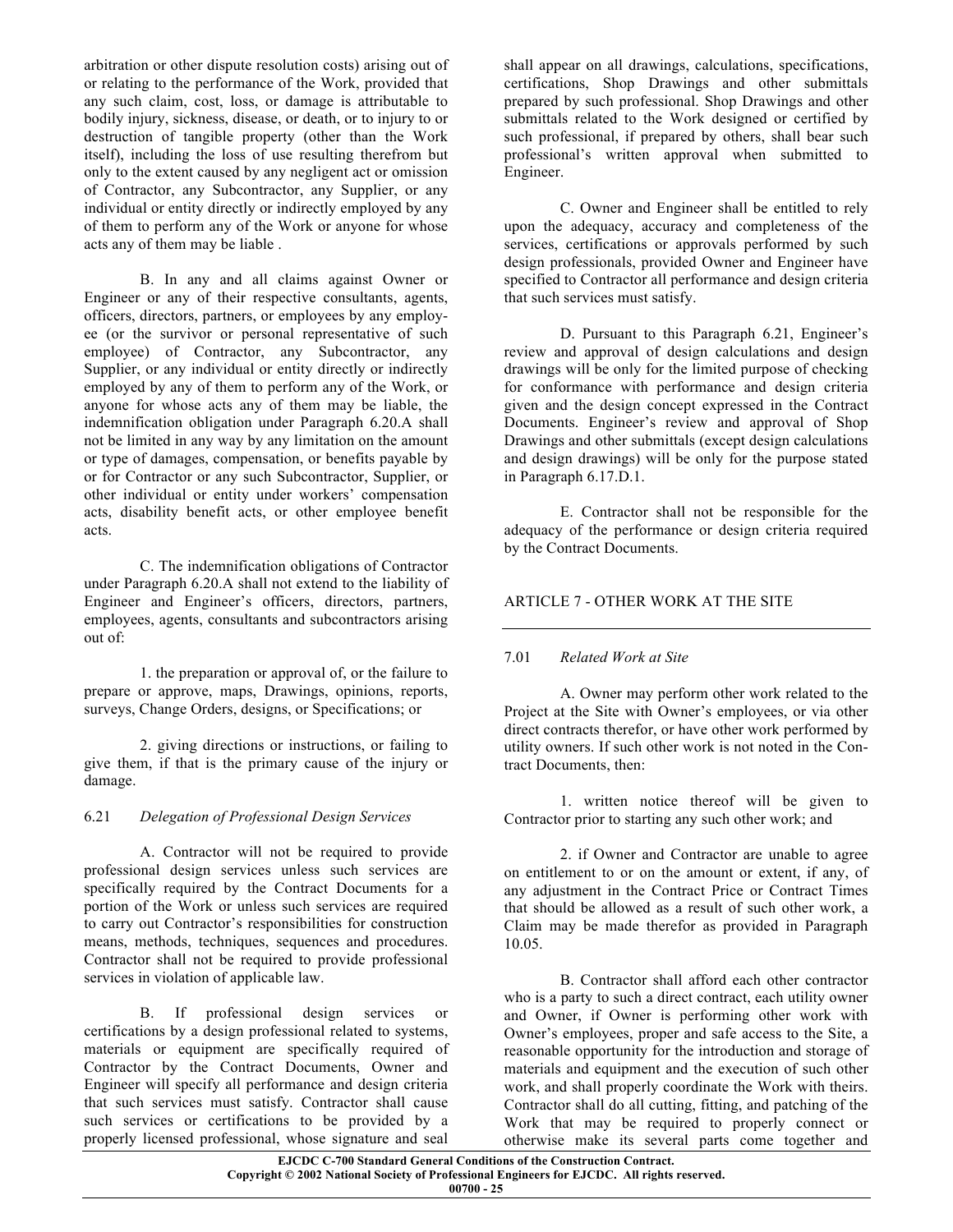arbitration or other dispute resolution costs) arising out of or relating to the performance of the Work, provided that any such claim, cost, loss, or damage is attributable to bodily injury, sickness, disease, or death, or to injury to or destruction of tangible property (other than the Work itself), including the loss of use resulting therefrom but only to the extent caused by any negligent act or omission of Contractor, any Subcontractor, any Supplier, or any individual or entity directly or indirectly employed by any of them to perform any of the Work or anyone for whose acts any of them may be liable .

B. In any and all claims against Owner or Engineer or any of their respective consultants, agents, officers, directors, partners, or employees by any employee (or the survivor or personal representative of such employee) of Contractor, any Subcontractor, any Supplier, or any individual or entity directly or indirectly employed by any of them to perform any of the Work, or anyone for whose acts any of them may be liable, the indemnification obligation under Paragraph 6.20.A shall not be limited in any way by any limitation on the amount or type of damages, compensation, or benefits payable by or for Contractor or any such Subcontractor, Supplier, or other individual or entity under workers' compensation acts, disability benefit acts, or other employee benefit acts.

C. The indemnification obligations of Contractor under Paragraph 6.20.A shall not extend to the liability of Engineer and Engineer's officers, directors, partners, employees, agents, consultants and subcontractors arising out of:

1. the preparation or approval of, or the failure to prepare or approve, maps, Drawings, opinions, reports, surveys, Change Orders, designs, or Specifications; or

2. giving directions or instructions, or failing to give them, if that is the primary cause of the injury or damage.

#### 6.21 *Delegation of Professional Design Services*

A. Contractor will not be required to provide professional design services unless such services are specifically required by the Contract Documents for a portion of the Work or unless such services are required to carry out Contractor's responsibilities for construction means, methods, techniques, sequences and procedures. Contractor shall not be required to provide professional services in violation of applicable law.

B. If professional design services or certifications by a design professional related to systems, materials or equipment are specifically required of Contractor by the Contract Documents, Owner and Engineer will specify all performance and design criteria that such services must satisfy. Contractor shall cause such services or certifications to be provided by a properly licensed professional, whose signature and seal

shall appear on all drawings, calculations, specifications, certifications, Shop Drawings and other submittals prepared by such professional. Shop Drawings and other submittals related to the Work designed or certified by such professional, if prepared by others, shall bear such professional's written approval when submitted to Engineer.

C. Owner and Engineer shall be entitled to rely upon the adequacy, accuracy and completeness of the services, certifications or approvals performed by such design professionals, provided Owner and Engineer have specified to Contractor all performance and design criteria that such services must satisfy.

D. Pursuant to this Paragraph 6.21, Engineer's review and approval of design calculations and design drawings will be only for the limited purpose of checking for conformance with performance and design criteria given and the design concept expressed in the Contract Documents. Engineer's review and approval of Shop Drawings and other submittals (except design calculations and design drawings) will be only for the purpose stated in Paragraph 6.17.D.1.

E. Contractor shall not be responsible for the adequacy of the performance or design criteria required by the Contract Documents.

ARTICLE 7 - OTHER WORK AT THE SITE

#### 7.01 *Related Work at Site*

A. Owner may perform other work related to the Project at the Site with Owner's employees, or via other direct contracts therefor, or have other work performed by utility owners. If such other work is not noted in the Contract Documents, then:

1. written notice thereof will be given to Contractor prior to starting any such other work; and

2. if Owner and Contractor are unable to agree on entitlement to or on the amount or extent, if any, of any adjustment in the Contract Price or Contract Times that should be allowed as a result of such other work, a Claim may be made therefor as provided in Paragraph 10.05.

B. Contractor shall afford each other contractor who is a party to such a direct contract, each utility owner and Owner, if Owner is performing other work with Owner's employees, proper and safe access to the Site, a reasonable opportunity for the introduction and storage of materials and equipment and the execution of such other work, and shall properly coordinate the Work with theirs. Contractor shall do all cutting, fitting, and patching of the Work that may be required to properly connect or otherwise make its several parts come together and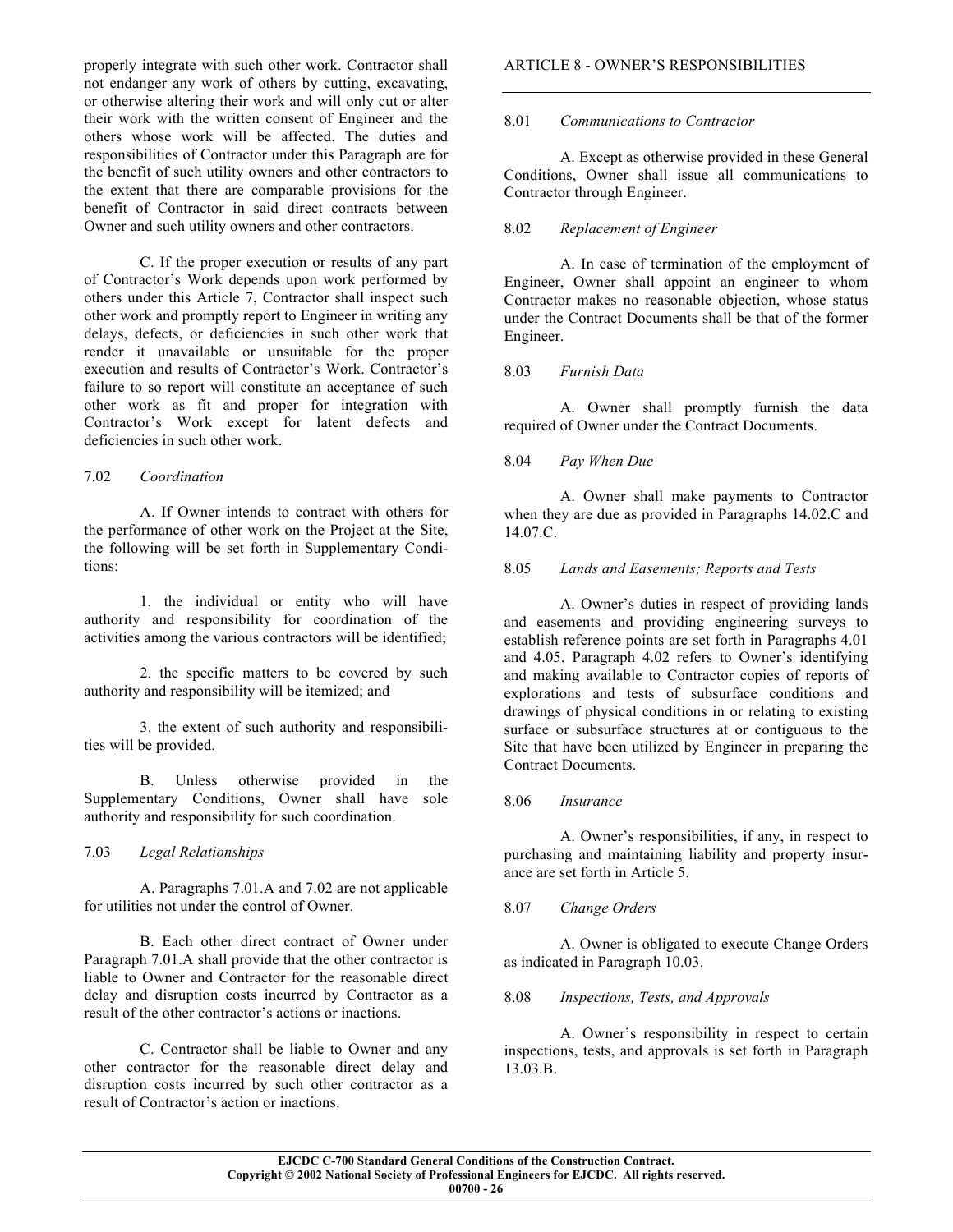properly integrate with such other work. Contractor shall not endanger any work of others by cutting, excavating, or otherwise altering their work and will only cut or alter their work with the written consent of Engineer and the others whose work will be affected. The duties and responsibilities of Contractor under this Paragraph are for the benefit of such utility owners and other contractors to the extent that there are comparable provisions for the benefit of Contractor in said direct contracts between Owner and such utility owners and other contractors.

C. If the proper execution or results of any part of Contractor's Work depends upon work performed by others under this Article 7, Contractor shall inspect such other work and promptly report to Engineer in writing any delays, defects, or deficiencies in such other work that render it unavailable or unsuitable for the proper execution and results of Contractor's Work. Contractor's failure to so report will constitute an acceptance of such other work as fit and proper for integration with Contractor's Work except for latent defects and deficiencies in such other work.

#### 7.02 *Coordination*

A. If Owner intends to contract with others for the performance of other work on the Project at the Site, the following will be set forth in Supplementary Conditions:

1. the individual or entity who will have authority and responsibility for coordination of the activities among the various contractors will be identified;

2. the specific matters to be covered by such authority and responsibility will be itemized; and

3. the extent of such authority and responsibilities will be provided.

B. Unless otherwise provided in the Supplementary Conditions, Owner shall have sole authority and responsibility for such coordination.

7.03 *Legal Relationships*

A. Paragraphs 7.01.A and 7.02 are not applicable for utilities not under the control of Owner.

B. Each other direct contract of Owner under Paragraph 7.01.A shall provide that the other contractor is liable to Owner and Contractor for the reasonable direct delay and disruption costs incurred by Contractor as a result of the other contractor's actions or inactions.

C. Contractor shall be liable to Owner and any other contractor for the reasonable direct delay and disruption costs incurred by such other contractor as a result of Contractor's action or inactions.

#### 8.01 *Communications to Contractor*

A. Except as otherwise provided in these General Conditions, Owner shall issue all communications to Contractor through Engineer.

#### 8.02 *Replacement of Engineer*

A. In case of termination of the employment of Engineer, Owner shall appoint an engineer to whom Contractor makes no reasonable objection, whose status under the Contract Documents shall be that of the former Engineer.

#### 8.03 *Furnish Data*

A. Owner shall promptly furnish the data required of Owner under the Contract Documents.

#### 8.04 *Pay When Due*

A. Owner shall make payments to Contractor when they are due as provided in Paragraphs 14.02.C and 14.07.C.

#### 8.05 *Lands and Easements; Reports and Tests*

A. Owner's duties in respect of providing lands and easements and providing engineering surveys to establish reference points are set forth in Paragraphs 4.01 and 4.05. Paragraph 4.02 refers to Owner's identifying and making available to Contractor copies of reports of explorations and tests of subsurface conditions and drawings of physical conditions in or relating to existing surface or subsurface structures at or contiguous to the Site that have been utilized by Engineer in preparing the Contract Documents.

#### 8.06 *Insurance*

A. Owner's responsibilities, if any, in respect to purchasing and maintaining liability and property insurance are set forth in Article 5.

#### 8.07 *Change Orders*

A. Owner is obligated to execute Change Orders as indicated in Paragraph 10.03.

#### 8.08 *Inspections, Tests, and Approvals*

A. Owner's responsibility in respect to certain inspections, tests, and approvals is set forth in Paragraph 13.03.B.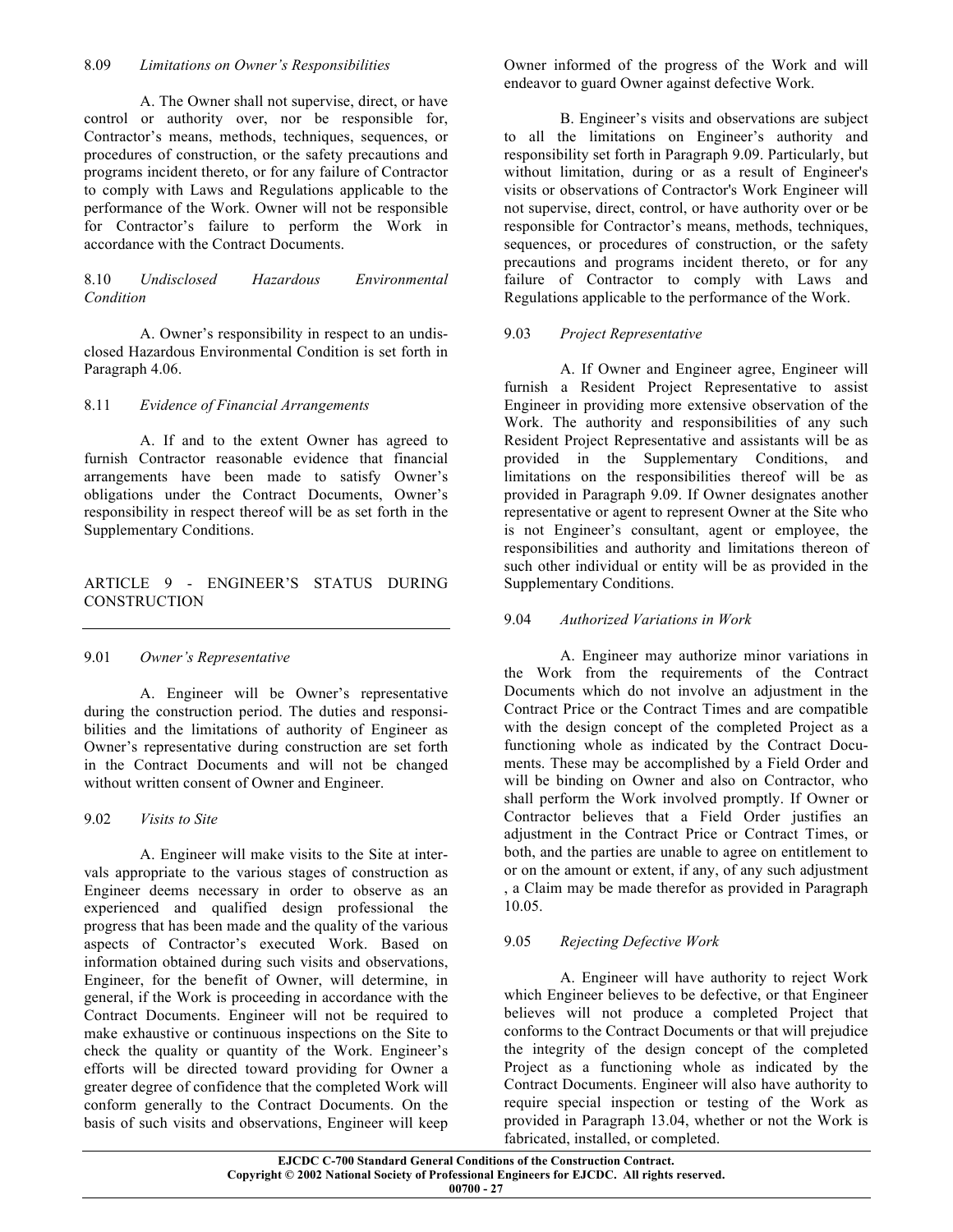A. The Owner shall not supervise, direct, or have control or authority over, nor be responsible for, Contractor's means, methods, techniques, sequences, or procedures of construction, or the safety precautions and programs incident thereto, or for any failure of Contractor to comply with Laws and Regulations applicable to the performance of the Work. Owner will not be responsible for Contractor's failure to perform the Work in accordance with the Contract Documents.

#### 8.10 *Undisclosed Hazardous Environmental Condition*

A. Owner's responsibility in respect to an undisclosed Hazardous Environmental Condition is set forth in Paragraph 4.06.

# 8.11 *Evidence of Financial Arrangements*

A. If and to the extent Owner has agreed to furnish Contractor reasonable evidence that financial arrangements have been made to satisfy Owner's obligations under the Contract Documents, Owner's responsibility in respect thereof will be as set forth in the Supplementary Conditions.

# ARTICLE 9 - ENGINEER'S STATUS DURING **CONSTRUCTION**

#### 9.01 *Owner's Representative*

A. Engineer will be Owner's representative during the construction period. The duties and responsibilities and the limitations of authority of Engineer as Owner's representative during construction are set forth in the Contract Documents and will not be changed without written consent of Owner and Engineer.

9.02 *Visits to Site*

A. Engineer will make visits to the Site at intervals appropriate to the various stages of construction as Engineer deems necessary in order to observe as an experienced and qualified design professional the progress that has been made and the quality of the various aspects of Contractor's executed Work. Based on information obtained during such visits and observations, Engineer, for the benefit of Owner, will determine, in general, if the Work is proceeding in accordance with the Contract Documents. Engineer will not be required to make exhaustive or continuous inspections on the Site to check the quality or quantity of the Work. Engineer's efforts will be directed toward providing for Owner a greater degree of confidence that the completed Work will conform generally to the Contract Documents. On the basis of such visits and observations, Engineer will keep

Owner informed of the progress of the Work and will endeavor to guard Owner against defective Work.

B. Engineer's visits and observations are subject to all the limitations on Engineer's authority and responsibility set forth in Paragraph 9.09. Particularly, but without limitation, during or as a result of Engineer's visits or observations of Contractor's Work Engineer will not supervise, direct, control, or have authority over or be responsible for Contractor's means, methods, techniques, sequences, or procedures of construction, or the safety precautions and programs incident thereto, or for any failure of Contractor to comply with Laws and Regulations applicable to the performance of the Work.

# 9.03 *Project Representative*

A. If Owner and Engineer agree, Engineer will furnish a Resident Project Representative to assist Engineer in providing more extensive observation of the Work. The authority and responsibilities of any such Resident Project Representative and assistants will be as provided in the Supplementary Conditions, and limitations on the responsibilities thereof will be as provided in Paragraph 9.09. If Owner designates another representative or agent to represent Owner at the Site who is not Engineer's consultant, agent or employee, the responsibilities and authority and limitations thereon of such other individual or entity will be as provided in the Supplementary Conditions.

# 9.04 *Authorized Variations in Work*

A. Engineer may authorize minor variations in the Work from the requirements of the Contract Documents which do not involve an adjustment in the Contract Price or the Contract Times and are compatible with the design concept of the completed Project as a functioning whole as indicated by the Contract Documents. These may be accomplished by a Field Order and will be binding on Owner and also on Contractor, who shall perform the Work involved promptly. If Owner or Contractor believes that a Field Order justifies an adjustment in the Contract Price or Contract Times, or both, and the parties are unable to agree on entitlement to or on the amount or extent, if any, of any such adjustment , a Claim may be made therefor as provided in Paragraph 10.05.

# 9.05 *Rejecting Defective Work*

A. Engineer will have authority to reject Work which Engineer believes to be defective, or that Engineer believes will not produce a completed Project that conforms to the Contract Documents or that will prejudice the integrity of the design concept of the completed Project as a functioning whole as indicated by the Contract Documents. Engineer will also have authority to require special inspection or testing of the Work as provided in Paragraph 13.04, whether or not the Work is fabricated, installed, or completed.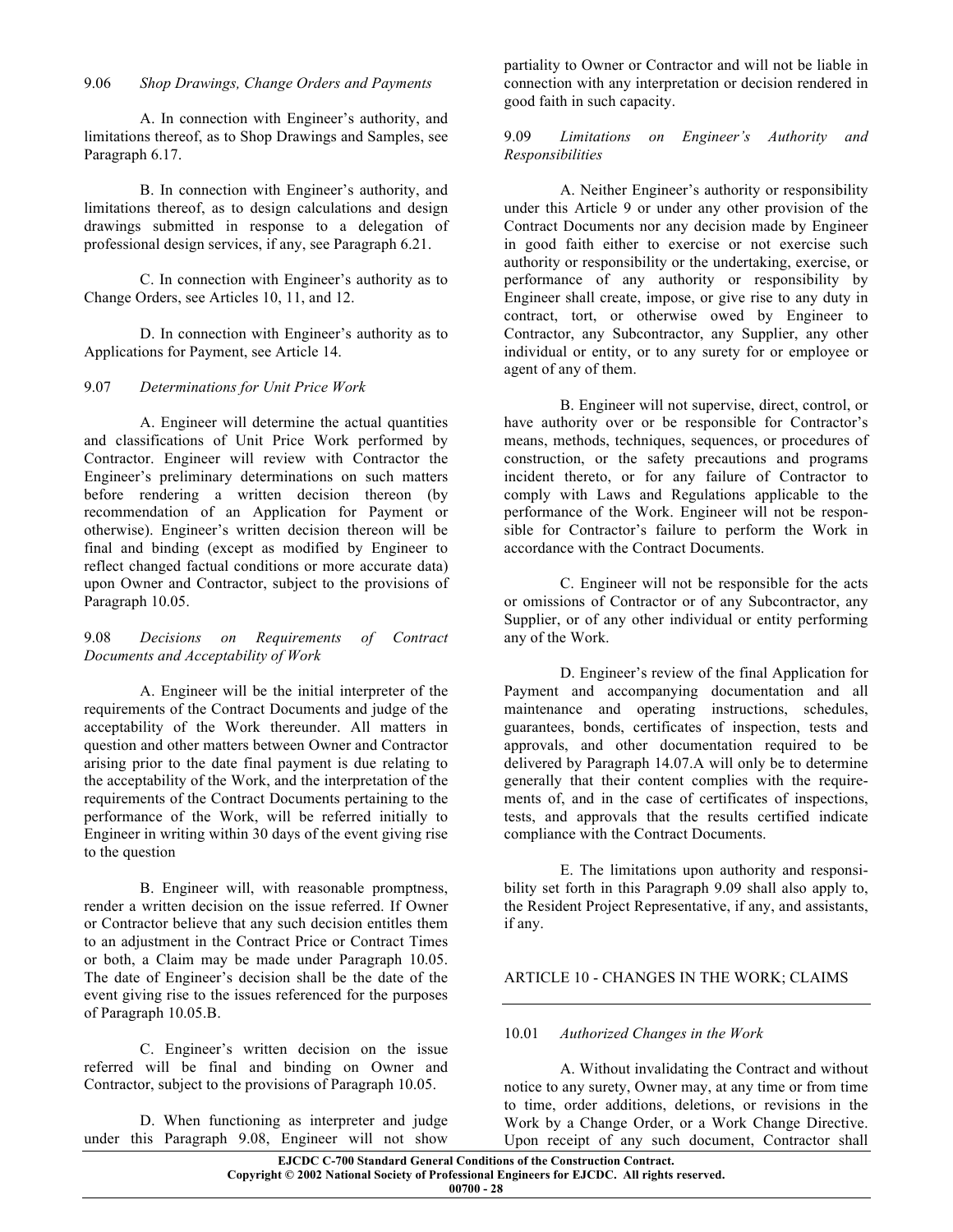#### 9.06 *Shop Drawings, Change Orders and Payments*

A. In connection with Engineer's authority, and limitations thereof, as to Shop Drawings and Samples, see Paragraph 6.17.

B. In connection with Engineer's authority, and limitations thereof, as to design calculations and design drawings submitted in response to a delegation of professional design services, if any, see Paragraph 6.21.

C. In connection with Engineer's authority as to Change Orders, see Articles 10, 11, and 12.

D. In connection with Engineer's authority as to Applications for Payment, see Article 14.

#### 9.07 *Determinations for Unit Price Work*

A. Engineer will determine the actual quantities and classifications of Unit Price Work performed by Contractor. Engineer will review with Contractor the Engineer's preliminary determinations on such matters before rendering a written decision thereon (by recommendation of an Application for Payment or otherwise). Engineer's written decision thereon will be final and binding (except as modified by Engineer to reflect changed factual conditions or more accurate data) upon Owner and Contractor, subject to the provisions of Paragraph 10.05.

#### 9.08 *Decisions on Requirements of Contract Documents and Acceptability of Work*

A. Engineer will be the initial interpreter of the requirements of the Contract Documents and judge of the acceptability of the Work thereunder. All matters in question and other matters between Owner and Contractor arising prior to the date final payment is due relating to the acceptability of the Work, and the interpretation of the requirements of the Contract Documents pertaining to the performance of the Work, will be referred initially to Engineer in writing within 30 days of the event giving rise to the question

B. Engineer will, with reasonable promptness, render a written decision on the issue referred. If Owner or Contractor believe that any such decision entitles them to an adjustment in the Contract Price or Contract Times or both, a Claim may be made under Paragraph 10.05. The date of Engineer's decision shall be the date of the event giving rise to the issues referenced for the purposes of Paragraph 10.05.B.

C. Engineer's written decision on the issue referred will be final and binding on Owner and Contractor, subject to the provisions of Paragraph 10.05.

D. When functioning as interpreter and judge under this Paragraph 9.08, Engineer will not show

partiality to Owner or Contractor and will not be liable in connection with any interpretation or decision rendered in good faith in such capacity.

#### 9.09 *Limitations on Engineer's Authority and Responsibilities*

A. Neither Engineer's authority or responsibility under this Article 9 or under any other provision of the Contract Documents nor any decision made by Engineer in good faith either to exercise or not exercise such authority or responsibility or the undertaking, exercise, or performance of any authority or responsibility by Engineer shall create, impose, or give rise to any duty in contract, tort, or otherwise owed by Engineer to Contractor, any Subcontractor, any Supplier, any other individual or entity, or to any surety for or employee or agent of any of them.

B. Engineer will not supervise, direct, control, or have authority over or be responsible for Contractor's means, methods, techniques, sequences, or procedures of construction, or the safety precautions and programs incident thereto, or for any failure of Contractor to comply with Laws and Regulations applicable to the performance of the Work. Engineer will not be responsible for Contractor's failure to perform the Work in accordance with the Contract Documents.

C. Engineer will not be responsible for the acts or omissions of Contractor or of any Subcontractor, any Supplier, or of any other individual or entity performing any of the Work.

D. Engineer's review of the final Application for Payment and accompanying documentation and all maintenance and operating instructions, schedules, guarantees, bonds, certificates of inspection, tests and approvals, and other documentation required to be delivered by Paragraph 14.07.A will only be to determine generally that their content complies with the requirements of, and in the case of certificates of inspections, tests, and approvals that the results certified indicate compliance with the Contract Documents.

E. The limitations upon authority and responsibility set forth in this Paragraph 9.09 shall also apply to, the Resident Project Representative, if any, and assistants, if any.

ARTICLE 10 - CHANGES IN THE WORK; CLAIMS

#### 10.01 *Authorized Changes in the Work*

A. Without invalidating the Contract and without notice to any surety, Owner may, at any time or from time to time, order additions, deletions, or revisions in the Work by a Change Order, or a Work Change Directive. Upon receipt of any such document, Contractor shall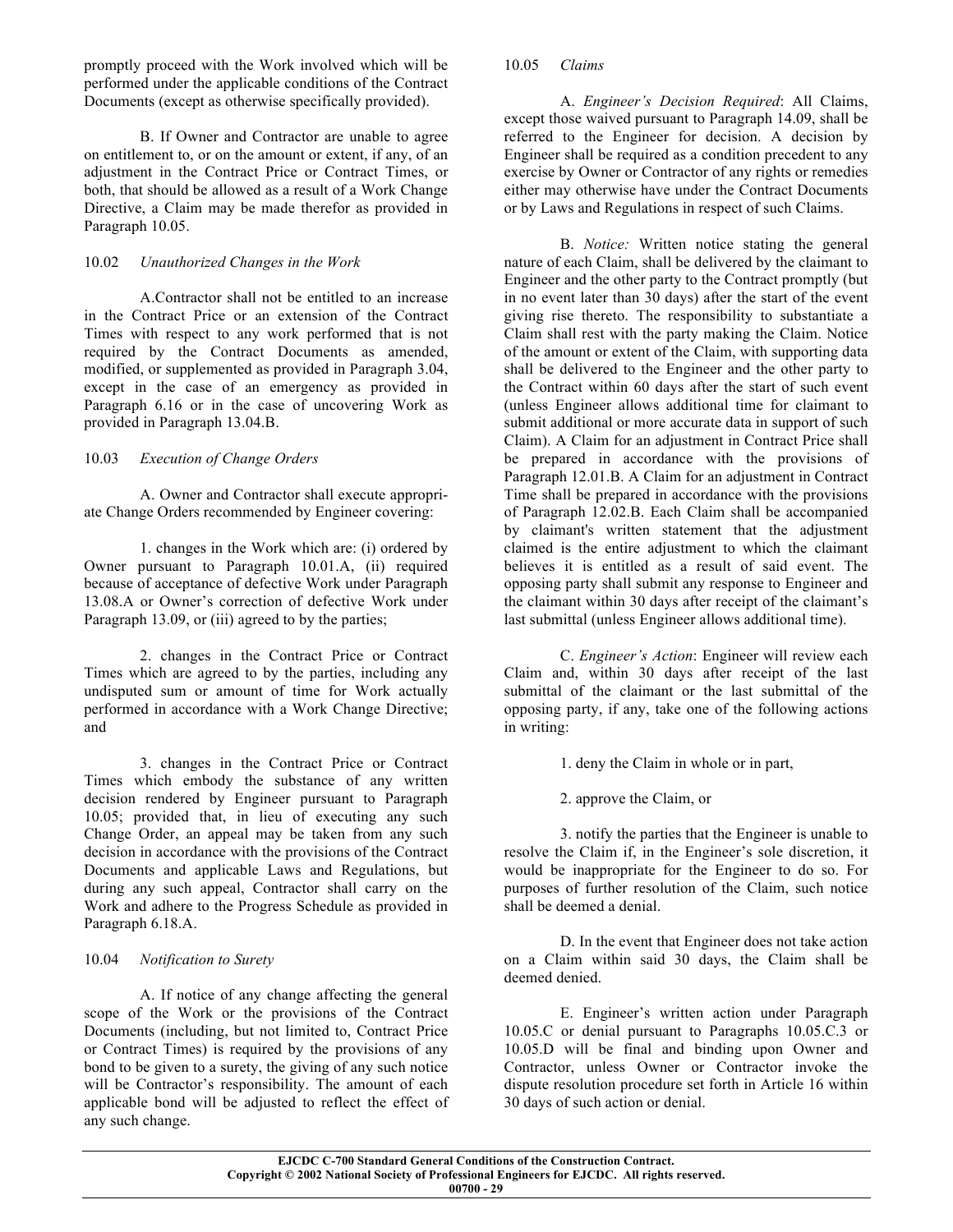promptly proceed with the Work involved which will be performed under the applicable conditions of the Contract Documents (except as otherwise specifically provided).

B. If Owner and Contractor are unable to agree on entitlement to, or on the amount or extent, if any, of an adjustment in the Contract Price or Contract Times, or both, that should be allowed as a result of a Work Change Directive, a Claim may be made therefor as provided in Paragraph 10.05.

#### 10.02 *Unauthorized Changes in the Work*

A.Contractor shall not be entitled to an increase in the Contract Price or an extension of the Contract Times with respect to any work performed that is not required by the Contract Documents as amended, modified, or supplemented as provided in Paragraph 3.04, except in the case of an emergency as provided in Paragraph 6.16 or in the case of uncovering Work as provided in Paragraph 13.04.B.

# 10.03 *Execution of Change Orders*

A. Owner and Contractor shall execute appropriate Change Orders recommended by Engineer covering:

1. changes in the Work which are: (i) ordered by Owner pursuant to Paragraph 10.01.A, (ii) required because of acceptance of defective Work under Paragraph 13.08.A or Owner's correction of defective Work under Paragraph 13.09, or (iii) agreed to by the parties;

2. changes in the Contract Price or Contract Times which are agreed to by the parties, including any undisputed sum or amount of time for Work actually performed in accordance with a Work Change Directive; and

3. changes in the Contract Price or Contract Times which embody the substance of any written decision rendered by Engineer pursuant to Paragraph 10.05; provided that, in lieu of executing any such Change Order, an appeal may be taken from any such decision in accordance with the provisions of the Contract Documents and applicable Laws and Regulations, but during any such appeal, Contractor shall carry on the Work and adhere to the Progress Schedule as provided in Paragraph 6.18.A.

#### 10.04 *Notification to Surety*

A. If notice of any change affecting the general scope of the Work or the provisions of the Contract Documents (including, but not limited to, Contract Price or Contract Times) is required by the provisions of any bond to be given to a surety, the giving of any such notice will be Contractor's responsibility. The amount of each applicable bond will be adjusted to reflect the effect of any such change.

#### 10.05 *Claims*

A. *Engineer's Decision Required*: All Claims, except those waived pursuant to Paragraph 14.09, shall be referred to the Engineer for decision. A decision by Engineer shall be required as a condition precedent to any exercise by Owner or Contractor of any rights or remedies either may otherwise have under the Contract Documents or by Laws and Regulations in respect of such Claims.

B. *Notice:* Written notice stating the general nature of each Claim, shall be delivered by the claimant to Engineer and the other party to the Contract promptly (but in no event later than 30 days) after the start of the event giving rise thereto. The responsibility to substantiate a Claim shall rest with the party making the Claim. Notice of the amount or extent of the Claim, with supporting data shall be delivered to the Engineer and the other party to the Contract within 60 days after the start of such event (unless Engineer allows additional time for claimant to submit additional or more accurate data in support of such Claim). A Claim for an adjustment in Contract Price shall be prepared in accordance with the provisions of Paragraph 12.01.B. A Claim for an adjustment in Contract Time shall be prepared in accordance with the provisions of Paragraph 12.02.B. Each Claim shall be accompanied by claimant's written statement that the adjustment claimed is the entire adjustment to which the claimant believes it is entitled as a result of said event. The opposing party shall submit any response to Engineer and the claimant within 30 days after receipt of the claimant's last submittal (unless Engineer allows additional time).

C. *Engineer's Action*: Engineer will review each Claim and, within 30 days after receipt of the last submittal of the claimant or the last submittal of the opposing party, if any, take one of the following actions in writing:

1. deny the Claim in whole or in part,

2. approve the Claim, or

3. notify the parties that the Engineer is unable to resolve the Claim if, in the Engineer's sole discretion, it would be inappropriate for the Engineer to do so. For purposes of further resolution of the Claim, such notice shall be deemed a denial.

D. In the event that Engineer does not take action on a Claim within said 30 days, the Claim shall be deemed denied.

E. Engineer's written action under Paragraph 10.05.C or denial pursuant to Paragraphs 10.05.C.3 or 10.05.D will be final and binding upon Owner and Contractor, unless Owner or Contractor invoke the dispute resolution procedure set forth in Article 16 within 30 days of such action or denial.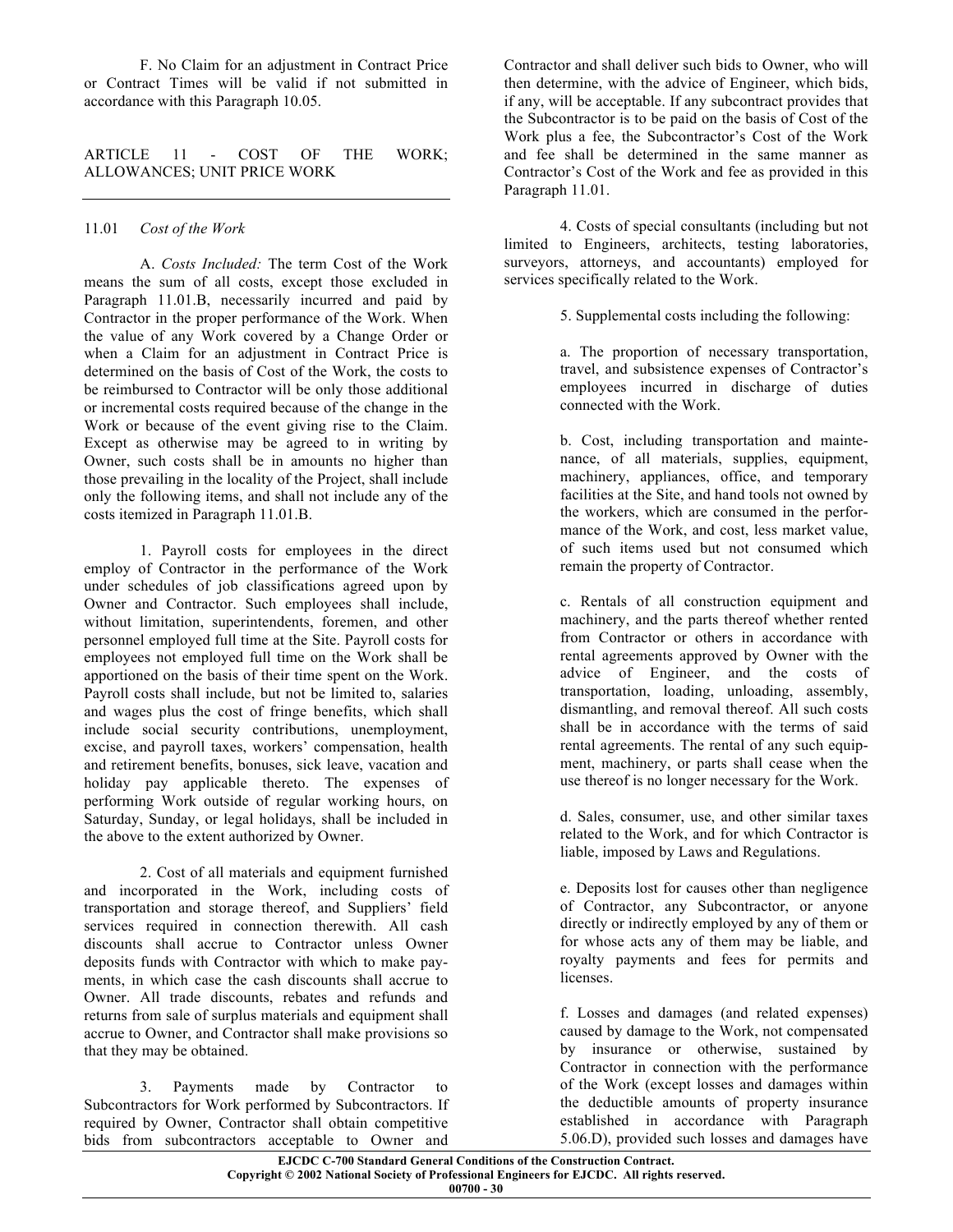F. No Claim for an adjustment in Contract Price or Contract Times will be valid if not submitted in accordance with this Paragraph 10.05.

ARTICLE 11 - COST OF THE WORK; ALLOWANCES; UNIT PRICE WORK

11.01 *Cost of the Work*

A. *Costs Included:* The term Cost of the Work means the sum of all costs, except those excluded in Paragraph 11.01.B, necessarily incurred and paid by Contractor in the proper performance of the Work. When the value of any Work covered by a Change Order or when a Claim for an adjustment in Contract Price is determined on the basis of Cost of the Work, the costs to be reimbursed to Contractor will be only those additional or incremental costs required because of the change in the Work or because of the event giving rise to the Claim. Except as otherwise may be agreed to in writing by Owner, such costs shall be in amounts no higher than those prevailing in the locality of the Project, shall include only the following items, and shall not include any of the costs itemized in Paragraph 11.01.B.

1. Payroll costs for employees in the direct employ of Contractor in the performance of the Work under schedules of job classifications agreed upon by Owner and Contractor. Such employees shall include, without limitation, superintendents, foremen, and other personnel employed full time at the Site. Payroll costs for employees not employed full time on the Work shall be apportioned on the basis of their time spent on the Work. Payroll costs shall include, but not be limited to, salaries and wages plus the cost of fringe benefits, which shall include social security contributions, unemployment, excise, and payroll taxes, workers' compensation, health and retirement benefits, bonuses, sick leave, vacation and holiday pay applicable thereto. The expenses of performing Work outside of regular working hours, on Saturday, Sunday, or legal holidays, shall be included in the above to the extent authorized by Owner.

2. Cost of all materials and equipment furnished and incorporated in the Work, including costs of transportation and storage thereof, and Suppliers' field services required in connection therewith. All cash discounts shall accrue to Contractor unless Owner deposits funds with Contractor with which to make payments, in which case the cash discounts shall accrue to Owner. All trade discounts, rebates and refunds and returns from sale of surplus materials and equipment shall accrue to Owner, and Contractor shall make provisions so that they may be obtained.

3. Payments made by Contractor to Subcontractors for Work performed by Subcontractors. If required by Owner, Contractor shall obtain competitive bids from subcontractors acceptable to Owner and

Contractor and shall deliver such bids to Owner, who will then determine, with the advice of Engineer, which bids, if any, will be acceptable. If any subcontract provides that the Subcontractor is to be paid on the basis of Cost of the Work plus a fee, the Subcontractor's Cost of the Work and fee shall be determined in the same manner as Contractor's Cost of the Work and fee as provided in this Paragraph 11.01.

4. Costs of special consultants (including but not limited to Engineers, architects, testing laboratories, surveyors, attorneys, and accountants) employed for services specifically related to the Work.

5. Supplemental costs including the following:

a. The proportion of necessary transportation, travel, and subsistence expenses of Contractor's employees incurred in discharge of duties connected with the Work.

b. Cost, including transportation and maintenance, of all materials, supplies, equipment, machinery, appliances, office, and temporary facilities at the Site, and hand tools not owned by the workers, which are consumed in the performance of the Work, and cost, less market value, of such items used but not consumed which remain the property of Contractor.

c. Rentals of all construction equipment and machinery, and the parts thereof whether rented from Contractor or others in accordance with rental agreements approved by Owner with the advice of Engineer, and the costs of transportation, loading, unloading, assembly, dismantling, and removal thereof. All such costs shall be in accordance with the terms of said rental agreements. The rental of any such equipment, machinery, or parts shall cease when the use thereof is no longer necessary for the Work.

d. Sales, consumer, use, and other similar taxes related to the Work, and for which Contractor is liable, imposed by Laws and Regulations.

e. Deposits lost for causes other than negligence of Contractor, any Subcontractor, or anyone directly or indirectly employed by any of them or for whose acts any of them may be liable, and royalty payments and fees for permits and licenses.

f. Losses and damages (and related expenses) caused by damage to the Work, not compensated by insurance or otherwise, sustained by Contractor in connection with the performance of the Work (except losses and damages within the deductible amounts of property insurance established in accordance with Paragraph 5.06.D), provided such losses and damages have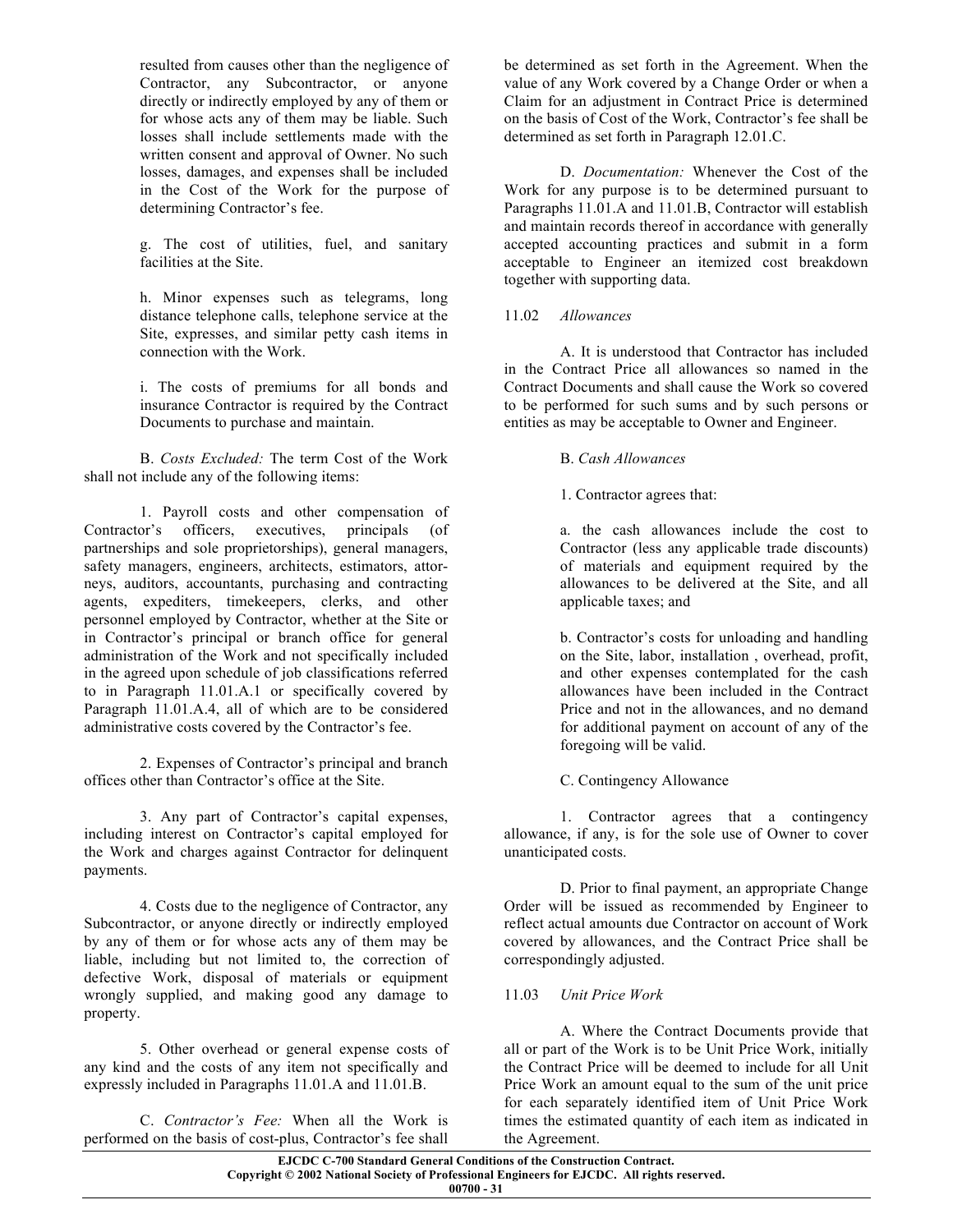resulted from causes other than the negligence of Contractor, any Subcontractor, or anyone directly or indirectly employed by any of them or for whose acts any of them may be liable. Such losses shall include settlements made with the written consent and approval of Owner. No such losses, damages, and expenses shall be included in the Cost of the Work for the purpose of determining Contractor's fee.

g. The cost of utilities, fuel, and sanitary facilities at the Site.

h. Minor expenses such as telegrams, long distance telephone calls, telephone service at the Site, expresses, and similar petty cash items in connection with the Work.

i. The costs of premiums for all bonds and insurance Contractor is required by the Contract Documents to purchase and maintain.

B. *Costs Excluded:* The term Cost of the Work shall not include any of the following items:

1. Payroll costs and other compensation of Contractor's officers, executives, principals (of partnerships and sole proprietorships), general managers, safety managers, engineers, architects, estimators, attorneys, auditors, accountants, purchasing and contracting agents, expediters, timekeepers, clerks, and other personnel employed by Contractor, whether at the Site or in Contractor's principal or branch office for general administration of the Work and not specifically included in the agreed upon schedule of job classifications referred to in Paragraph 11.01.A.1 or specifically covered by Paragraph 11.01.A.4, all of which are to be considered administrative costs covered by the Contractor's fee.

2. Expenses of Contractor's principal and branch offices other than Contractor's office at the Site.

3. Any part of Contractor's capital expenses, including interest on Contractor's capital employed for the Work and charges against Contractor for delinquent payments.

4. Costs due to the negligence of Contractor, any Subcontractor, or anyone directly or indirectly employed by any of them or for whose acts any of them may be liable, including but not limited to, the correction of defective Work, disposal of materials or equipment wrongly supplied, and making good any damage to property.

5. Other overhead or general expense costs of any kind and the costs of any item not specifically and expressly included in Paragraphs 11.01.A and 11.01.B.

C. *Contractor's Fee:* When all the Work is performed on the basis of cost-plus, Contractor's fee shall

be determined as set forth in the Agreement. When the value of any Work covered by a Change Order or when a Claim for an adjustment in Contract Price is determined on the basis of Cost of the Work, Contractor's fee shall be determined as set forth in Paragraph 12.01.C.

D. *Documentation:* Whenever the Cost of the Work for any purpose is to be determined pursuant to Paragraphs 11.01.A and 11.01.B, Contractor will establish and maintain records thereof in accordance with generally accepted accounting practices and submit in a form acceptable to Engineer an itemized cost breakdown together with supporting data.

#### 11.02 *Allowances*

A. It is understood that Contractor has included in the Contract Price all allowances so named in the Contract Documents and shall cause the Work so covered to be performed for such sums and by such persons or entities as may be acceptable to Owner and Engineer.

B. *Cash Allowances*

1. Contractor agrees that:

a. the cash allowances include the cost to Contractor (less any applicable trade discounts) of materials and equipment required by the allowances to be delivered at the Site, and all applicable taxes; and

b. Contractor's costs for unloading and handling on the Site, labor, installation , overhead, profit, and other expenses contemplated for the cash allowances have been included in the Contract Price and not in the allowances, and no demand for additional payment on account of any of the foregoing will be valid.

C. Contingency Allowance

1. Contractor agrees that a contingency allowance, if any, is for the sole use of Owner to cover unanticipated costs.

D. Prior to final payment, an appropriate Change Order will be issued as recommended by Engineer to reflect actual amounts due Contractor on account of Work covered by allowances, and the Contract Price shall be correspondingly adjusted.

# 11.03 *Unit Price Work*

A. Where the Contract Documents provide that all or part of the Work is to be Unit Price Work, initially the Contract Price will be deemed to include for all Unit Price Work an amount equal to the sum of the unit price for each separately identified item of Unit Price Work times the estimated quantity of each item as indicated in the Agreement.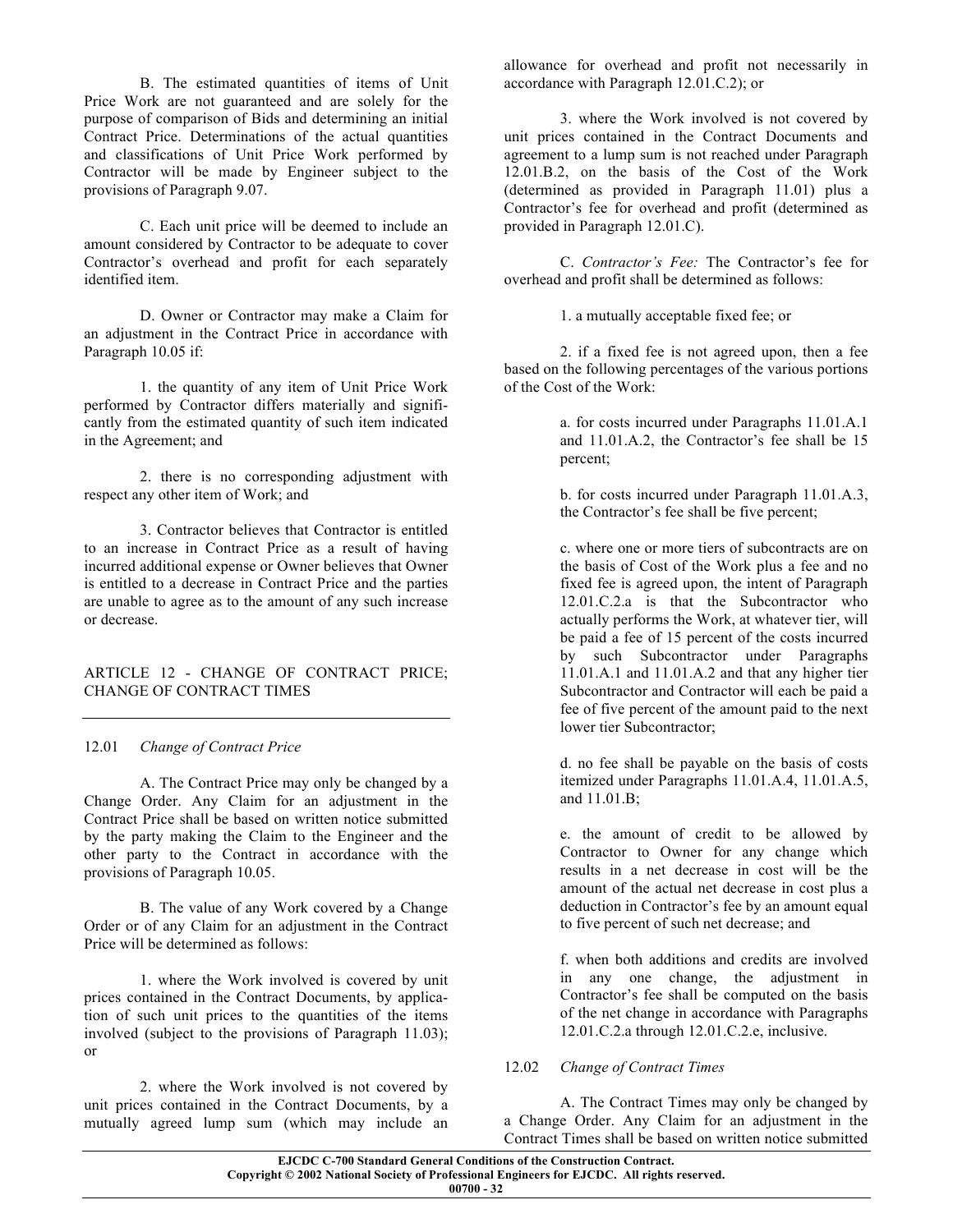B. The estimated quantities of items of Unit Price Work are not guaranteed and are solely for the purpose of comparison of Bids and determining an initial Contract Price. Determinations of the actual quantities and classifications of Unit Price Work performed by Contractor will be made by Engineer subject to the provisions of Paragraph 9.07.

C. Each unit price will be deemed to include an amount considered by Contractor to be adequate to cover Contractor's overhead and profit for each separately identified item.

D. Owner or Contractor may make a Claim for an adjustment in the Contract Price in accordance with Paragraph 10.05 if:

1. the quantity of any item of Unit Price Work performed by Contractor differs materially and significantly from the estimated quantity of such item indicated in the Agreement; and

2. there is no corresponding adjustment with respect any other item of Work; and

3. Contractor believes that Contractor is entitled to an increase in Contract Price as a result of having incurred additional expense or Owner believes that Owner is entitled to a decrease in Contract Price and the parties are unable to agree as to the amount of any such increase or decrease.

ARTICLE 12 - CHANGE OF CONTRACT PRICE; CHANGE OF CONTRACT TIMES

12.01 *Change of Contract Price*

A. The Contract Price may only be changed by a Change Order. Any Claim for an adjustment in the Contract Price shall be based on written notice submitted by the party making the Claim to the Engineer and the other party to the Contract in accordance with the provisions of Paragraph 10.05.

B. The value of any Work covered by a Change Order or of any Claim for an adjustment in the Contract Price will be determined as follows:

1. where the Work involved is covered by unit prices contained in the Contract Documents, by application of such unit prices to the quantities of the items involved (subject to the provisions of Paragraph 11.03); or

2. where the Work involved is not covered by unit prices contained in the Contract Documents, by a mutually agreed lump sum (which may include an

allowance for overhead and profit not necessarily in accordance with Paragraph 12.01.C.2); or

3. where the Work involved is not covered by unit prices contained in the Contract Documents and agreement to a lump sum is not reached under Paragraph 12.01.B.2, on the basis of the Cost of the Work (determined as provided in Paragraph 11.01) plus a Contractor's fee for overhead and profit (determined as provided in Paragraph 12.01.C).

C. *Contractor's Fee:* The Contractor's fee for overhead and profit shall be determined as follows:

1. a mutually acceptable fixed fee; or

2. if a fixed fee is not agreed upon, then a fee based on the following percentages of the various portions of the Cost of the Work:

> a. for costs incurred under Paragraphs 11.01.A.1 and 11.01.A.2, the Contractor's fee shall be 15 percent;

> b. for costs incurred under Paragraph 11.01.A.3, the Contractor's fee shall be five percent;

> c. where one or more tiers of subcontracts are on the basis of Cost of the Work plus a fee and no fixed fee is agreed upon, the intent of Paragraph 12.01.C.2.a is that the Subcontractor who actually performs the Work, at whatever tier, will be paid a fee of 15 percent of the costs incurred by such Subcontractor under Paragraphs 11.01.A.1 and 11.01.A.2 and that any higher tier Subcontractor and Contractor will each be paid a fee of five percent of the amount paid to the next lower tier Subcontractor;

> d. no fee shall be payable on the basis of costs itemized under Paragraphs 11.01.A.4, 11.01.A.5, and 11.01.B;

> e. the amount of credit to be allowed by Contractor to Owner for any change which results in a net decrease in cost will be the amount of the actual net decrease in cost plus a deduction in Contractor's fee by an amount equal to five percent of such net decrease; and

> f. when both additions and credits are involved in any one change, the adjustment in Contractor's fee shall be computed on the basis of the net change in accordance with Paragraphs 12.01.C.2.a through 12.01.C.2.e, inclusive.

12.02 *Change of Contract Times*

A. The Contract Times may only be changed by a Change Order. Any Claim for an adjustment in the Contract Times shall be based on written notice submitted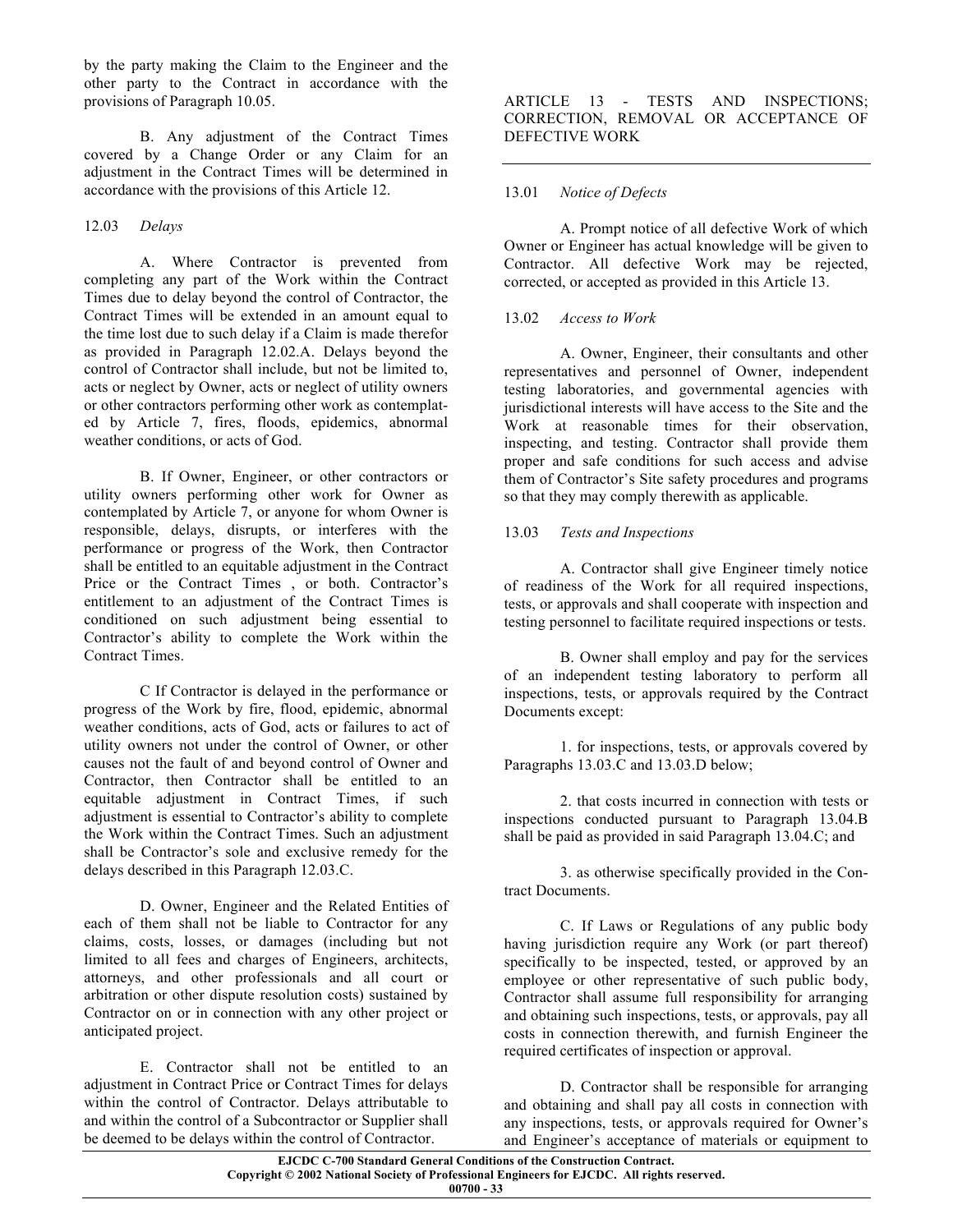by the party making the Claim to the Engineer and the other party to the Contract in accordance with the provisions of Paragraph 10.05.

B. Any adjustment of the Contract Times covered by a Change Order or any Claim for an adjustment in the Contract Times will be determined in accordance with the provisions of this Article 12.

12.03 *Delays*

A. Where Contractor is prevented from completing any part of the Work within the Contract Times due to delay beyond the control of Contractor, the Contract Times will be extended in an amount equal to the time lost due to such delay if a Claim is made therefor as provided in Paragraph 12.02.A. Delays beyond the control of Contractor shall include, but not be limited to, acts or neglect by Owner, acts or neglect of utility owners or other contractors performing other work as contemplated by Article 7, fires, floods, epidemics, abnormal weather conditions, or acts of God.

B. If Owner, Engineer, or other contractors or utility owners performing other work for Owner as contemplated by Article 7, or anyone for whom Owner is responsible, delays, disrupts, or interferes with the performance or progress of the Work, then Contractor shall be entitled to an equitable adjustment in the Contract Price or the Contract Times , or both. Contractor's entitlement to an adjustment of the Contract Times is conditioned on such adjustment being essential to Contractor's ability to complete the Work within the Contract Times.

C If Contractor is delayed in the performance or progress of the Work by fire, flood, epidemic, abnormal weather conditions, acts of God, acts or failures to act of utility owners not under the control of Owner, or other causes not the fault of and beyond control of Owner and Contractor, then Contractor shall be entitled to an equitable adjustment in Contract Times, if such adjustment is essential to Contractor's ability to complete the Work within the Contract Times. Such an adjustment shall be Contractor's sole and exclusive remedy for the delays described in this Paragraph 12.03.C.

D. Owner, Engineer and the Related Entities of each of them shall not be liable to Contractor for any claims, costs, losses, or damages (including but not limited to all fees and charges of Engineers, architects, attorneys, and other professionals and all court or arbitration or other dispute resolution costs) sustained by Contractor on or in connection with any other project or anticipated project.

E. Contractor shall not be entitled to an adjustment in Contract Price or Contract Times for delays within the control of Contractor. Delays attributable to and within the control of a Subcontractor or Supplier shall be deemed to be delays within the control of Contractor.

ARTICLE 13 - TESTS AND INSPECTIONS; CORRECTION, REMOVAL OR ACCEPTANCE OF DEFECTIVE WORK

## 13.01 *Notice of Defects*

A. Prompt notice of all defective Work of which Owner or Engineer has actual knowledge will be given to Contractor. All defective Work may be rejected, corrected, or accepted as provided in this Article 13.

#### 13.02 *Access to Work*

A. Owner, Engineer, their consultants and other representatives and personnel of Owner, independent testing laboratories, and governmental agencies with jurisdictional interests will have access to the Site and the Work at reasonable times for their observation, inspecting, and testing. Contractor shall provide them proper and safe conditions for such access and advise them of Contractor's Site safety procedures and programs so that they may comply therewith as applicable.

#### 13.03 *Tests and Inspections*

A. Contractor shall give Engineer timely notice of readiness of the Work for all required inspections, tests, or approvals and shall cooperate with inspection and testing personnel to facilitate required inspections or tests.

B. Owner shall employ and pay for the services of an independent testing laboratory to perform all inspections, tests, or approvals required by the Contract Documents except:

1. for inspections, tests, or approvals covered by Paragraphs 13.03.C and 13.03.D below;

2. that costs incurred in connection with tests or inspections conducted pursuant to Paragraph 13.04.B shall be paid as provided in said Paragraph 13.04.C; and

3. as otherwise specifically provided in the Contract Documents.

C. If Laws or Regulations of any public body having jurisdiction require any Work (or part thereof) specifically to be inspected, tested, or approved by an employee or other representative of such public body, Contractor shall assume full responsibility for arranging and obtaining such inspections, tests, or approvals, pay all costs in connection therewith, and furnish Engineer the required certificates of inspection or approval.

D. Contractor shall be responsible for arranging and obtaining and shall pay all costs in connection with any inspections, tests, or approvals required for Owner's and Engineer's acceptance of materials or equipment to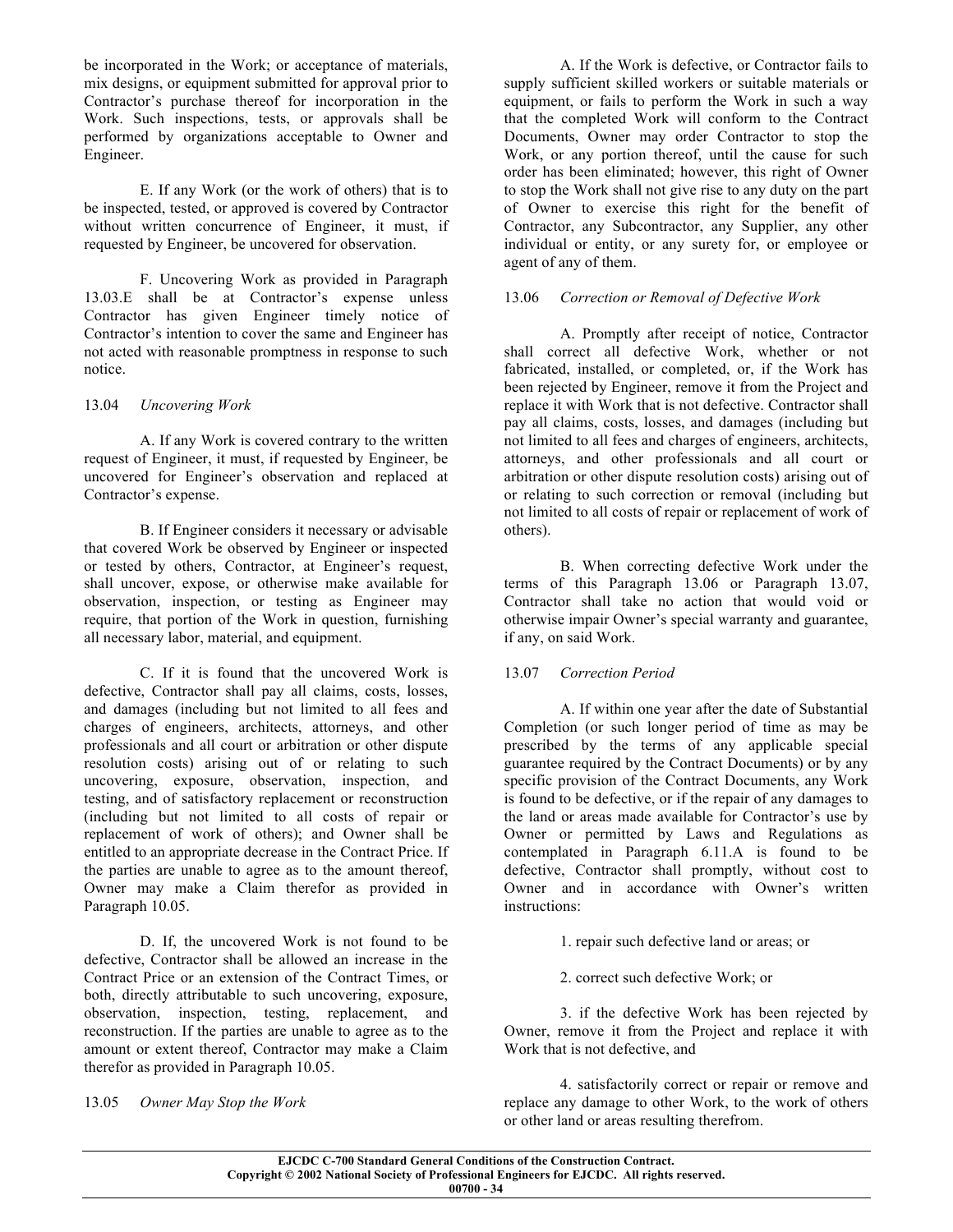be incorporated in the Work; or acceptance of materials, mix designs, or equipment submitted for approval prior to Contractor's purchase thereof for incorporation in the Work. Such inspections, tests, or approvals shall be performed by organizations acceptable to Owner and Engineer.

E. If any Work (or the work of others) that is to be inspected, tested, or approved is covered by Contractor without written concurrence of Engineer, it must, if requested by Engineer, be uncovered for observation.

F. Uncovering Work as provided in Paragraph 13.03.E shall be at Contractor's expense unless Contractor has given Engineer timely notice of Contractor's intention to cover the same and Engineer has not acted with reasonable promptness in response to such notice.

#### 13.04 *Uncovering Work*

A. If any Work is covered contrary to the written request of Engineer, it must, if requested by Engineer, be uncovered for Engineer's observation and replaced at Contractor's expense.

B. If Engineer considers it necessary or advisable that covered Work be observed by Engineer or inspected or tested by others, Contractor, at Engineer's request, shall uncover, expose, or otherwise make available for observation, inspection, or testing as Engineer may require, that portion of the Work in question, furnishing all necessary labor, material, and equipment.

C. If it is found that the uncovered Work is defective, Contractor shall pay all claims, costs, losses, and damages (including but not limited to all fees and charges of engineers, architects, attorneys, and other professionals and all court or arbitration or other dispute resolution costs) arising out of or relating to such uncovering, exposure, observation, inspection, and testing, and of satisfactory replacement or reconstruction (including but not limited to all costs of repair or replacement of work of others); and Owner shall be entitled to an appropriate decrease in the Contract Price. If the parties are unable to agree as to the amount thereof, Owner may make a Claim therefor as provided in Paragraph 10.05.

D. If, the uncovered Work is not found to be defective, Contractor shall be allowed an increase in the Contract Price or an extension of the Contract Times, or both, directly attributable to such uncovering, exposure, observation, inspection, testing, replacement, and reconstruction. If the parties are unable to agree as to the amount or extent thereof, Contractor may make a Claim therefor as provided in Paragraph 10.05.

13.05 *Owner May Stop the Work*

A. If the Work is defective, or Contractor fails to supply sufficient skilled workers or suitable materials or equipment, or fails to perform the Work in such a way that the completed Work will conform to the Contract Documents, Owner may order Contractor to stop the Work, or any portion thereof, until the cause for such order has been eliminated; however, this right of Owner to stop the Work shall not give rise to any duty on the part of Owner to exercise this right for the benefit of Contractor, any Subcontractor, any Supplier, any other individual or entity, or any surety for, or employee or agent of any of them.

#### 13.06 *Correction or Removal of Defective Work*

A. Promptly after receipt of notice, Contractor shall correct all defective Work, whether or not fabricated, installed, or completed, or, if the Work has been rejected by Engineer, remove it from the Project and replace it with Work that is not defective. Contractor shall pay all claims, costs, losses, and damages (including but not limited to all fees and charges of engineers, architects, attorneys, and other professionals and all court or arbitration or other dispute resolution costs) arising out of or relating to such correction or removal (including but not limited to all costs of repair or replacement of work of others).

B. When correcting defective Work under the terms of this Paragraph 13.06 or Paragraph 13.07, Contractor shall take no action that would void or otherwise impair Owner's special warranty and guarantee, if any, on said Work.

#### 13.07 *Correction Period*

A. If within one year after the date of Substantial Completion (or such longer period of time as may be prescribed by the terms of any applicable special guarantee required by the Contract Documents) or by any specific provision of the Contract Documents, any Work is found to be defective, or if the repair of any damages to the land or areas made available for Contractor's use by Owner or permitted by Laws and Regulations as contemplated in Paragraph 6.11.A is found to be defective, Contractor shall promptly, without cost to Owner and in accordance with Owner's written instructions:

- 1. repair such defective land or areas; or
- 2. correct such defective Work; or

3. if the defective Work has been rejected by Owner, remove it from the Project and replace it with Work that is not defective, and

4. satisfactorily correct or repair or remove and replace any damage to other Work, to the work of others or other land or areas resulting therefrom.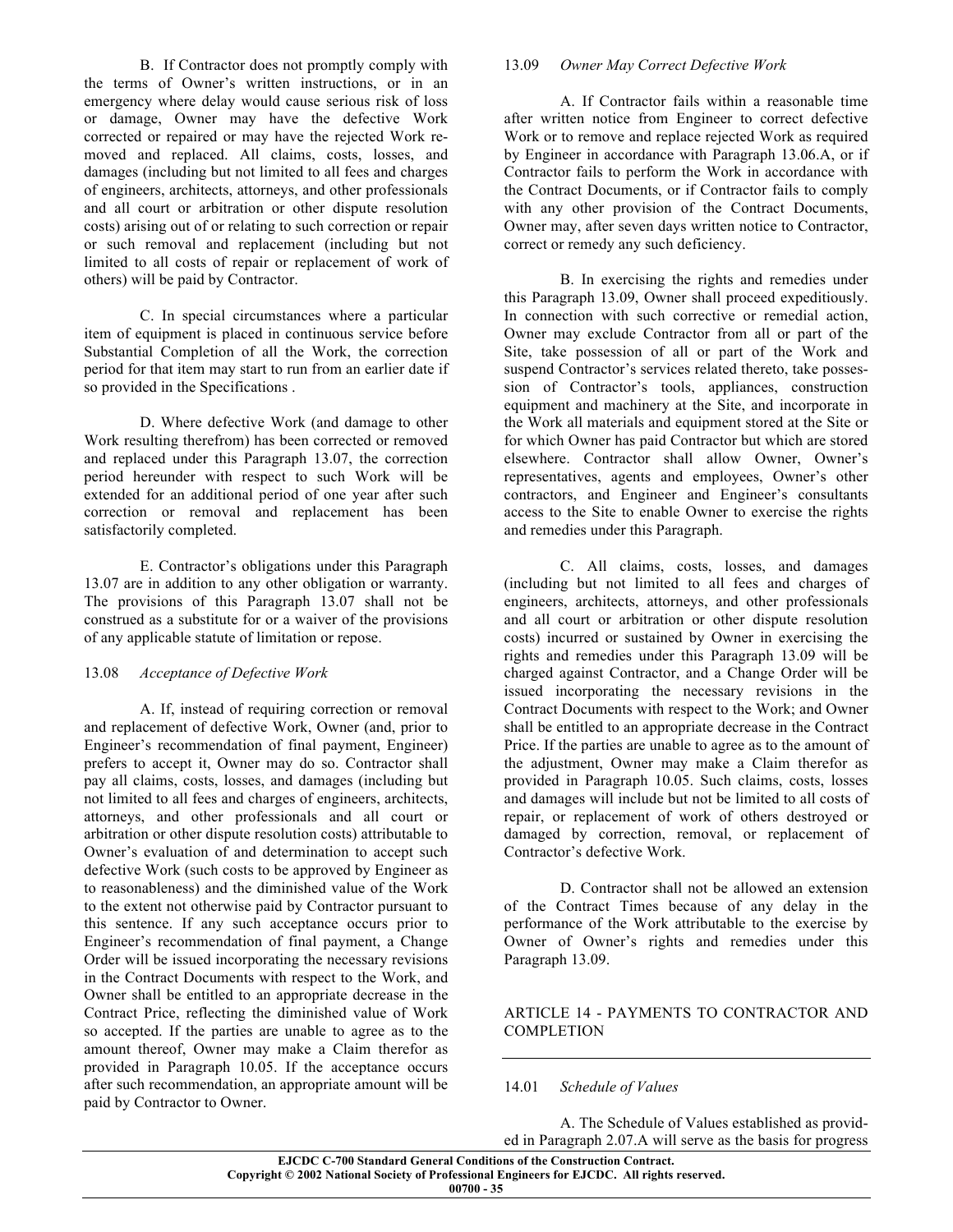B. If Contractor does not promptly comply with the terms of Owner's written instructions, or in an emergency where delay would cause serious risk of loss or damage, Owner may have the defective Work corrected or repaired or may have the rejected Work removed and replaced. All claims, costs, losses, and damages (including but not limited to all fees and charges of engineers, architects, attorneys, and other professionals and all court or arbitration or other dispute resolution costs) arising out of or relating to such correction or repair or such removal and replacement (including but not limited to all costs of repair or replacement of work of others) will be paid by Contractor.

C. In special circumstances where a particular item of equipment is placed in continuous service before Substantial Completion of all the Work, the correction period for that item may start to run from an earlier date if so provided in the Specifications .

D. Where defective Work (and damage to other Work resulting therefrom) has been corrected or removed and replaced under this Paragraph 13.07, the correction period hereunder with respect to such Work will be extended for an additional period of one year after such correction or removal and replacement has been satisfactorily completed.

E. Contractor's obligations under this Paragraph 13.07 are in addition to any other obligation or warranty. The provisions of this Paragraph 13.07 shall not be construed as a substitute for or a waiver of the provisions of any applicable statute of limitation or repose.

#### 13.08 *Acceptance of Defective Work*

A. If, instead of requiring correction or removal and replacement of defective Work, Owner (and, prior to Engineer's recommendation of final payment, Engineer) prefers to accept it, Owner may do so. Contractor shall pay all claims, costs, losses, and damages (including but not limited to all fees and charges of engineers, architects, attorneys, and other professionals and all court or arbitration or other dispute resolution costs) attributable to Owner's evaluation of and determination to accept such defective Work (such costs to be approved by Engineer as to reasonableness) and the diminished value of the Work to the extent not otherwise paid by Contractor pursuant to this sentence. If any such acceptance occurs prior to Engineer's recommendation of final payment, a Change Order will be issued incorporating the necessary revisions in the Contract Documents with respect to the Work, and Owner shall be entitled to an appropriate decrease in the Contract Price, reflecting the diminished value of Work so accepted. If the parties are unable to agree as to the amount thereof, Owner may make a Claim therefor as provided in Paragraph 10.05. If the acceptance occurs after such recommendation, an appropriate amount will be paid by Contractor to Owner.

#### 13.09 *Owner May Correct Defective Work*

A. If Contractor fails within a reasonable time after written notice from Engineer to correct defective Work or to remove and replace rejected Work as required by Engineer in accordance with Paragraph 13.06.A, or if Contractor fails to perform the Work in accordance with the Contract Documents, or if Contractor fails to comply with any other provision of the Contract Documents, Owner may, after seven days written notice to Contractor, correct or remedy any such deficiency.

B. In exercising the rights and remedies under this Paragraph 13.09, Owner shall proceed expeditiously. In connection with such corrective or remedial action, Owner may exclude Contractor from all or part of the Site, take possession of all or part of the Work and suspend Contractor's services related thereto, take possession of Contractor's tools, appliances, construction equipment and machinery at the Site, and incorporate in the Work all materials and equipment stored at the Site or for which Owner has paid Contractor but which are stored elsewhere. Contractor shall allow Owner, Owner's representatives, agents and employees, Owner's other contractors, and Engineer and Engineer's consultants access to the Site to enable Owner to exercise the rights and remedies under this Paragraph.

C. All claims, costs, losses, and damages (including but not limited to all fees and charges of engineers, architects, attorneys, and other professionals and all court or arbitration or other dispute resolution costs) incurred or sustained by Owner in exercising the rights and remedies under this Paragraph 13.09 will be charged against Contractor, and a Change Order will be issued incorporating the necessary revisions in the Contract Documents with respect to the Work; and Owner shall be entitled to an appropriate decrease in the Contract Price. If the parties are unable to agree as to the amount of the adjustment, Owner may make a Claim therefor as provided in Paragraph 10.05. Such claims, costs, losses and damages will include but not be limited to all costs of repair, or replacement of work of others destroyed or damaged by correction, removal, or replacement of Contractor's defective Work.

D. Contractor shall not be allowed an extension of the Contract Times because of any delay in the performance of the Work attributable to the exercise by Owner of Owner's rights and remedies under this Paragraph 13.09.

#### ARTICLE 14 - PAYMENTS TO CONTRACTOR AND **COMPLETION**

#### 14.01 *Schedule of Values*

A. The Schedule of Values established as provided in Paragraph 2.07.A will serve as the basis for progress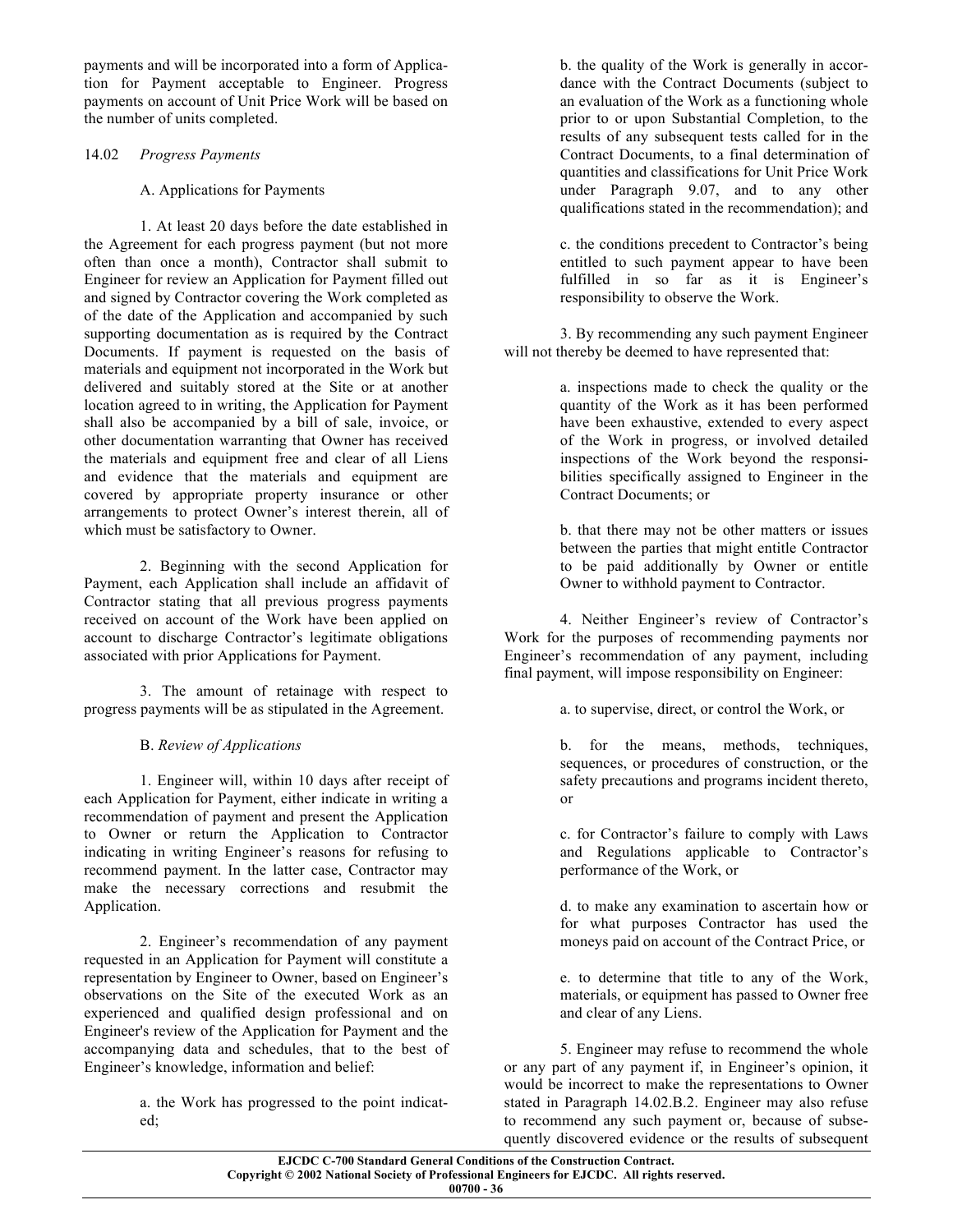payments and will be incorporated into a form of Application for Payment acceptable to Engineer. Progress payments on account of Unit Price Work will be based on the number of units completed.

## 14.02 *Progress Payments*

#### A. Applications for Payments

1. At least 20 days before the date established in the Agreement for each progress payment (but not more often than once a month), Contractor shall submit to Engineer for review an Application for Payment filled out and signed by Contractor covering the Work completed as of the date of the Application and accompanied by such supporting documentation as is required by the Contract Documents. If payment is requested on the basis of materials and equipment not incorporated in the Work but delivered and suitably stored at the Site or at another location agreed to in writing, the Application for Payment shall also be accompanied by a bill of sale, invoice, or other documentation warranting that Owner has received the materials and equipment free and clear of all Liens and evidence that the materials and equipment are covered by appropriate property insurance or other arrangements to protect Owner's interest therein, all of which must be satisfactory to Owner.

2. Beginning with the second Application for Payment, each Application shall include an affidavit of Contractor stating that all previous progress payments received on account of the Work have been applied on account to discharge Contractor's legitimate obligations associated with prior Applications for Payment.

3. The amount of retainage with respect to progress payments will be as stipulated in the Agreement.

#### B. *Review of Applications*

1. Engineer will, within 10 days after receipt of each Application for Payment, either indicate in writing a recommendation of payment and present the Application to Owner or return the Application to Contractor indicating in writing Engineer's reasons for refusing to recommend payment. In the latter case, Contractor may make the necessary corrections and resubmit the Application.

2. Engineer's recommendation of any payment requested in an Application for Payment will constitute a representation by Engineer to Owner, based on Engineer's observations on the Site of the executed Work as an experienced and qualified design professional and on Engineer's review of the Application for Payment and the accompanying data and schedules, that to the best of Engineer's knowledge, information and belief:

> a. the Work has progressed to the point indicated;

b. the quality of the Work is generally in accordance with the Contract Documents (subject to an evaluation of the Work as a functioning whole prior to or upon Substantial Completion, to the results of any subsequent tests called for in the Contract Documents, to a final determination of quantities and classifications for Unit Price Work under Paragraph 9.07, and to any other qualifications stated in the recommendation); and

c. the conditions precedent to Contractor's being entitled to such payment appear to have been fulfilled in so far as it is Engineer's responsibility to observe the Work.

3. By recommending any such payment Engineer will not thereby be deemed to have represented that:

> a. inspections made to check the quality or the quantity of the Work as it has been performed have been exhaustive, extended to every aspect of the Work in progress, or involved detailed inspections of the Work beyond the responsibilities specifically assigned to Engineer in the Contract Documents; or

> b. that there may not be other matters or issues between the parties that might entitle Contractor to be paid additionally by Owner or entitle Owner to withhold payment to Contractor.

4. Neither Engineer's review of Contractor's Work for the purposes of recommending payments nor Engineer's recommendation of any payment, including final payment, will impose responsibility on Engineer:

a. to supervise, direct, or control the Work, or

b. for the means, methods, techniques, sequences, or procedures of construction, or the safety precautions and programs incident thereto, or

c. for Contractor's failure to comply with Laws and Regulations applicable to Contractor's performance of the Work, or

d. to make any examination to ascertain how or for what purposes Contractor has used the moneys paid on account of the Contract Price, or

e. to determine that title to any of the Work, materials, or equipment has passed to Owner free and clear of any Liens.

5. Engineer may refuse to recommend the whole or any part of any payment if, in Engineer's opinion, it would be incorrect to make the representations to Owner stated in Paragraph 14.02.B.2. Engineer may also refuse to recommend any such payment or, because of subsequently discovered evidence or the results of subsequent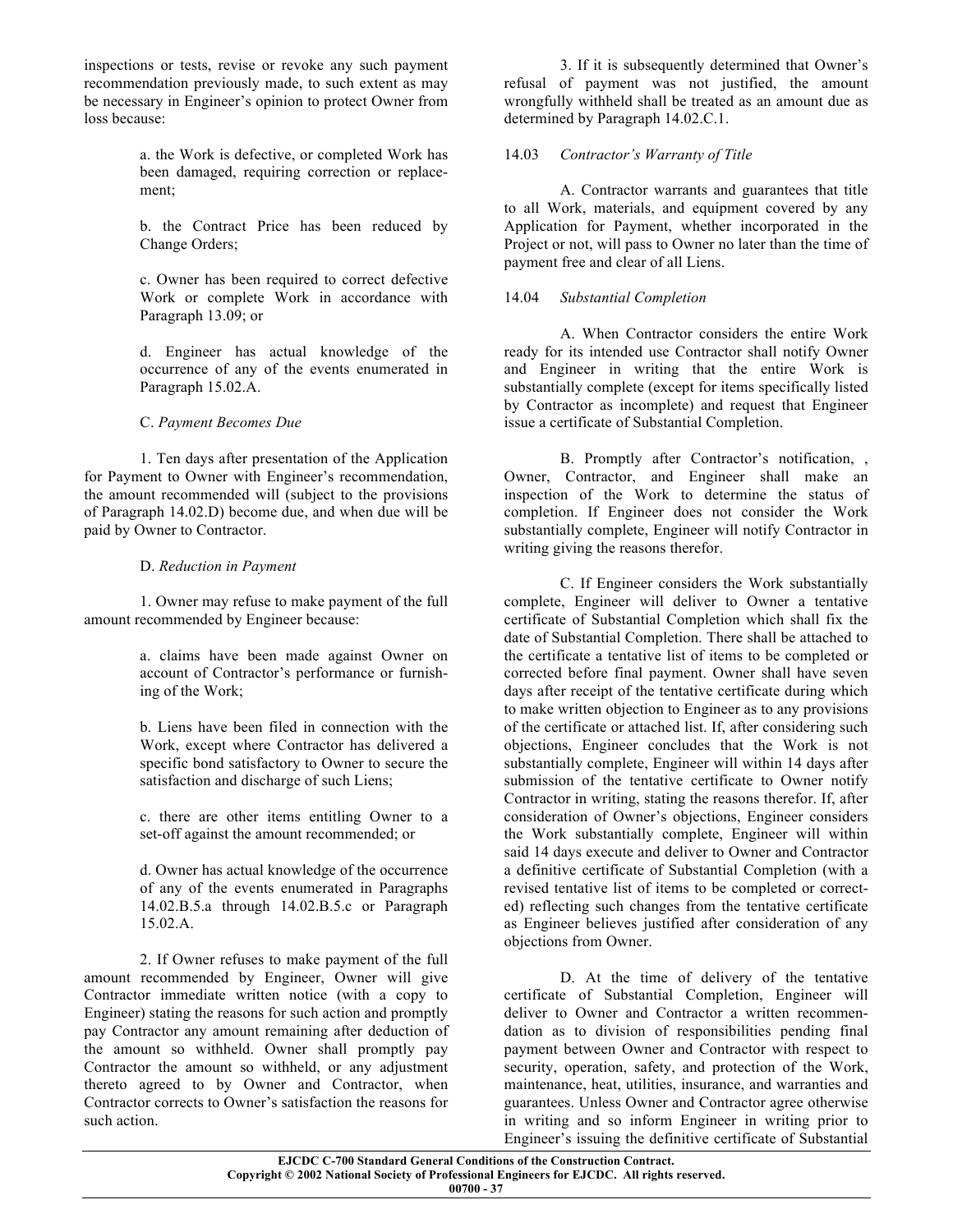inspections or tests, revise or revoke any such payment recommendation previously made, to such extent as may be necessary in Engineer's opinion to protect Owner from loss because:

> a. the Work is defective, or completed Work has been damaged, requiring correction or replacement;

> b. the Contract Price has been reduced by Change Orders;

> c. Owner has been required to correct defective Work or complete Work in accordance with Paragraph 13.09; or

> d. Engineer has actual knowledge of the occurrence of any of the events enumerated in Paragraph 15.02.A.

#### C. *Payment Becomes Due*

1. Ten days after presentation of the Application for Payment to Owner with Engineer's recommendation, the amount recommended will (subject to the provisions of Paragraph 14.02.D) become due, and when due will be paid by Owner to Contractor.

#### D. *Reduction in Payment*

1. Owner may refuse to make payment of the full amount recommended by Engineer because:

> a. claims have been made against Owner on account of Contractor's performance or furnishing of the Work;

> b. Liens have been filed in connection with the Work, except where Contractor has delivered a specific bond satisfactory to Owner to secure the satisfaction and discharge of such Liens;

> c. there are other items entitling Owner to a set-off against the amount recommended; or

> d. Owner has actual knowledge of the occurrence of any of the events enumerated in Paragraphs 14.02.B.5.a through 14.02.B.5.c or Paragraph 15.02.A.

2. If Owner refuses to make payment of the full amount recommended by Engineer, Owner will give Contractor immediate written notice (with a copy to Engineer) stating the reasons for such action and promptly pay Contractor any amount remaining after deduction of the amount so withheld. Owner shall promptly pay Contractor the amount so withheld, or any adjustment thereto agreed to by Owner and Contractor, when Contractor corrects to Owner's satisfaction the reasons for such action.

3. If it is subsequently determined that Owner's refusal of payment was not justified, the amount wrongfully withheld shall be treated as an amount due as determined by Paragraph 14.02.C.1.

## 14.03 *Contractor's Warranty of Title*

A. Contractor warrants and guarantees that title to all Work, materials, and equipment covered by any Application for Payment, whether incorporated in the Project or not, will pass to Owner no later than the time of payment free and clear of all Liens.

#### 14.04 *Substantial Completion*

A. When Contractor considers the entire Work ready for its intended use Contractor shall notify Owner and Engineer in writing that the entire Work is substantially complete (except for items specifically listed by Contractor as incomplete) and request that Engineer issue a certificate of Substantial Completion.

B. Promptly after Contractor's notification, , Owner, Contractor, and Engineer shall make an inspection of the Work to determine the status of completion. If Engineer does not consider the Work substantially complete, Engineer will notify Contractor in writing giving the reasons therefor.

C. If Engineer considers the Work substantially complete, Engineer will deliver to Owner a tentative certificate of Substantial Completion which shall fix the date of Substantial Completion. There shall be attached to the certificate a tentative list of items to be completed or corrected before final payment. Owner shall have seven days after receipt of the tentative certificate during which to make written objection to Engineer as to any provisions of the certificate or attached list. If, after considering such objections, Engineer concludes that the Work is not substantially complete, Engineer will within 14 days after submission of the tentative certificate to Owner notify Contractor in writing, stating the reasons therefor. If, after consideration of Owner's objections, Engineer considers the Work substantially complete, Engineer will within said 14 days execute and deliver to Owner and Contractor a definitive certificate of Substantial Completion (with a revised tentative list of items to be completed or corrected) reflecting such changes from the tentative certificate as Engineer believes justified after consideration of any objections from Owner.

D. At the time of delivery of the tentative certificate of Substantial Completion, Engineer will deliver to Owner and Contractor a written recommendation as to division of responsibilities pending final payment between Owner and Contractor with respect to security, operation, safety, and protection of the Work, maintenance, heat, utilities, insurance, and warranties and guarantees. Unless Owner and Contractor agree otherwise in writing and so inform Engineer in writing prior to Engineer's issuing the definitive certificate of Substantial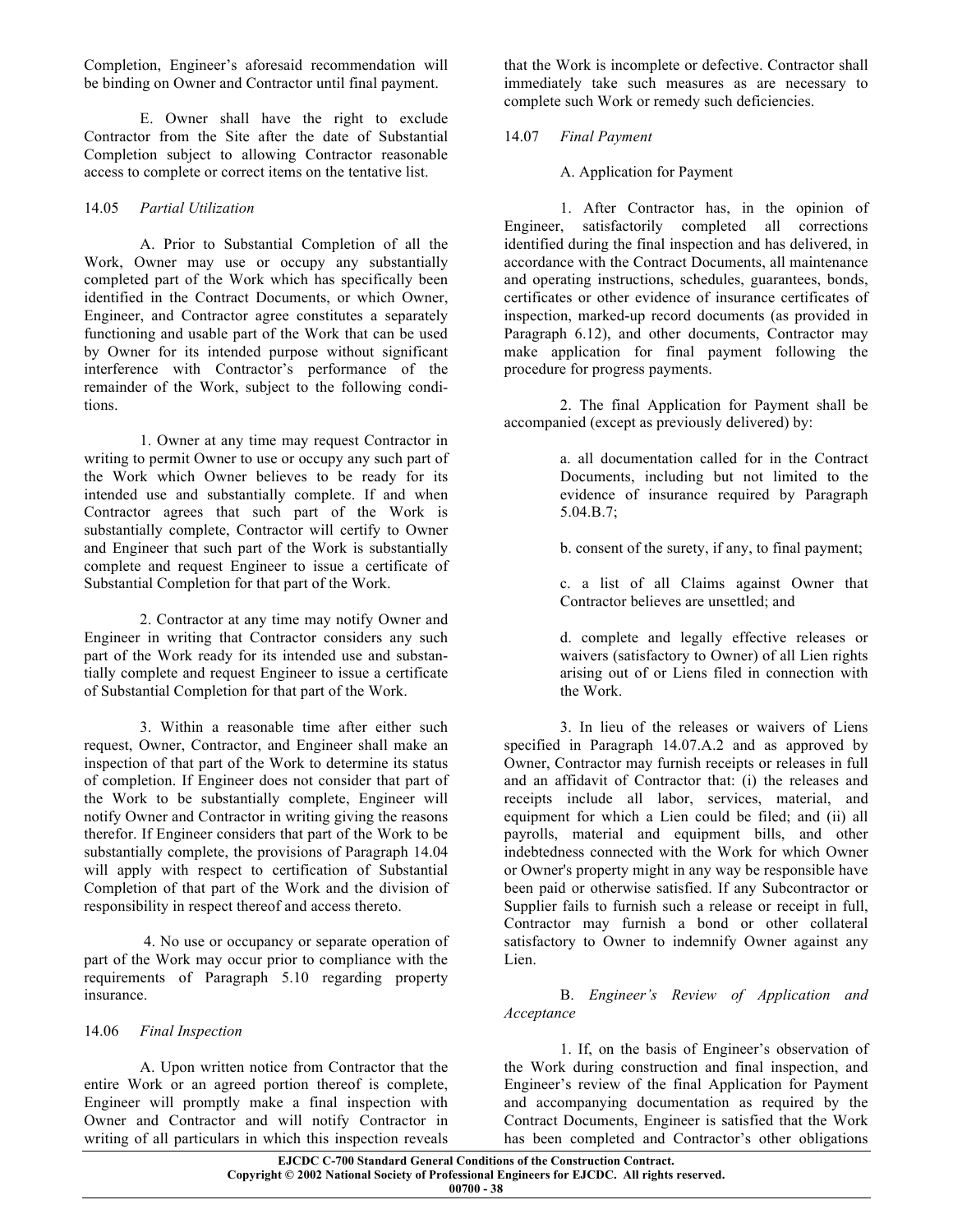Completion, Engineer's aforesaid recommendation will be binding on Owner and Contractor until final payment.

E. Owner shall have the right to exclude Contractor from the Site after the date of Substantial Completion subject to allowing Contractor reasonable access to complete or correct items on the tentative list.

#### 14.05 *Partial Utilization*

A. Prior to Substantial Completion of all the Work, Owner may use or occupy any substantially completed part of the Work which has specifically been identified in the Contract Documents, or which Owner, Engineer, and Contractor agree constitutes a separately functioning and usable part of the Work that can be used by Owner for its intended purpose without significant interference with Contractor's performance of the remainder of the Work, subject to the following conditions.

1. Owner at any time may request Contractor in writing to permit Owner to use or occupy any such part of the Work which Owner believes to be ready for its intended use and substantially complete. If and when Contractor agrees that such part of the Work is substantially complete, Contractor will certify to Owner and Engineer that such part of the Work is substantially complete and request Engineer to issue a certificate of Substantial Completion for that part of the Work.

2. Contractor at any time may notify Owner and Engineer in writing that Contractor considers any such part of the Work ready for its intended use and substantially complete and request Engineer to issue a certificate of Substantial Completion for that part of the Work.

3. Within a reasonable time after either such request, Owner, Contractor, and Engineer shall make an inspection of that part of the Work to determine its status of completion. If Engineer does not consider that part of the Work to be substantially complete, Engineer will notify Owner and Contractor in writing giving the reasons therefor. If Engineer considers that part of the Work to be substantially complete, the provisions of Paragraph 14.04 will apply with respect to certification of Substantial Completion of that part of the Work and the division of responsibility in respect thereof and access thereto.

4. No use or occupancy or separate operation of part of the Work may occur prior to compliance with the requirements of Paragraph 5.10 regarding property insurance.

#### 14.06 *Final Inspection*

A. Upon written notice from Contractor that the entire Work or an agreed portion thereof is complete, Engineer will promptly make a final inspection with Owner and Contractor and will notify Contractor in writing of all particulars in which this inspection reveals

that the Work is incomplete or defective. Contractor shall immediately take such measures as are necessary to complete such Work or remedy such deficiencies.

# 14.07 *Final Payment*

A. Application for Payment

1. After Contractor has, in the opinion of Engineer, satisfactorily completed all corrections identified during the final inspection and has delivered, in accordance with the Contract Documents, all maintenance and operating instructions, schedules, guarantees, bonds, certificates or other evidence of insurance certificates of inspection, marked-up record documents (as provided in Paragraph 6.12), and other documents, Contractor may make application for final payment following the procedure for progress payments.

2. The final Application for Payment shall be accompanied (except as previously delivered) by:

> a. all documentation called for in the Contract Documents, including but not limited to the evidence of insurance required by Paragraph 5.04.B.7;

b. consent of the surety, if any, to final payment;

c. a list of all Claims against Owner that Contractor believes are unsettled; and

d. complete and legally effective releases or waivers (satisfactory to Owner) of all Lien rights arising out of or Liens filed in connection with the Work.

3. In lieu of the releases or waivers of Liens specified in Paragraph 14.07.A.2 and as approved by Owner, Contractor may furnish receipts or releases in full and an affidavit of Contractor that: (i) the releases and receipts include all labor, services, material, and equipment for which a Lien could be filed; and (ii) all payrolls, material and equipment bills, and other indebtedness connected with the Work for which Owner or Owner's property might in any way be responsible have been paid or otherwise satisfied. If any Subcontractor or Supplier fails to furnish such a release or receipt in full, Contractor may furnish a bond or other collateral satisfactory to Owner to indemnify Owner against any Lien.

B. *Engineer's Review of Application and Acceptance*

1. If, on the basis of Engineer's observation of the Work during construction and final inspection, and Engineer's review of the final Application for Payment and accompanying documentation as required by the Contract Documents, Engineer is satisfied that the Work has been completed and Contractor's other obligations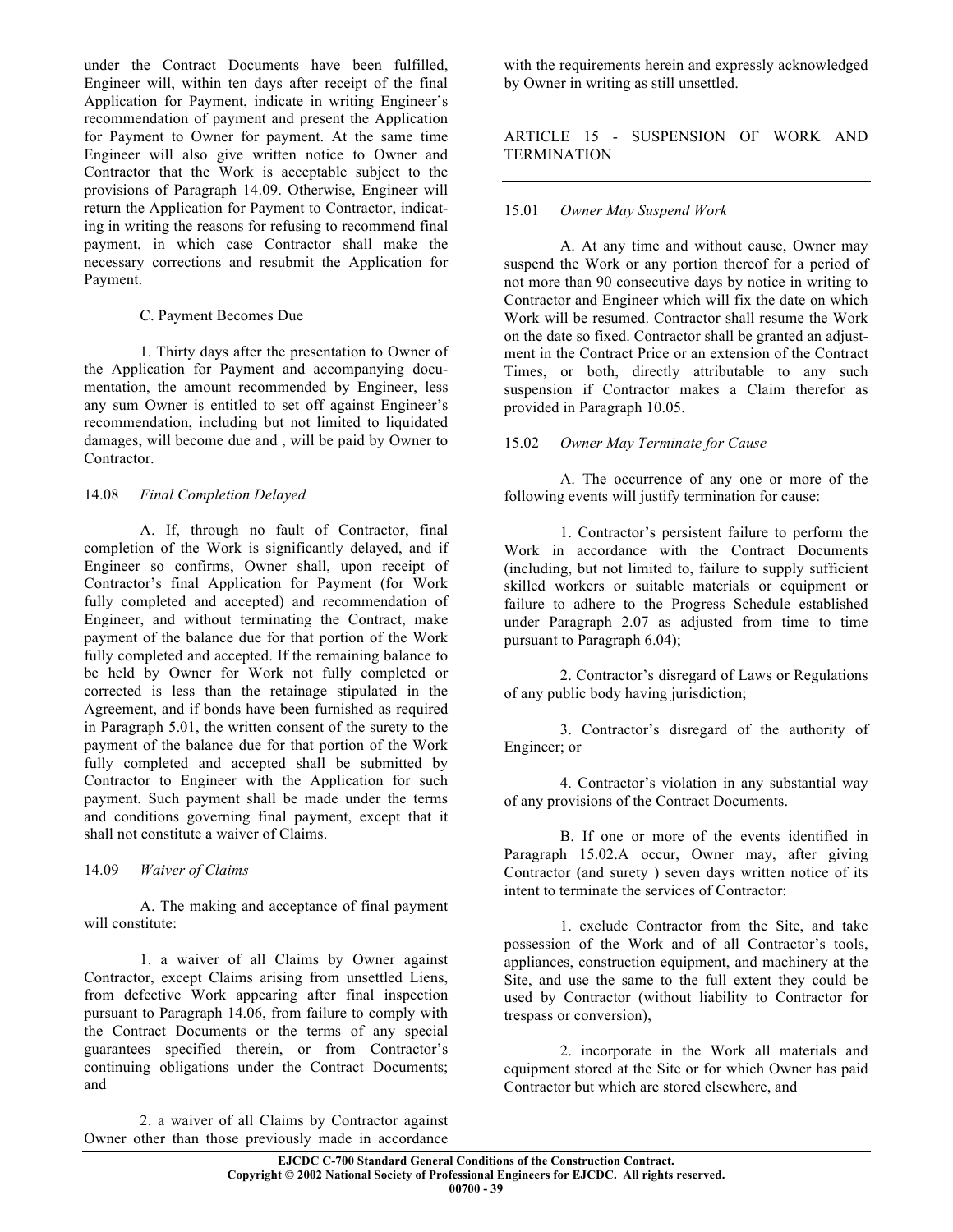under the Contract Documents have been fulfilled, Engineer will, within ten days after receipt of the final Application for Payment, indicate in writing Engineer's recommendation of payment and present the Application for Payment to Owner for payment. At the same time Engineer will also give written notice to Owner and Contractor that the Work is acceptable subject to the provisions of Paragraph 14.09. Otherwise, Engineer will return the Application for Payment to Contractor, indicating in writing the reasons for refusing to recommend final payment, in which case Contractor shall make the necessary corrections and resubmit the Application for Payment.

#### C. Payment Becomes Due

1. Thirty days after the presentation to Owner of the Application for Payment and accompanying documentation, the amount recommended by Engineer, less any sum Owner is entitled to set off against Engineer's recommendation, including but not limited to liquidated damages, will become due and , will be paid by Owner to Contractor.

#### 14.08 *Final Completion Delayed*

A. If, through no fault of Contractor, final completion of the Work is significantly delayed, and if Engineer so confirms, Owner shall, upon receipt of Contractor's final Application for Payment (for Work fully completed and accepted) and recommendation of Engineer, and without terminating the Contract, make payment of the balance due for that portion of the Work fully completed and accepted. If the remaining balance to be held by Owner for Work not fully completed or corrected is less than the retainage stipulated in the Agreement, and if bonds have been furnished as required in Paragraph 5.01, the written consent of the surety to the payment of the balance due for that portion of the Work fully completed and accepted shall be submitted by Contractor to Engineer with the Application for such payment. Such payment shall be made under the terms and conditions governing final payment, except that it shall not constitute a waiver of Claims.

14.09 *Waiver of Claims*

A. The making and acceptance of final payment will constitute:

1. a waiver of all Claims by Owner against Contractor, except Claims arising from unsettled Liens, from defective Work appearing after final inspection pursuant to Paragraph 14.06, from failure to comply with the Contract Documents or the terms of any special guarantees specified therein, or from Contractor's continuing obligations under the Contract Documents; and

2. a waiver of all Claims by Contractor against Owner other than those previously made in accordance with the requirements herein and expressly acknowledged by Owner in writing as still unsettled.

# ARTICLE 15 - SUSPENSION OF WORK AND **TERMINATION**

#### 15.01 *Owner May Suspend Work*

A. At any time and without cause, Owner may suspend the Work or any portion thereof for a period of not more than 90 consecutive days by notice in writing to Contractor and Engineer which will fix the date on which Work will be resumed. Contractor shall resume the Work on the date so fixed. Contractor shall be granted an adjustment in the Contract Price or an extension of the Contract Times, or both, directly attributable to any such suspension if Contractor makes a Claim therefor as provided in Paragraph 10.05.

#### 15.02 *Owner May Terminate for Cause*

A. The occurrence of any one or more of the following events will justify termination for cause:

1. Contractor's persistent failure to perform the Work in accordance with the Contract Documents (including, but not limited to, failure to supply sufficient skilled workers or suitable materials or equipment or failure to adhere to the Progress Schedule established under Paragraph 2.07 as adjusted from time to time pursuant to Paragraph 6.04);

2. Contractor's disregard of Laws or Regulations of any public body having jurisdiction;

3. Contractor's disregard of the authority of Engineer; or

4. Contractor's violation in any substantial way of any provisions of the Contract Documents.

B. If one or more of the events identified in Paragraph 15.02.A occur, Owner may, after giving Contractor (and surety ) seven days written notice of its intent to terminate the services of Contractor:

1. exclude Contractor from the Site, and take possession of the Work and of all Contractor's tools, appliances, construction equipment, and machinery at the Site, and use the same to the full extent they could be used by Contractor (without liability to Contractor for trespass or conversion),

2. incorporate in the Work all materials and equipment stored at the Site or for which Owner has paid Contractor but which are stored elsewhere, and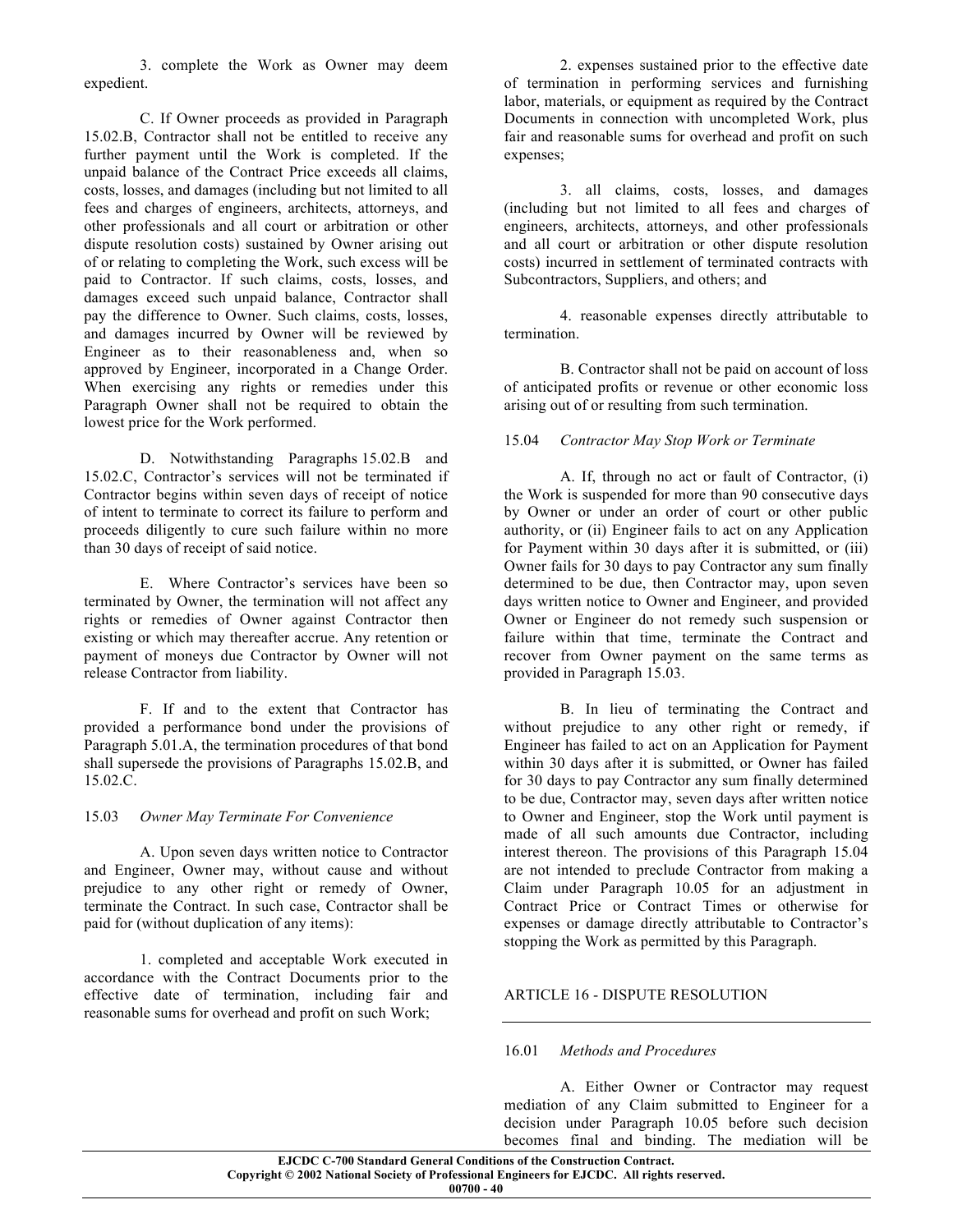3. complete the Work as Owner may deem expedient.

C. If Owner proceeds as provided in Paragraph 15.02.B, Contractor shall not be entitled to receive any further payment until the Work is completed. If the unpaid balance of the Contract Price exceeds all claims, costs, losses, and damages (including but not limited to all fees and charges of engineers, architects, attorneys, and other professionals and all court or arbitration or other dispute resolution costs) sustained by Owner arising out of or relating to completing the Work, such excess will be paid to Contractor. If such claims, costs, losses, and damages exceed such unpaid balance, Contractor shall pay the difference to Owner. Such claims, costs, losses, and damages incurred by Owner will be reviewed by Engineer as to their reasonableness and, when so approved by Engineer, incorporated in a Change Order. When exercising any rights or remedies under this Paragraph Owner shall not be required to obtain the lowest price for the Work performed.

D. Notwithstanding Paragraphs 15.02.B and 15.02.C, Contractor's services will not be terminated if Contractor begins within seven days of receipt of notice of intent to terminate to correct its failure to perform and proceeds diligently to cure such failure within no more than 30 days of receipt of said notice.

E. Where Contractor's services have been so terminated by Owner, the termination will not affect any rights or remedies of Owner against Contractor then existing or which may thereafter accrue. Any retention or payment of moneys due Contractor by Owner will not release Contractor from liability.

F. If and to the extent that Contractor has provided a performance bond under the provisions of Paragraph 5.01.A, the termination procedures of that bond shall supersede the provisions of Paragraphs 15.02.B, and 15.02.C.

15.03 *Owner May Terminate For Convenience*

A. Upon seven days written notice to Contractor and Engineer, Owner may, without cause and without prejudice to any other right or remedy of Owner, terminate the Contract. In such case, Contractor shall be paid for (without duplication of any items):

1. completed and acceptable Work executed in accordance with the Contract Documents prior to the effective date of termination, including fair and reasonable sums for overhead and profit on such Work;

2. expenses sustained prior to the effective date of termination in performing services and furnishing labor, materials, or equipment as required by the Contract Documents in connection with uncompleted Work, plus fair and reasonable sums for overhead and profit on such expenses;

3. all claims, costs, losses, and damages (including but not limited to all fees and charges of engineers, architects, attorneys, and other professionals and all court or arbitration or other dispute resolution costs) incurred in settlement of terminated contracts with Subcontractors, Suppliers, and others; and

4. reasonable expenses directly attributable to termination.

B. Contractor shall not be paid on account of loss of anticipated profits or revenue or other economic loss arising out of or resulting from such termination.

15.04 *Contractor May Stop Work or Terminate*

A. If, through no act or fault of Contractor, (i) the Work is suspended for more than 90 consecutive days by Owner or under an order of court or other public authority, or (ii) Engineer fails to act on any Application for Payment within 30 days after it is submitted, or (iii) Owner fails for 30 days to pay Contractor any sum finally determined to be due, then Contractor may, upon seven days written notice to Owner and Engineer, and provided Owner or Engineer do not remedy such suspension or failure within that time, terminate the Contract and recover from Owner payment on the same terms as provided in Paragraph 15.03.

B. In lieu of terminating the Contract and without prejudice to any other right or remedy, if Engineer has failed to act on an Application for Payment within 30 days after it is submitted, or Owner has failed for 30 days to pay Contractor any sum finally determined to be due, Contractor may, seven days after written notice to Owner and Engineer, stop the Work until payment is made of all such amounts due Contractor, including interest thereon. The provisions of this Paragraph 15.04 are not intended to preclude Contractor from making a Claim under Paragraph 10.05 for an adjustment in Contract Price or Contract Times or otherwise for expenses or damage directly attributable to Contractor's stopping the Work as permitted by this Paragraph.

#### ARTICLE 16 - DISPUTE RESOLUTION

#### 16.01 *Methods and Procedures*

A. Either Owner or Contractor may request mediation of any Claim submitted to Engineer for a decision under Paragraph 10.05 before such decision becomes final and binding. The mediation will be